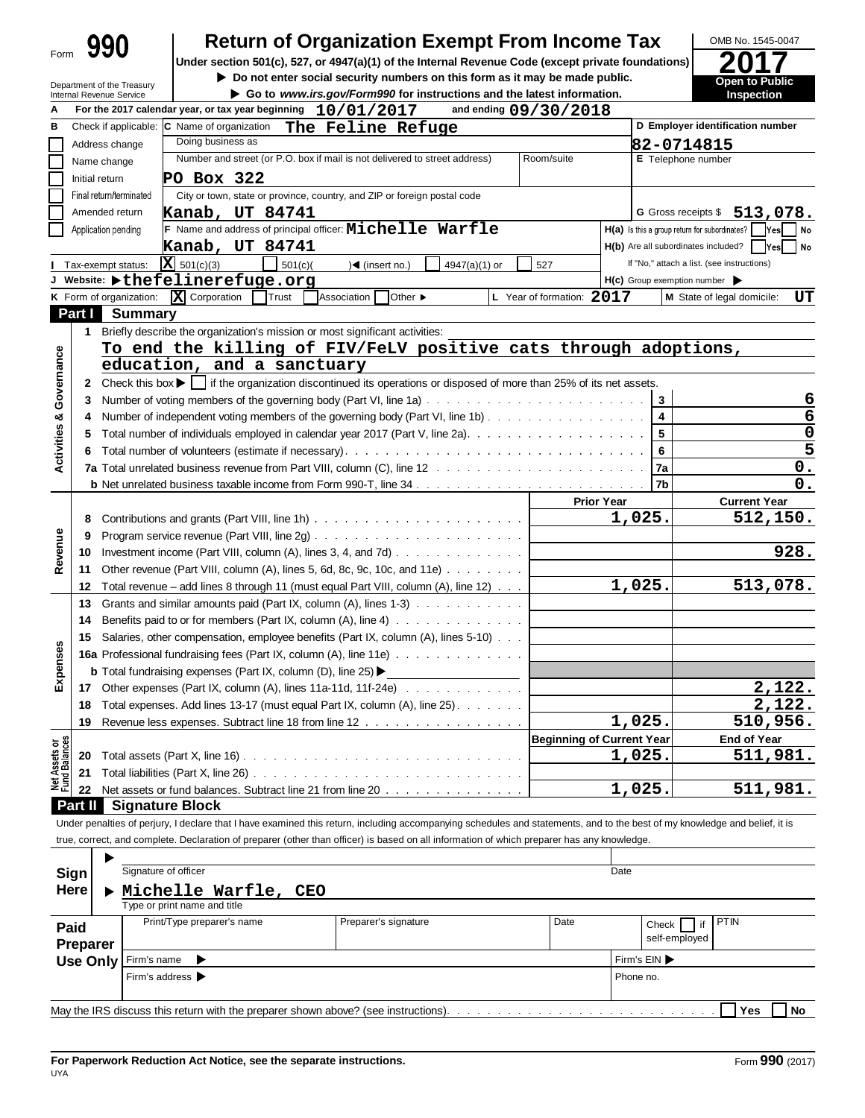| Form         | 990                        |                                |                                                                                          |        | <b>Return of Organization Exempt From Income Tax</b>                                                                                                                       |               |                                  |                   |                                  | OMB No. 1545-0047                                                                 |
|--------------|----------------------------|--------------------------------|------------------------------------------------------------------------------------------|--------|----------------------------------------------------------------------------------------------------------------------------------------------------------------------------|---------------|----------------------------------|-------------------|----------------------------------|-----------------------------------------------------------------------------------|
|              |                            |                                |                                                                                          |        | Under section 501(c), 527, or 4947(a)(1) of the Internal Revenue Code (except private foundations)                                                                         |               |                                  |                   |                                  |                                                                                   |
|              | Department of the Treasury |                                |                                                                                          |        | Do not enter social security numbers on this form as it may be made public.                                                                                                |               |                                  |                   |                                  | Open to Public                                                                    |
|              | Internal Revenue Service   |                                |                                                                                          |        | Go to www.irs.gov/Form990 for instructions and the latest information.                                                                                                     |               |                                  |                   |                                  | Inspection                                                                        |
|              |                            |                                |                                                                                          |        | For the 2017 calendar year, or tax year beginning $10/01/2017$                                                                                                             |               | and ending 09/30/2018            |                   |                                  | D Employer identification number                                                  |
|              |                            |                                | Check if applicable: C Name of organization<br>Doing business as                         |        | The Feline Refuge                                                                                                                                                          |               |                                  |                   |                                  |                                                                                   |
|              | Address change             |                                |                                                                                          |        | Number and street (or P.O. box if mail is not delivered to street address)                                                                                                 |               | Room/suite                       |                   | 82-0714815<br>E Telephone number |                                                                                   |
|              | Name change                |                                |                                                                                          |        |                                                                                                                                                                            |               |                                  |                   |                                  |                                                                                   |
|              | Initial return             |                                | <b>PO Box 322</b>                                                                        |        |                                                                                                                                                                            |               |                                  |                   |                                  |                                                                                   |
|              | Final return/terminated    |                                |                                                                                          |        | City or town, state or province, country, and ZIP or foreign postal code                                                                                                   |               |                                  |                   |                                  |                                                                                   |
|              | Amended return             |                                | Kanab, UT 84741                                                                          |        | $ F $ Name and address of principal officer: $Michelle$ $Warfile$                                                                                                          |               |                                  |                   |                                  | G Gross receipts \$513,078.                                                       |
|              | Application pending        |                                | Kanab, UT 84741                                                                          |        |                                                                                                                                                                            |               |                                  |                   |                                  | $H(a)$ is this a group return for subordinates?<br>lYes l<br>No<br>lYes l<br>No   |
|              |                            |                                | X 501(c)(3)                                                                              |        |                                                                                                                                                                            |               |                                  |                   |                                  | H(b) Are all subordinates included?<br>If "No," attach a list. (see instructions) |
|              | Tax-exempt status:         |                                | Website: $\blacktriangleright$ thefelinerefuge.org                                       | 501(c) | $\sqrt{4}$ (insert no.)                                                                                                                                                    | 4947(a)(1) or | 527                              |                   |                                  | $H(c)$ Group exemption number                                                     |
|              |                            | K Form of organization:        | X Corporation                                                                            | Trust  | Association<br>Other $\blacktriangleright$                                                                                                                                 |               | L Year of formation: 2017        |                   |                                  | M State of legal domicile:<br>UT                                                  |
| Part I       |                            | <b>Summary</b>                 |                                                                                          |        |                                                                                                                                                                            |               |                                  |                   |                                  |                                                                                   |
|              |                            |                                |                                                                                          |        | 1 Briefly describe the organization's mission or most significant activities:                                                                                              |               |                                  |                   |                                  |                                                                                   |
|              |                            |                                |                                                                                          |        | To end the killing of FIV/FeLV positive cats through adoptions,                                                                                                            |               |                                  |                   |                                  |                                                                                   |
|              |                            |                                | education, and a sanctuary                                                               |        |                                                                                                                                                                            |               |                                  |                   |                                  |                                                                                   |
|              | 2                          |                                |                                                                                          |        | Check this box $\blacktriangleright$ $\blacksquare$ if the organization discontinued its operations or disposed of more than 25% of its net assets.                        |               |                                  |                   |                                  |                                                                                   |
|              | 3                          |                                |                                                                                          |        |                                                                                                                                                                            |               |                                  |                   | 3                                | 6                                                                                 |
| 4            |                            |                                |                                                                                          |        | Number of independent voting members of the governing body (Part VI, line 1b)                                                                                              |               |                                  |                   | 4                                | 6                                                                                 |
|              | 5                          |                                |                                                                                          |        |                                                                                                                                                                            |               |                                  |                   | 5                                | 0                                                                                 |
|              |                            |                                |                                                                                          |        |                                                                                                                                                                            |               |                                  |                   | 6                                | 5                                                                                 |
|              |                            |                                |                                                                                          |        |                                                                                                                                                                            |               |                                  |                   | 7a                               | 0.                                                                                |
|              |                            |                                |                                                                                          |        |                                                                                                                                                                            |               |                                  |                   | 7b                               | 0.                                                                                |
|              |                            |                                |                                                                                          |        |                                                                                                                                                                            |               |                                  | <b>Prior Year</b> |                                  | <b>Current Year</b>                                                               |
|              | 8                          |                                |                                                                                          |        |                                                                                                                                                                            |               |                                  | 1,025.            |                                  | 512, 150.                                                                         |
| 9            |                            |                                |                                                                                          |        |                                                                                                                                                                            |               |                                  |                   |                                  |                                                                                   |
| 10           |                            |                                |                                                                                          |        | Investment income (Part VIII, column (A), lines 3, 4, and 7d) $\ldots$                                                                                                     |               |                                  |                   |                                  | 928.                                                                              |
| 11           |                            |                                |                                                                                          |        | Other revenue (Part VIII, column (A), lines 5, 6d, 8c, 9c, 10c, and 11e)                                                                                                   |               |                                  |                   |                                  |                                                                                   |
| 12           |                            |                                |                                                                                          |        | Total revenue – add lines 8 through 11 (must equal Part VIII, column (A), line 12)                                                                                         |               |                                  | 1,025.            |                                  | 513,078.                                                                          |
| 13           |                            |                                |                                                                                          |        | Grants and similar amounts paid (Part IX, column (A), lines 1-3)                                                                                                           |               |                                  |                   |                                  |                                                                                   |
| 14           |                            |                                |                                                                                          |        | Benefits paid to or for members (Part IX, column (A), line 4)                                                                                                              |               |                                  |                   |                                  |                                                                                   |
| 15           |                            |                                |                                                                                          |        | Salaries, other compensation, employee benefits (Part IX, column (A), lines 5-10)                                                                                          |               |                                  |                   |                                  |                                                                                   |
|              |                            |                                |                                                                                          |        | <b>16a</b> Professional fundraising fees (Part IX, column (A), line 11e)                                                                                                   |               |                                  |                   |                                  |                                                                                   |
|              |                            |                                | <b>b</b> Total fundraising expenses (Part IX, column (D), line 25) $\blacktriangleright$ |        |                                                                                                                                                                            |               |                                  |                   |                                  |                                                                                   |
| 17           |                            |                                |                                                                                          |        | Other expenses (Part IX, column (A), lines 11a-11d, 11f-24e)                                                                                                               |               |                                  |                   |                                  | 2,122.                                                                            |
| 18           |                            |                                |                                                                                          |        | Total expenses. Add lines 13-17 (must equal Part IX, column (A), line 25)                                                                                                  |               |                                  |                   |                                  | 2,122.                                                                            |
| 19           |                            |                                |                                                                                          |        | Revenue less expenses. Subtract line 18 from line 12                                                                                                                       |               |                                  | 1,025.            |                                  | 510,956.                                                                          |
|              |                            |                                |                                                                                          |        |                                                                                                                                                                            |               | <b>Beginning of Current Year</b> |                   |                                  | <b>End of Year</b>                                                                |
| 20           |                            |                                |                                                                                          |        |                                                                                                                                                                            |               |                                  | 1,025.            |                                  | 511,981.                                                                          |
| 21           |                            |                                |                                                                                          |        |                                                                                                                                                                            |               |                                  |                   |                                  |                                                                                   |
| 22           |                            |                                |                                                                                          |        | Net assets or fund balances. Subtract line 21 from line 20                                                                                                                 |               |                                  | 1,025.            |                                  | 511,981.                                                                          |
|              |                            | <b>Part II</b> Signature Block |                                                                                          |        |                                                                                                                                                                            |               |                                  |                   |                                  |                                                                                   |
|              |                            |                                |                                                                                          |        | Under penalties of perjury, I declare that I have examined this return, including accompanying schedules and statements, and to the best of my knowledge and belief, it is |               |                                  |                   |                                  |                                                                                   |
|              |                            |                                |                                                                                          |        | true, correct, and complete. Declaration of preparer (other than officer) is based on all information of which preparer has any knowledge.                                 |               |                                  |                   |                                  |                                                                                   |
|              |                            |                                |                                                                                          |        |                                                                                                                                                                            |               |                                  |                   |                                  |                                                                                   |
|              |                            | Signature of officer           |                                                                                          |        |                                                                                                                                                                            |               |                                  | Date              |                                  |                                                                                   |
|              |                            |                                | > Michelle Warfle, CEO                                                                   |        |                                                                                                                                                                            |               |                                  |                   |                                  |                                                                                   |
|              |                            |                                | Type or print name and title                                                             |        |                                                                                                                                                                            |               |                                  |                   |                                  |                                                                                   |
| Sign<br>Here |                            |                                |                                                                                          |        |                                                                                                                                                                            |               |                                  |                   |                                  |                                                                                   |
|              |                            |                                | Print/Type preparer's name                                                               |        | Preparer's signature                                                                                                                                                       |               | Date                             |                   | Check                            | <b>PTIN</b><br>if                                                                 |
|              | <b>Preparer</b>            |                                |                                                                                          |        |                                                                                                                                                                            |               |                                  |                   | self-employed                    |                                                                                   |
| Paid         | <b>Use Only</b>            | Firm's name                    |                                                                                          |        |                                                                                                                                                                            |               |                                  | Firm's EIN        |                                  |                                                                                   |

May the IRS discuss this return with the preparer shown above? (see instructions). And the wave account of the UNEX Mondon above and the structure of the wave account of the UNEX Mondon above? (see instructions). And the w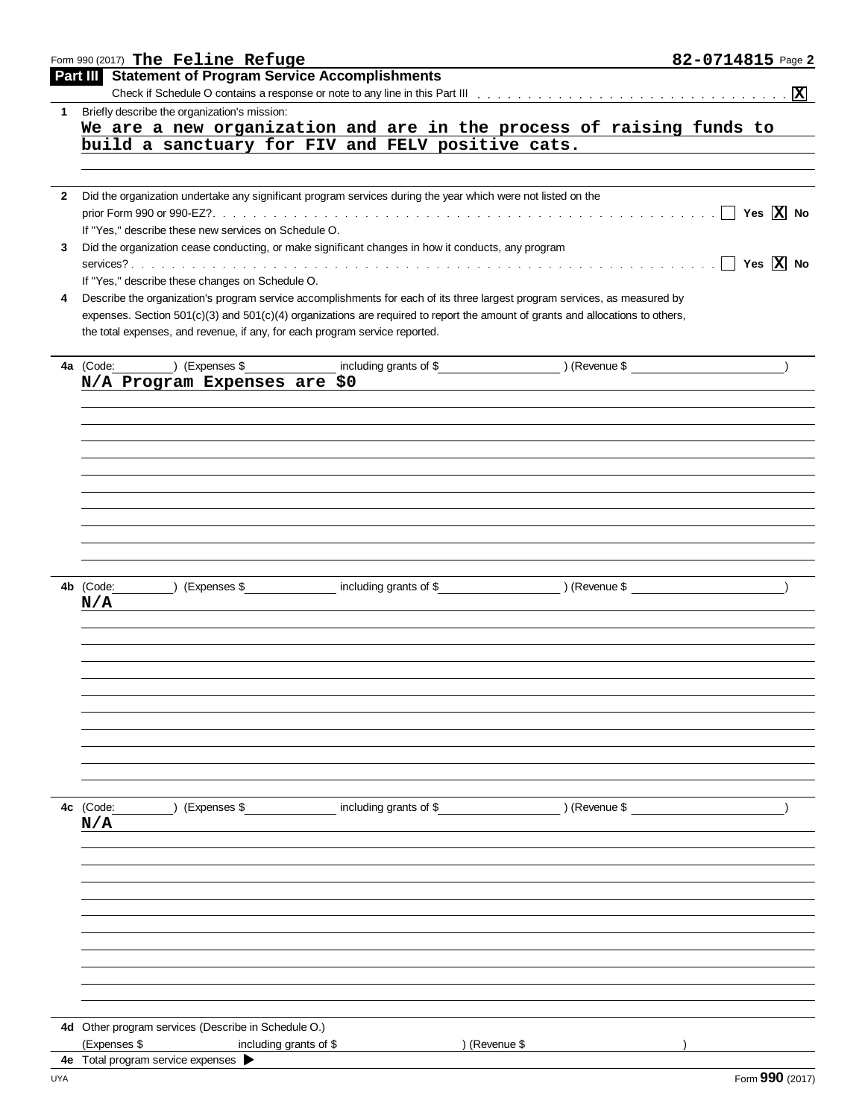|              | Part III Statement of Program Service Accomplishments                                                                                                                         |                        |                                                                                               |  |
|--------------|-------------------------------------------------------------------------------------------------------------------------------------------------------------------------------|------------------------|-----------------------------------------------------------------------------------------------|--|
|              |                                                                                                                                                                               |                        |                                                                                               |  |
| $\mathbf{1}$ | Briefly describe the organization's mission:                                                                                                                                  |                        |                                                                                               |  |
|              | We are a new organization and are in the process of raising funds to                                                                                                          |                        |                                                                                               |  |
|              | build a sanctuary for FIV and FELV positive cats.                                                                                                                             |                        |                                                                                               |  |
| $\mathbf{2}$ | Did the organization undertake any significant program services during the year which were not listed on the                                                                  |                        |                                                                                               |  |
| 3            | If "Yes," describe these new services on Schedule O.                                                                                                                          |                        |                                                                                               |  |
|              | Did the organization cease conducting, or make significant changes in how it conducts, any program                                                                            |                        |                                                                                               |  |
|              | If "Yes," describe these changes on Schedule O.<br>Describe the organization's program service accomplishments for each of its three largest program services, as measured by |                        |                                                                                               |  |
|              | expenses. Section $501(c)(3)$ and $501(c)(4)$ organizations are required to report the amount of grants and allocations to others,                                            |                        |                                                                                               |  |
|              | the total expenses, and revenue, if any, for each program service reported.                                                                                                   |                        |                                                                                               |  |
|              | 4a (Code: ) (Expenses \$                                                                                                                                                      |                        | including grants of \$ (Revenue \$) (Revenue \$)                                              |  |
|              | N/A Program Expenses are \$0                                                                                                                                                  |                        |                                                                                               |  |
|              |                                                                                                                                                                               |                        |                                                                                               |  |
|              |                                                                                                                                                                               |                        |                                                                                               |  |
|              |                                                                                                                                                                               |                        |                                                                                               |  |
|              |                                                                                                                                                                               |                        |                                                                                               |  |
|              |                                                                                                                                                                               |                        |                                                                                               |  |
|              |                                                                                                                                                                               |                        |                                                                                               |  |
|              |                                                                                                                                                                               |                        |                                                                                               |  |
|              | 4b (Code:<br>N/A                                                                                                                                                              |                        | $(1)$ (Expenses \$ $\qquad \qquad$ including grants of \$ $(2)$ (Revenue \$ $\qquad \qquad$ ) |  |
|              |                                                                                                                                                                               |                        |                                                                                               |  |
|              |                                                                                                                                                                               |                        |                                                                                               |  |
|              |                                                                                                                                                                               |                        |                                                                                               |  |
|              |                                                                                                                                                                               |                        |                                                                                               |  |
|              |                                                                                                                                                                               |                        |                                                                                               |  |
|              |                                                                                                                                                                               |                        |                                                                                               |  |
|              |                                                                                                                                                                               |                        |                                                                                               |  |
|              | 4c (Code:<br>) (Expenses \$                                                                                                                                                   | including grants of \$ | $($ Revenue \$                                                                                |  |
|              | N/A                                                                                                                                                                           |                        |                                                                                               |  |
|              |                                                                                                                                                                               |                        |                                                                                               |  |
|              |                                                                                                                                                                               |                        |                                                                                               |  |
|              |                                                                                                                                                                               |                        |                                                                                               |  |
|              |                                                                                                                                                                               |                        |                                                                                               |  |
|              |                                                                                                                                                                               |                        |                                                                                               |  |
|              |                                                                                                                                                                               |                        |                                                                                               |  |
|              |                                                                                                                                                                               |                        |                                                                                               |  |
|              | 4d Other program services (Describe in Schedule O.)                                                                                                                           |                        |                                                                                               |  |
|              | (Expenses \$<br>including grants of \$                                                                                                                                        | ) (Revenue \$          |                                                                                               |  |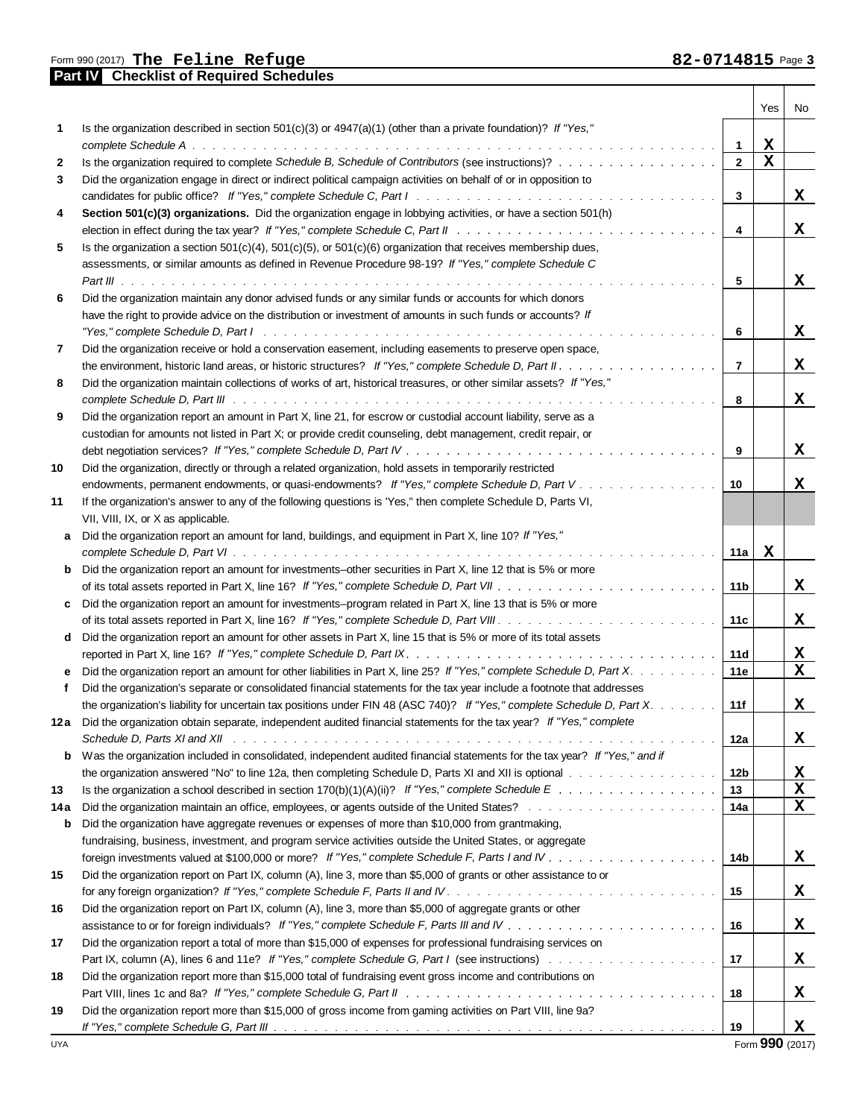Form 990 (2017) **Part IV Part I Checklist of Required Schedules The Feline Refuge 82-0714815**

 $\overline{\phantom{a}}$ 

 $\overline{\mathbf{r}}$ 

|              |                                                                                                                                                                                                                                |                | Yes         | No                      |
|--------------|--------------------------------------------------------------------------------------------------------------------------------------------------------------------------------------------------------------------------------|----------------|-------------|-------------------------|
| $\mathbf{1}$ | Is the organization described in section $501(c)(3)$ or $4947(a)(1)$ (other than a private foundation)? If "Yes,"                                                                                                              |                |             |                         |
|              |                                                                                                                                                                                                                                | $\mathbf{1}$   | X           |                         |
| 2            |                                                                                                                                                                                                                                | $\overline{2}$ | $\mathbf x$ |                         |
| 3            | Did the organization engage in direct or indirect political campaign activities on behalf of or in opposition to                                                                                                               |                |             |                         |
|              |                                                                                                                                                                                                                                | 3              |             | X                       |
| 4            | Section 501(c)(3) organizations. Did the organization engage in lobbying activities, or have a section 501(h)                                                                                                                  |                |             |                         |
|              |                                                                                                                                                                                                                                | 4              |             | X                       |
| 5            | Is the organization a section $501(c)(4)$ , $501(c)(5)$ , or $501(c)(6)$ organization that receives membership dues,                                                                                                           |                |             |                         |
|              | assessments, or similar amounts as defined in Revenue Procedure 98-19? If "Yes," complete Schedule C                                                                                                                           |                |             |                         |
|              |                                                                                                                                                                                                                                | 5              |             | X                       |
| 6            | Did the organization maintain any donor advised funds or any similar funds or accounts for which donors                                                                                                                        |                |             |                         |
|              | have the right to provide advice on the distribution or investment of amounts in such funds or accounts? If                                                                                                                    |                |             |                         |
|              |                                                                                                                                                                                                                                | 6              |             | X                       |
| 7            | Did the organization receive or hold a conservation easement, including easements to preserve open space,                                                                                                                      |                |             |                         |
|              |                                                                                                                                                                                                                                | 7              |             | X                       |
| 8            | Did the organization maintain collections of works of art, historical treasures, or other similar assets? If "Yes,"                                                                                                            |                |             |                         |
|              |                                                                                                                                                                                                                                | 8              |             | X                       |
| 9            | Did the organization report an amount in Part X, line 21, for escrow or custodial account liability, serve as a                                                                                                                |                |             |                         |
|              | custodian for amounts not listed in Part X; or provide credit counseling, debt management, credit repair, or                                                                                                                   |                |             |                         |
|              |                                                                                                                                                                                                                                | 9              |             | X                       |
| 10           | Did the organization, directly or through a related organization, hold assets in temporarily restricted                                                                                                                        |                |             |                         |
|              | endowments, permanent endowments, or quasi-endowments? If "Yes," complete Schedule D, Part V                                                                                                                                   | 10             |             | X                       |
| 11           | If the organization's answer to any of the following questions is 'Yes," then complete Schedule D, Parts VI,                                                                                                                   |                |             |                         |
|              | VII, VIII, IX, or X as applicable.                                                                                                                                                                                             |                |             |                         |
| а            | Did the organization report an amount for land, buildings, and equipment in Part X, line 10? If "Yes,"                                                                                                                         |                |             |                         |
|              |                                                                                                                                                                                                                                | 11a            | X           |                         |
| b            | Did the organization report an amount for investments-other securities in Part X, line 12 that is 5% or more                                                                                                                   |                |             |                         |
|              |                                                                                                                                                                                                                                | 11b            |             | X                       |
| c            | Did the organization report an amount for investments-program related in Part X, line 13 that is 5% or more                                                                                                                    |                |             |                         |
|              |                                                                                                                                                                                                                                | 11c            |             | X                       |
| d            | Did the organization report an amount for other assets in Part X, line 15 that is 5% or more of its total assets                                                                                                               |                |             |                         |
|              |                                                                                                                                                                                                                                | 11d            |             | X                       |
|              | Did the organization report an amount for other liabilities in Part X, line 25? If "Yes," complete Schedule D, Part X.                                                                                                         | 11e            |             | $\mathbf x$             |
| f            | Did the organization's separate or consolidated financial statements for the tax year include a footnote that addresses                                                                                                        |                |             |                         |
|              | the organization's liability for uncertain tax positions under FIN 48 (ASC 740)? If "Yes," complete Schedule D, Part X.                                                                                                        | 11f            |             | X                       |
| 12a          | Did the organization obtain separate, independent audited financial statements for the tax year? If "Yes," complete                                                                                                            |                |             |                         |
|              |                                                                                                                                                                                                                                | 12a            |             | X                       |
|              | b Was the organization included in consolidated, independent audited financial statements for the tax year? If "Yes," and if                                                                                                   |                |             |                         |
|              | the organization answered "No" to line 12a, then completing Schedule D, Parts XI and XII is optional with the view of the view of the completing Schedule D, Parts XI and XII is optional with the view of the view of the com | 12b            |             | <u>x</u>                |
| 13           |                                                                                                                                                                                                                                | 13             |             | $\overline{\mathbf{x}}$ |
| 14a          |                                                                                                                                                                                                                                | 14a            |             | $\overline{\mathbf{x}}$ |
| b            | Did the organization have aggregate revenues or expenses of more than \$10,000 from grantmaking,                                                                                                                               |                |             |                         |
|              | fundraising, business, investment, and program service activities outside the United States, or aggregate                                                                                                                      |                |             |                         |
|              |                                                                                                                                                                                                                                | 14b            |             | X                       |
| 15           | Did the organization report on Part IX, column (A), line 3, more than \$5,000 of grants or other assistance to or                                                                                                              |                |             |                         |
|              |                                                                                                                                                                                                                                | 15             |             | X                       |
| 16           | Did the organization report on Part IX, column (A), line 3, more than \$5,000 of aggregate grants or other                                                                                                                     |                |             |                         |
|              |                                                                                                                                                                                                                                | 16             |             | X                       |
| 17           | Did the organization report a total of more than \$15,000 of expenses for professional fundraising services on                                                                                                                 |                |             |                         |
|              |                                                                                                                                                                                                                                | 17             |             | X                       |
| 18           | Did the organization report more than \$15,000 total of fundraising event gross income and contributions on                                                                                                                    |                |             |                         |
|              |                                                                                                                                                                                                                                | 18             |             | X,                      |
| 19           | Did the organization report more than \$15,000 of gross income from gaming activities on Part VIII, line 9a?                                                                                                                   |                |             |                         |
|              |                                                                                                                                                                                                                                | 19             |             | X                       |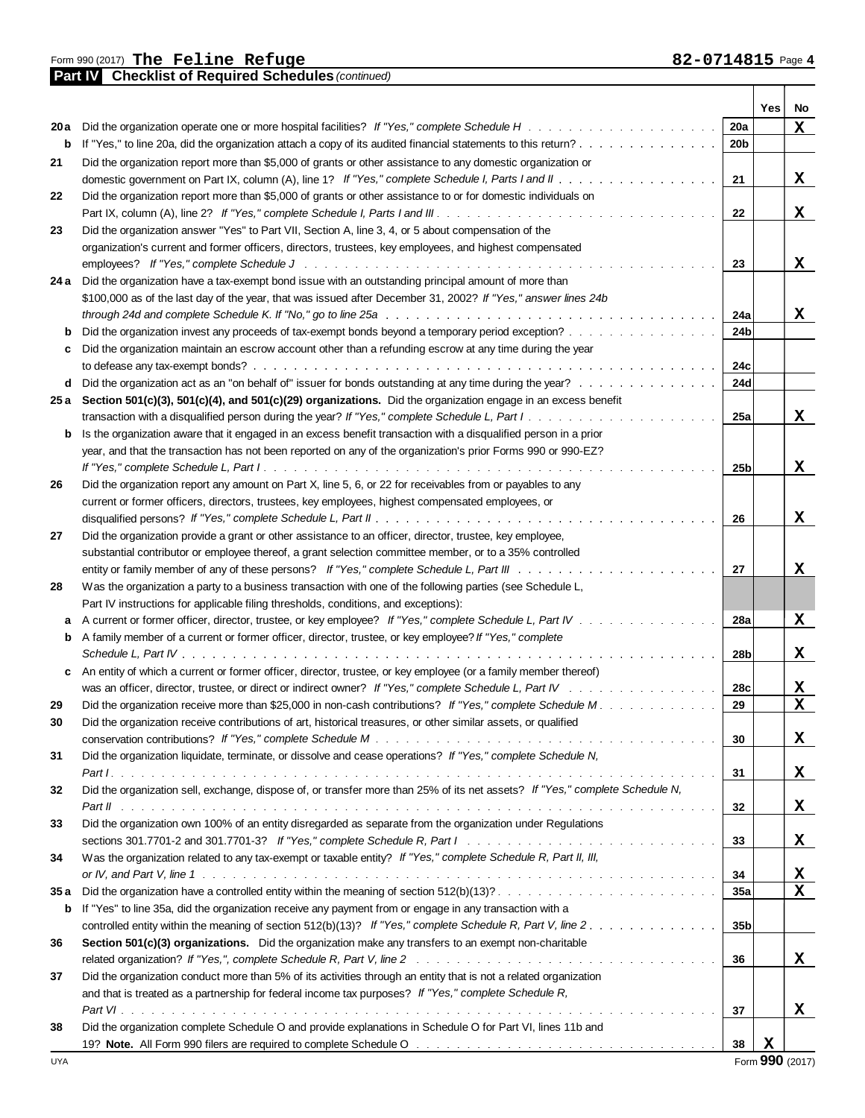**Part IV Checklist of Required Schedules** *(continued)*

| Yes<br>20a<br>X<br>20 a<br>20b<br>b<br>Did the organization report more than \$5,000 of grants or other assistance to any domestic organization or<br>21<br>x<br>21<br>22<br>Did the organization report more than \$5,000 of grants or other assistance to or for domestic individuals on<br>X<br>22<br>Did the organization answer "Yes" to Part VII, Section A, line 3, 4, or 5 about compensation of the<br>23<br>organization's current and former officers, directors, trustees, key employees, and highest compensated<br>x<br>23<br>24 a Did the organization have a tax-exempt bond issue with an outstanding principal amount of more than<br>\$100,000 as of the last day of the year, that was issued after December 31, 2002? If "Yes," answer lines 24b<br>X<br>24a<br>Did the organization invest any proceeds of tax-exempt bonds beyond a temporary period exception?<br>24b<br>b<br>Did the organization maintain an escrow account other than a refunding escrow at any time during the year<br>c<br>24c<br>Did the organization act as an "on behalf of" issuer for bonds outstanding at any time during the year?<br>24d<br>d<br>25 a Section 501(c)(3), 501(c)(4), and 501(c)(29) organizations. Did the organization engage in an excess benefit<br>25a<br>Is the organization aware that it engaged in an excess benefit transaction with a disqualified person in a prior<br>b<br>year, and that the transaction has not been reported on any of the organization's prior Forms 990 or 990-EZ?<br>25 <sub>b</sub><br>Did the organization report any amount on Part X, line 5, 6, or 22 for receivables from or payables to any<br>current or former officers, directors, trustees, key employees, highest compensated employees, or<br>26<br>Did the organization provide a grant or other assistance to an officer, director, trustee, key employee,<br>substantial contributor or employee thereof, a grant selection committee member, or to a 35% controlled<br>X<br>27<br>Was the organization a party to a business transaction with one of the following parties (see Schedule L,<br>Part IV instructions for applicable filing thresholds, conditions, and exceptions):<br>X<br>A current or former officer, director, trustee, or key employee? If "Yes," complete Schedule L, Part IV<br>28a<br>a<br><b>b</b> A family member of a current or former officer, director, trustee, or key employee? If "Yes," complete<br>x<br>28b<br>c An entity of which a current or former officer, director, trustee, or key employee (or a family member thereof)<br>х<br>28c<br>$\mathbf x$<br>Did the organization receive more than \$25,000 in non-cash contributions? If "Yes," complete Schedule M.<br>29<br>29<br>Did the organization receive contributions of art, historical treasures, or other similar assets, or qualified<br>30<br>30<br>X<br>Did the organization liquidate, terminate, or dissolve and cease operations? If "Yes," complete Schedule N,<br>31<br>$\mathbf{x}$<br>31<br>Did the organization sell, exchange, dispose of, or transfer more than 25% of its net assets? If "Yes," complete Schedule N,<br>32<br>X<br>32<br>Did the organization own 100% of an entity disregarded as separate from the organization under Regulations<br>33<br>Was the organization related to any tax-exempt or taxable entity? If "Yes," complete Schedule R, Part II, III,<br>34<br>35a<br>If "Yes" to line 35a, did the organization receive any payment from or engage in any transaction with a<br>b<br>controlled entity within the meaning of section 512(b)(13)? If "Yes," complete Schedule R, Part V, line 2.<br>35 <sub>b</sub><br>Section 501(c)(3) organizations. Did the organization make any transfers to an exempt non-charitable<br>36<br>Did the organization conduct more than 5% of its activities through an entity that is not a related organization<br>37<br>and that is treated as a partnership for federal income tax purposes? If "Yes," complete Schedule R,<br>x<br>37<br>Did the organization complete Schedule O and provide explanations in Schedule O for Part VI, lines 11b and<br>38<br>$\mathbf x$<br>38<br>Form 990 (2017) |            | Cristmat of Required Ochedules (Commuta) |  |             |
|---------------------------------------------------------------------------------------------------------------------------------------------------------------------------------------------------------------------------------------------------------------------------------------------------------------------------------------------------------------------------------------------------------------------------------------------------------------------------------------------------------------------------------------------------------------------------------------------------------------------------------------------------------------------------------------------------------------------------------------------------------------------------------------------------------------------------------------------------------------------------------------------------------------------------------------------------------------------------------------------------------------------------------------------------------------------------------------------------------------------------------------------------------------------------------------------------------------------------------------------------------------------------------------------------------------------------------------------------------------------------------------------------------------------------------------------------------------------------------------------------------------------------------------------------------------------------------------------------------------------------------------------------------------------------------------------------------------------------------------------------------------------------------------------------------------------------------------------------------------------------------------------------------------------------------------------------------------------------------------------------------------------------------------------------------------------------------------------------------------------------------------------------------------------------------------------------------------------------------------------------------------------------------------------------------------------------------------------------------------------------------------------------------------------------------------------------------------------------------------------------------------------------------------------------------------------------------------------------------------------------------------------------------------------------------------------------------------------------------------------------------------------------------------------------------------------------------------------------------------------------------------------------------------------------------------------------------------------------------------------------------------------------------------------------------------------------------------------------------------------------------------------------------------------------------------------------------------------------------------------------------------------------------------------------------------------------------------------------------------------------------------------------------------------------------------------------------------------------------------------------------------------------------------------------------------------------------------------------------------------------------------------------------------------------------------------------------------------------------------------------------------------------------------------------------------------------------------------------------------------------------------------------------------------------------------------------------------------------------------------------------------------------------------------------------------------------------------------------------------------------------------------------------------------------------------------------------|------------|------------------------------------------|--|-------------|
|                                                                                                                                                                                                                                                                                                                                                                                                                                                                                                                                                                                                                                                                                                                                                                                                                                                                                                                                                                                                                                                                                                                                                                                                                                                                                                                                                                                                                                                                                                                                                                                                                                                                                                                                                                                                                                                                                                                                                                                                                                                                                                                                                                                                                                                                                                                                                                                                                                                                                                                                                                                                                                                                                                                                                                                                                                                                                                                                                                                                                                                                                                                                                                                                                                                                                                                                                                                                                                                                                                                                                                                                                                                                                                                                                                                                                                                                                                                                                                                                                                                                                                                                                                                                         |            |                                          |  | No          |
|                                                                                                                                                                                                                                                                                                                                                                                                                                                                                                                                                                                                                                                                                                                                                                                                                                                                                                                                                                                                                                                                                                                                                                                                                                                                                                                                                                                                                                                                                                                                                                                                                                                                                                                                                                                                                                                                                                                                                                                                                                                                                                                                                                                                                                                                                                                                                                                                                                                                                                                                                                                                                                                                                                                                                                                                                                                                                                                                                                                                                                                                                                                                                                                                                                                                                                                                                                                                                                                                                                                                                                                                                                                                                                                                                                                                                                                                                                                                                                                                                                                                                                                                                                                                         |            |                                          |  |             |
|                                                                                                                                                                                                                                                                                                                                                                                                                                                                                                                                                                                                                                                                                                                                                                                                                                                                                                                                                                                                                                                                                                                                                                                                                                                                                                                                                                                                                                                                                                                                                                                                                                                                                                                                                                                                                                                                                                                                                                                                                                                                                                                                                                                                                                                                                                                                                                                                                                                                                                                                                                                                                                                                                                                                                                                                                                                                                                                                                                                                                                                                                                                                                                                                                                                                                                                                                                                                                                                                                                                                                                                                                                                                                                                                                                                                                                                                                                                                                                                                                                                                                                                                                                                                         |            |                                          |  |             |
|                                                                                                                                                                                                                                                                                                                                                                                                                                                                                                                                                                                                                                                                                                                                                                                                                                                                                                                                                                                                                                                                                                                                                                                                                                                                                                                                                                                                                                                                                                                                                                                                                                                                                                                                                                                                                                                                                                                                                                                                                                                                                                                                                                                                                                                                                                                                                                                                                                                                                                                                                                                                                                                                                                                                                                                                                                                                                                                                                                                                                                                                                                                                                                                                                                                                                                                                                                                                                                                                                                                                                                                                                                                                                                                                                                                                                                                                                                                                                                                                                                                                                                                                                                                                         |            |                                          |  |             |
|                                                                                                                                                                                                                                                                                                                                                                                                                                                                                                                                                                                                                                                                                                                                                                                                                                                                                                                                                                                                                                                                                                                                                                                                                                                                                                                                                                                                                                                                                                                                                                                                                                                                                                                                                                                                                                                                                                                                                                                                                                                                                                                                                                                                                                                                                                                                                                                                                                                                                                                                                                                                                                                                                                                                                                                                                                                                                                                                                                                                                                                                                                                                                                                                                                                                                                                                                                                                                                                                                                                                                                                                                                                                                                                                                                                                                                                                                                                                                                                                                                                                                                                                                                                                         |            |                                          |  |             |
|                                                                                                                                                                                                                                                                                                                                                                                                                                                                                                                                                                                                                                                                                                                                                                                                                                                                                                                                                                                                                                                                                                                                                                                                                                                                                                                                                                                                                                                                                                                                                                                                                                                                                                                                                                                                                                                                                                                                                                                                                                                                                                                                                                                                                                                                                                                                                                                                                                                                                                                                                                                                                                                                                                                                                                                                                                                                                                                                                                                                                                                                                                                                                                                                                                                                                                                                                                                                                                                                                                                                                                                                                                                                                                                                                                                                                                                                                                                                                                                                                                                                                                                                                                                                         |            |                                          |  |             |
|                                                                                                                                                                                                                                                                                                                                                                                                                                                                                                                                                                                                                                                                                                                                                                                                                                                                                                                                                                                                                                                                                                                                                                                                                                                                                                                                                                                                                                                                                                                                                                                                                                                                                                                                                                                                                                                                                                                                                                                                                                                                                                                                                                                                                                                                                                                                                                                                                                                                                                                                                                                                                                                                                                                                                                                                                                                                                                                                                                                                                                                                                                                                                                                                                                                                                                                                                                                                                                                                                                                                                                                                                                                                                                                                                                                                                                                                                                                                                                                                                                                                                                                                                                                                         |            |                                          |  |             |
|                                                                                                                                                                                                                                                                                                                                                                                                                                                                                                                                                                                                                                                                                                                                                                                                                                                                                                                                                                                                                                                                                                                                                                                                                                                                                                                                                                                                                                                                                                                                                                                                                                                                                                                                                                                                                                                                                                                                                                                                                                                                                                                                                                                                                                                                                                                                                                                                                                                                                                                                                                                                                                                                                                                                                                                                                                                                                                                                                                                                                                                                                                                                                                                                                                                                                                                                                                                                                                                                                                                                                                                                                                                                                                                                                                                                                                                                                                                                                                                                                                                                                                                                                                                                         |            |                                          |  |             |
|                                                                                                                                                                                                                                                                                                                                                                                                                                                                                                                                                                                                                                                                                                                                                                                                                                                                                                                                                                                                                                                                                                                                                                                                                                                                                                                                                                                                                                                                                                                                                                                                                                                                                                                                                                                                                                                                                                                                                                                                                                                                                                                                                                                                                                                                                                                                                                                                                                                                                                                                                                                                                                                                                                                                                                                                                                                                                                                                                                                                                                                                                                                                                                                                                                                                                                                                                                                                                                                                                                                                                                                                                                                                                                                                                                                                                                                                                                                                                                                                                                                                                                                                                                                                         |            |                                          |  |             |
|                                                                                                                                                                                                                                                                                                                                                                                                                                                                                                                                                                                                                                                                                                                                                                                                                                                                                                                                                                                                                                                                                                                                                                                                                                                                                                                                                                                                                                                                                                                                                                                                                                                                                                                                                                                                                                                                                                                                                                                                                                                                                                                                                                                                                                                                                                                                                                                                                                                                                                                                                                                                                                                                                                                                                                                                                                                                                                                                                                                                                                                                                                                                                                                                                                                                                                                                                                                                                                                                                                                                                                                                                                                                                                                                                                                                                                                                                                                                                                                                                                                                                                                                                                                                         |            |                                          |  |             |
|                                                                                                                                                                                                                                                                                                                                                                                                                                                                                                                                                                                                                                                                                                                                                                                                                                                                                                                                                                                                                                                                                                                                                                                                                                                                                                                                                                                                                                                                                                                                                                                                                                                                                                                                                                                                                                                                                                                                                                                                                                                                                                                                                                                                                                                                                                                                                                                                                                                                                                                                                                                                                                                                                                                                                                                                                                                                                                                                                                                                                                                                                                                                                                                                                                                                                                                                                                                                                                                                                                                                                                                                                                                                                                                                                                                                                                                                                                                                                                                                                                                                                                                                                                                                         |            |                                          |  |             |
|                                                                                                                                                                                                                                                                                                                                                                                                                                                                                                                                                                                                                                                                                                                                                                                                                                                                                                                                                                                                                                                                                                                                                                                                                                                                                                                                                                                                                                                                                                                                                                                                                                                                                                                                                                                                                                                                                                                                                                                                                                                                                                                                                                                                                                                                                                                                                                                                                                                                                                                                                                                                                                                                                                                                                                                                                                                                                                                                                                                                                                                                                                                                                                                                                                                                                                                                                                                                                                                                                                                                                                                                                                                                                                                                                                                                                                                                                                                                                                                                                                                                                                                                                                                                         |            |                                          |  |             |
|                                                                                                                                                                                                                                                                                                                                                                                                                                                                                                                                                                                                                                                                                                                                                                                                                                                                                                                                                                                                                                                                                                                                                                                                                                                                                                                                                                                                                                                                                                                                                                                                                                                                                                                                                                                                                                                                                                                                                                                                                                                                                                                                                                                                                                                                                                                                                                                                                                                                                                                                                                                                                                                                                                                                                                                                                                                                                                                                                                                                                                                                                                                                                                                                                                                                                                                                                                                                                                                                                                                                                                                                                                                                                                                                                                                                                                                                                                                                                                                                                                                                                                                                                                                                         |            |                                          |  |             |
|                                                                                                                                                                                                                                                                                                                                                                                                                                                                                                                                                                                                                                                                                                                                                                                                                                                                                                                                                                                                                                                                                                                                                                                                                                                                                                                                                                                                                                                                                                                                                                                                                                                                                                                                                                                                                                                                                                                                                                                                                                                                                                                                                                                                                                                                                                                                                                                                                                                                                                                                                                                                                                                                                                                                                                                                                                                                                                                                                                                                                                                                                                                                                                                                                                                                                                                                                                                                                                                                                                                                                                                                                                                                                                                                                                                                                                                                                                                                                                                                                                                                                                                                                                                                         |            |                                          |  |             |
|                                                                                                                                                                                                                                                                                                                                                                                                                                                                                                                                                                                                                                                                                                                                                                                                                                                                                                                                                                                                                                                                                                                                                                                                                                                                                                                                                                                                                                                                                                                                                                                                                                                                                                                                                                                                                                                                                                                                                                                                                                                                                                                                                                                                                                                                                                                                                                                                                                                                                                                                                                                                                                                                                                                                                                                                                                                                                                                                                                                                                                                                                                                                                                                                                                                                                                                                                                                                                                                                                                                                                                                                                                                                                                                                                                                                                                                                                                                                                                                                                                                                                                                                                                                                         |            |                                          |  |             |
|                                                                                                                                                                                                                                                                                                                                                                                                                                                                                                                                                                                                                                                                                                                                                                                                                                                                                                                                                                                                                                                                                                                                                                                                                                                                                                                                                                                                                                                                                                                                                                                                                                                                                                                                                                                                                                                                                                                                                                                                                                                                                                                                                                                                                                                                                                                                                                                                                                                                                                                                                                                                                                                                                                                                                                                                                                                                                                                                                                                                                                                                                                                                                                                                                                                                                                                                                                                                                                                                                                                                                                                                                                                                                                                                                                                                                                                                                                                                                                                                                                                                                                                                                                                                         |            |                                          |  |             |
|                                                                                                                                                                                                                                                                                                                                                                                                                                                                                                                                                                                                                                                                                                                                                                                                                                                                                                                                                                                                                                                                                                                                                                                                                                                                                                                                                                                                                                                                                                                                                                                                                                                                                                                                                                                                                                                                                                                                                                                                                                                                                                                                                                                                                                                                                                                                                                                                                                                                                                                                                                                                                                                                                                                                                                                                                                                                                                                                                                                                                                                                                                                                                                                                                                                                                                                                                                                                                                                                                                                                                                                                                                                                                                                                                                                                                                                                                                                                                                                                                                                                                                                                                                                                         |            |                                          |  |             |
|                                                                                                                                                                                                                                                                                                                                                                                                                                                                                                                                                                                                                                                                                                                                                                                                                                                                                                                                                                                                                                                                                                                                                                                                                                                                                                                                                                                                                                                                                                                                                                                                                                                                                                                                                                                                                                                                                                                                                                                                                                                                                                                                                                                                                                                                                                                                                                                                                                                                                                                                                                                                                                                                                                                                                                                                                                                                                                                                                                                                                                                                                                                                                                                                                                                                                                                                                                                                                                                                                                                                                                                                                                                                                                                                                                                                                                                                                                                                                                                                                                                                                                                                                                                                         |            |                                          |  |             |
|                                                                                                                                                                                                                                                                                                                                                                                                                                                                                                                                                                                                                                                                                                                                                                                                                                                                                                                                                                                                                                                                                                                                                                                                                                                                                                                                                                                                                                                                                                                                                                                                                                                                                                                                                                                                                                                                                                                                                                                                                                                                                                                                                                                                                                                                                                                                                                                                                                                                                                                                                                                                                                                                                                                                                                                                                                                                                                                                                                                                                                                                                                                                                                                                                                                                                                                                                                                                                                                                                                                                                                                                                                                                                                                                                                                                                                                                                                                                                                                                                                                                                                                                                                                                         |            |                                          |  |             |
|                                                                                                                                                                                                                                                                                                                                                                                                                                                                                                                                                                                                                                                                                                                                                                                                                                                                                                                                                                                                                                                                                                                                                                                                                                                                                                                                                                                                                                                                                                                                                                                                                                                                                                                                                                                                                                                                                                                                                                                                                                                                                                                                                                                                                                                                                                                                                                                                                                                                                                                                                                                                                                                                                                                                                                                                                                                                                                                                                                                                                                                                                                                                                                                                                                                                                                                                                                                                                                                                                                                                                                                                                                                                                                                                                                                                                                                                                                                                                                                                                                                                                                                                                                                                         |            |                                          |  | X           |
|                                                                                                                                                                                                                                                                                                                                                                                                                                                                                                                                                                                                                                                                                                                                                                                                                                                                                                                                                                                                                                                                                                                                                                                                                                                                                                                                                                                                                                                                                                                                                                                                                                                                                                                                                                                                                                                                                                                                                                                                                                                                                                                                                                                                                                                                                                                                                                                                                                                                                                                                                                                                                                                                                                                                                                                                                                                                                                                                                                                                                                                                                                                                                                                                                                                                                                                                                                                                                                                                                                                                                                                                                                                                                                                                                                                                                                                                                                                                                                                                                                                                                                                                                                                                         |            |                                          |  |             |
|                                                                                                                                                                                                                                                                                                                                                                                                                                                                                                                                                                                                                                                                                                                                                                                                                                                                                                                                                                                                                                                                                                                                                                                                                                                                                                                                                                                                                                                                                                                                                                                                                                                                                                                                                                                                                                                                                                                                                                                                                                                                                                                                                                                                                                                                                                                                                                                                                                                                                                                                                                                                                                                                                                                                                                                                                                                                                                                                                                                                                                                                                                                                                                                                                                                                                                                                                                                                                                                                                                                                                                                                                                                                                                                                                                                                                                                                                                                                                                                                                                                                                                                                                                                                         |            |                                          |  |             |
|                                                                                                                                                                                                                                                                                                                                                                                                                                                                                                                                                                                                                                                                                                                                                                                                                                                                                                                                                                                                                                                                                                                                                                                                                                                                                                                                                                                                                                                                                                                                                                                                                                                                                                                                                                                                                                                                                                                                                                                                                                                                                                                                                                                                                                                                                                                                                                                                                                                                                                                                                                                                                                                                                                                                                                                                                                                                                                                                                                                                                                                                                                                                                                                                                                                                                                                                                                                                                                                                                                                                                                                                                                                                                                                                                                                                                                                                                                                                                                                                                                                                                                                                                                                                         |            |                                          |  | x           |
|                                                                                                                                                                                                                                                                                                                                                                                                                                                                                                                                                                                                                                                                                                                                                                                                                                                                                                                                                                                                                                                                                                                                                                                                                                                                                                                                                                                                                                                                                                                                                                                                                                                                                                                                                                                                                                                                                                                                                                                                                                                                                                                                                                                                                                                                                                                                                                                                                                                                                                                                                                                                                                                                                                                                                                                                                                                                                                                                                                                                                                                                                                                                                                                                                                                                                                                                                                                                                                                                                                                                                                                                                                                                                                                                                                                                                                                                                                                                                                                                                                                                                                                                                                                                         | 26         |                                          |  |             |
|                                                                                                                                                                                                                                                                                                                                                                                                                                                                                                                                                                                                                                                                                                                                                                                                                                                                                                                                                                                                                                                                                                                                                                                                                                                                                                                                                                                                                                                                                                                                                                                                                                                                                                                                                                                                                                                                                                                                                                                                                                                                                                                                                                                                                                                                                                                                                                                                                                                                                                                                                                                                                                                                                                                                                                                                                                                                                                                                                                                                                                                                                                                                                                                                                                                                                                                                                                                                                                                                                                                                                                                                                                                                                                                                                                                                                                                                                                                                                                                                                                                                                                                                                                                                         |            |                                          |  |             |
|                                                                                                                                                                                                                                                                                                                                                                                                                                                                                                                                                                                                                                                                                                                                                                                                                                                                                                                                                                                                                                                                                                                                                                                                                                                                                                                                                                                                                                                                                                                                                                                                                                                                                                                                                                                                                                                                                                                                                                                                                                                                                                                                                                                                                                                                                                                                                                                                                                                                                                                                                                                                                                                                                                                                                                                                                                                                                                                                                                                                                                                                                                                                                                                                                                                                                                                                                                                                                                                                                                                                                                                                                                                                                                                                                                                                                                                                                                                                                                                                                                                                                                                                                                                                         |            |                                          |  | X           |
|                                                                                                                                                                                                                                                                                                                                                                                                                                                                                                                                                                                                                                                                                                                                                                                                                                                                                                                                                                                                                                                                                                                                                                                                                                                                                                                                                                                                                                                                                                                                                                                                                                                                                                                                                                                                                                                                                                                                                                                                                                                                                                                                                                                                                                                                                                                                                                                                                                                                                                                                                                                                                                                                                                                                                                                                                                                                                                                                                                                                                                                                                                                                                                                                                                                                                                                                                                                                                                                                                                                                                                                                                                                                                                                                                                                                                                                                                                                                                                                                                                                                                                                                                                                                         | 27         |                                          |  |             |
|                                                                                                                                                                                                                                                                                                                                                                                                                                                                                                                                                                                                                                                                                                                                                                                                                                                                                                                                                                                                                                                                                                                                                                                                                                                                                                                                                                                                                                                                                                                                                                                                                                                                                                                                                                                                                                                                                                                                                                                                                                                                                                                                                                                                                                                                                                                                                                                                                                                                                                                                                                                                                                                                                                                                                                                                                                                                                                                                                                                                                                                                                                                                                                                                                                                                                                                                                                                                                                                                                                                                                                                                                                                                                                                                                                                                                                                                                                                                                                                                                                                                                                                                                                                                         |            |                                          |  |             |
|                                                                                                                                                                                                                                                                                                                                                                                                                                                                                                                                                                                                                                                                                                                                                                                                                                                                                                                                                                                                                                                                                                                                                                                                                                                                                                                                                                                                                                                                                                                                                                                                                                                                                                                                                                                                                                                                                                                                                                                                                                                                                                                                                                                                                                                                                                                                                                                                                                                                                                                                                                                                                                                                                                                                                                                                                                                                                                                                                                                                                                                                                                                                                                                                                                                                                                                                                                                                                                                                                                                                                                                                                                                                                                                                                                                                                                                                                                                                                                                                                                                                                                                                                                                                         |            |                                          |  |             |
|                                                                                                                                                                                                                                                                                                                                                                                                                                                                                                                                                                                                                                                                                                                                                                                                                                                                                                                                                                                                                                                                                                                                                                                                                                                                                                                                                                                                                                                                                                                                                                                                                                                                                                                                                                                                                                                                                                                                                                                                                                                                                                                                                                                                                                                                                                                                                                                                                                                                                                                                                                                                                                                                                                                                                                                                                                                                                                                                                                                                                                                                                                                                                                                                                                                                                                                                                                                                                                                                                                                                                                                                                                                                                                                                                                                                                                                                                                                                                                                                                                                                                                                                                                                                         | 28         |                                          |  |             |
|                                                                                                                                                                                                                                                                                                                                                                                                                                                                                                                                                                                                                                                                                                                                                                                                                                                                                                                                                                                                                                                                                                                                                                                                                                                                                                                                                                                                                                                                                                                                                                                                                                                                                                                                                                                                                                                                                                                                                                                                                                                                                                                                                                                                                                                                                                                                                                                                                                                                                                                                                                                                                                                                                                                                                                                                                                                                                                                                                                                                                                                                                                                                                                                                                                                                                                                                                                                                                                                                                                                                                                                                                                                                                                                                                                                                                                                                                                                                                                                                                                                                                                                                                                                                         |            |                                          |  |             |
|                                                                                                                                                                                                                                                                                                                                                                                                                                                                                                                                                                                                                                                                                                                                                                                                                                                                                                                                                                                                                                                                                                                                                                                                                                                                                                                                                                                                                                                                                                                                                                                                                                                                                                                                                                                                                                                                                                                                                                                                                                                                                                                                                                                                                                                                                                                                                                                                                                                                                                                                                                                                                                                                                                                                                                                                                                                                                                                                                                                                                                                                                                                                                                                                                                                                                                                                                                                                                                                                                                                                                                                                                                                                                                                                                                                                                                                                                                                                                                                                                                                                                                                                                                                                         |            |                                          |  |             |
|                                                                                                                                                                                                                                                                                                                                                                                                                                                                                                                                                                                                                                                                                                                                                                                                                                                                                                                                                                                                                                                                                                                                                                                                                                                                                                                                                                                                                                                                                                                                                                                                                                                                                                                                                                                                                                                                                                                                                                                                                                                                                                                                                                                                                                                                                                                                                                                                                                                                                                                                                                                                                                                                                                                                                                                                                                                                                                                                                                                                                                                                                                                                                                                                                                                                                                                                                                                                                                                                                                                                                                                                                                                                                                                                                                                                                                                                                                                                                                                                                                                                                                                                                                                                         |            |                                          |  |             |
|                                                                                                                                                                                                                                                                                                                                                                                                                                                                                                                                                                                                                                                                                                                                                                                                                                                                                                                                                                                                                                                                                                                                                                                                                                                                                                                                                                                                                                                                                                                                                                                                                                                                                                                                                                                                                                                                                                                                                                                                                                                                                                                                                                                                                                                                                                                                                                                                                                                                                                                                                                                                                                                                                                                                                                                                                                                                                                                                                                                                                                                                                                                                                                                                                                                                                                                                                                                                                                                                                                                                                                                                                                                                                                                                                                                                                                                                                                                                                                                                                                                                                                                                                                                                         |            |                                          |  |             |
|                                                                                                                                                                                                                                                                                                                                                                                                                                                                                                                                                                                                                                                                                                                                                                                                                                                                                                                                                                                                                                                                                                                                                                                                                                                                                                                                                                                                                                                                                                                                                                                                                                                                                                                                                                                                                                                                                                                                                                                                                                                                                                                                                                                                                                                                                                                                                                                                                                                                                                                                                                                                                                                                                                                                                                                                                                                                                                                                                                                                                                                                                                                                                                                                                                                                                                                                                                                                                                                                                                                                                                                                                                                                                                                                                                                                                                                                                                                                                                                                                                                                                                                                                                                                         |            |                                          |  |             |
|                                                                                                                                                                                                                                                                                                                                                                                                                                                                                                                                                                                                                                                                                                                                                                                                                                                                                                                                                                                                                                                                                                                                                                                                                                                                                                                                                                                                                                                                                                                                                                                                                                                                                                                                                                                                                                                                                                                                                                                                                                                                                                                                                                                                                                                                                                                                                                                                                                                                                                                                                                                                                                                                                                                                                                                                                                                                                                                                                                                                                                                                                                                                                                                                                                                                                                                                                                                                                                                                                                                                                                                                                                                                                                                                                                                                                                                                                                                                                                                                                                                                                                                                                                                                         |            |                                          |  |             |
|                                                                                                                                                                                                                                                                                                                                                                                                                                                                                                                                                                                                                                                                                                                                                                                                                                                                                                                                                                                                                                                                                                                                                                                                                                                                                                                                                                                                                                                                                                                                                                                                                                                                                                                                                                                                                                                                                                                                                                                                                                                                                                                                                                                                                                                                                                                                                                                                                                                                                                                                                                                                                                                                                                                                                                                                                                                                                                                                                                                                                                                                                                                                                                                                                                                                                                                                                                                                                                                                                                                                                                                                                                                                                                                                                                                                                                                                                                                                                                                                                                                                                                                                                                                                         |            |                                          |  |             |
|                                                                                                                                                                                                                                                                                                                                                                                                                                                                                                                                                                                                                                                                                                                                                                                                                                                                                                                                                                                                                                                                                                                                                                                                                                                                                                                                                                                                                                                                                                                                                                                                                                                                                                                                                                                                                                                                                                                                                                                                                                                                                                                                                                                                                                                                                                                                                                                                                                                                                                                                                                                                                                                                                                                                                                                                                                                                                                                                                                                                                                                                                                                                                                                                                                                                                                                                                                                                                                                                                                                                                                                                                                                                                                                                                                                                                                                                                                                                                                                                                                                                                                                                                                                                         |            |                                          |  |             |
|                                                                                                                                                                                                                                                                                                                                                                                                                                                                                                                                                                                                                                                                                                                                                                                                                                                                                                                                                                                                                                                                                                                                                                                                                                                                                                                                                                                                                                                                                                                                                                                                                                                                                                                                                                                                                                                                                                                                                                                                                                                                                                                                                                                                                                                                                                                                                                                                                                                                                                                                                                                                                                                                                                                                                                                                                                                                                                                                                                                                                                                                                                                                                                                                                                                                                                                                                                                                                                                                                                                                                                                                                                                                                                                                                                                                                                                                                                                                                                                                                                                                                                                                                                                                         |            |                                          |  |             |
|                                                                                                                                                                                                                                                                                                                                                                                                                                                                                                                                                                                                                                                                                                                                                                                                                                                                                                                                                                                                                                                                                                                                                                                                                                                                                                                                                                                                                                                                                                                                                                                                                                                                                                                                                                                                                                                                                                                                                                                                                                                                                                                                                                                                                                                                                                                                                                                                                                                                                                                                                                                                                                                                                                                                                                                                                                                                                                                                                                                                                                                                                                                                                                                                                                                                                                                                                                                                                                                                                                                                                                                                                                                                                                                                                                                                                                                                                                                                                                                                                                                                                                                                                                                                         |            |                                          |  |             |
|                                                                                                                                                                                                                                                                                                                                                                                                                                                                                                                                                                                                                                                                                                                                                                                                                                                                                                                                                                                                                                                                                                                                                                                                                                                                                                                                                                                                                                                                                                                                                                                                                                                                                                                                                                                                                                                                                                                                                                                                                                                                                                                                                                                                                                                                                                                                                                                                                                                                                                                                                                                                                                                                                                                                                                                                                                                                                                                                                                                                                                                                                                                                                                                                                                                                                                                                                                                                                                                                                                                                                                                                                                                                                                                                                                                                                                                                                                                                                                                                                                                                                                                                                                                                         |            |                                          |  |             |
|                                                                                                                                                                                                                                                                                                                                                                                                                                                                                                                                                                                                                                                                                                                                                                                                                                                                                                                                                                                                                                                                                                                                                                                                                                                                                                                                                                                                                                                                                                                                                                                                                                                                                                                                                                                                                                                                                                                                                                                                                                                                                                                                                                                                                                                                                                                                                                                                                                                                                                                                                                                                                                                                                                                                                                                                                                                                                                                                                                                                                                                                                                                                                                                                                                                                                                                                                                                                                                                                                                                                                                                                                                                                                                                                                                                                                                                                                                                                                                                                                                                                                                                                                                                                         |            |                                          |  |             |
|                                                                                                                                                                                                                                                                                                                                                                                                                                                                                                                                                                                                                                                                                                                                                                                                                                                                                                                                                                                                                                                                                                                                                                                                                                                                                                                                                                                                                                                                                                                                                                                                                                                                                                                                                                                                                                                                                                                                                                                                                                                                                                                                                                                                                                                                                                                                                                                                                                                                                                                                                                                                                                                                                                                                                                                                                                                                                                                                                                                                                                                                                                                                                                                                                                                                                                                                                                                                                                                                                                                                                                                                                                                                                                                                                                                                                                                                                                                                                                                                                                                                                                                                                                                                         |            |                                          |  |             |
|                                                                                                                                                                                                                                                                                                                                                                                                                                                                                                                                                                                                                                                                                                                                                                                                                                                                                                                                                                                                                                                                                                                                                                                                                                                                                                                                                                                                                                                                                                                                                                                                                                                                                                                                                                                                                                                                                                                                                                                                                                                                                                                                                                                                                                                                                                                                                                                                                                                                                                                                                                                                                                                                                                                                                                                                                                                                                                                                                                                                                                                                                                                                                                                                                                                                                                                                                                                                                                                                                                                                                                                                                                                                                                                                                                                                                                                                                                                                                                                                                                                                                                                                                                                                         |            |                                          |  |             |
|                                                                                                                                                                                                                                                                                                                                                                                                                                                                                                                                                                                                                                                                                                                                                                                                                                                                                                                                                                                                                                                                                                                                                                                                                                                                                                                                                                                                                                                                                                                                                                                                                                                                                                                                                                                                                                                                                                                                                                                                                                                                                                                                                                                                                                                                                                                                                                                                                                                                                                                                                                                                                                                                                                                                                                                                                                                                                                                                                                                                                                                                                                                                                                                                                                                                                                                                                                                                                                                                                                                                                                                                                                                                                                                                                                                                                                                                                                                                                                                                                                                                                                                                                                                                         | 33         |                                          |  |             |
|                                                                                                                                                                                                                                                                                                                                                                                                                                                                                                                                                                                                                                                                                                                                                                                                                                                                                                                                                                                                                                                                                                                                                                                                                                                                                                                                                                                                                                                                                                                                                                                                                                                                                                                                                                                                                                                                                                                                                                                                                                                                                                                                                                                                                                                                                                                                                                                                                                                                                                                                                                                                                                                                                                                                                                                                                                                                                                                                                                                                                                                                                                                                                                                                                                                                                                                                                                                                                                                                                                                                                                                                                                                                                                                                                                                                                                                                                                                                                                                                                                                                                                                                                                                                         |            |                                          |  | X           |
|                                                                                                                                                                                                                                                                                                                                                                                                                                                                                                                                                                                                                                                                                                                                                                                                                                                                                                                                                                                                                                                                                                                                                                                                                                                                                                                                                                                                                                                                                                                                                                                                                                                                                                                                                                                                                                                                                                                                                                                                                                                                                                                                                                                                                                                                                                                                                                                                                                                                                                                                                                                                                                                                                                                                                                                                                                                                                                                                                                                                                                                                                                                                                                                                                                                                                                                                                                                                                                                                                                                                                                                                                                                                                                                                                                                                                                                                                                                                                                                                                                                                                                                                                                                                         | 34         |                                          |  |             |
|                                                                                                                                                                                                                                                                                                                                                                                                                                                                                                                                                                                                                                                                                                                                                                                                                                                                                                                                                                                                                                                                                                                                                                                                                                                                                                                                                                                                                                                                                                                                                                                                                                                                                                                                                                                                                                                                                                                                                                                                                                                                                                                                                                                                                                                                                                                                                                                                                                                                                                                                                                                                                                                                                                                                                                                                                                                                                                                                                                                                                                                                                                                                                                                                                                                                                                                                                                                                                                                                                                                                                                                                                                                                                                                                                                                                                                                                                                                                                                                                                                                                                                                                                                                                         |            |                                          |  | X           |
|                                                                                                                                                                                                                                                                                                                                                                                                                                                                                                                                                                                                                                                                                                                                                                                                                                                                                                                                                                                                                                                                                                                                                                                                                                                                                                                                                                                                                                                                                                                                                                                                                                                                                                                                                                                                                                                                                                                                                                                                                                                                                                                                                                                                                                                                                                                                                                                                                                                                                                                                                                                                                                                                                                                                                                                                                                                                                                                                                                                                                                                                                                                                                                                                                                                                                                                                                                                                                                                                                                                                                                                                                                                                                                                                                                                                                                                                                                                                                                                                                                                                                                                                                                                                         | 35 a       |                                          |  | $\mathbf x$ |
|                                                                                                                                                                                                                                                                                                                                                                                                                                                                                                                                                                                                                                                                                                                                                                                                                                                                                                                                                                                                                                                                                                                                                                                                                                                                                                                                                                                                                                                                                                                                                                                                                                                                                                                                                                                                                                                                                                                                                                                                                                                                                                                                                                                                                                                                                                                                                                                                                                                                                                                                                                                                                                                                                                                                                                                                                                                                                                                                                                                                                                                                                                                                                                                                                                                                                                                                                                                                                                                                                                                                                                                                                                                                                                                                                                                                                                                                                                                                                                                                                                                                                                                                                                                                         |            |                                          |  |             |
|                                                                                                                                                                                                                                                                                                                                                                                                                                                                                                                                                                                                                                                                                                                                                                                                                                                                                                                                                                                                                                                                                                                                                                                                                                                                                                                                                                                                                                                                                                                                                                                                                                                                                                                                                                                                                                                                                                                                                                                                                                                                                                                                                                                                                                                                                                                                                                                                                                                                                                                                                                                                                                                                                                                                                                                                                                                                                                                                                                                                                                                                                                                                                                                                                                                                                                                                                                                                                                                                                                                                                                                                                                                                                                                                                                                                                                                                                                                                                                                                                                                                                                                                                                                                         |            |                                          |  |             |
|                                                                                                                                                                                                                                                                                                                                                                                                                                                                                                                                                                                                                                                                                                                                                                                                                                                                                                                                                                                                                                                                                                                                                                                                                                                                                                                                                                                                                                                                                                                                                                                                                                                                                                                                                                                                                                                                                                                                                                                                                                                                                                                                                                                                                                                                                                                                                                                                                                                                                                                                                                                                                                                                                                                                                                                                                                                                                                                                                                                                                                                                                                                                                                                                                                                                                                                                                                                                                                                                                                                                                                                                                                                                                                                                                                                                                                                                                                                                                                                                                                                                                                                                                                                                         | 36         |                                          |  |             |
|                                                                                                                                                                                                                                                                                                                                                                                                                                                                                                                                                                                                                                                                                                                                                                                                                                                                                                                                                                                                                                                                                                                                                                                                                                                                                                                                                                                                                                                                                                                                                                                                                                                                                                                                                                                                                                                                                                                                                                                                                                                                                                                                                                                                                                                                                                                                                                                                                                                                                                                                                                                                                                                                                                                                                                                                                                                                                                                                                                                                                                                                                                                                                                                                                                                                                                                                                                                                                                                                                                                                                                                                                                                                                                                                                                                                                                                                                                                                                                                                                                                                                                                                                                                                         |            |                                          |  | X           |
|                                                                                                                                                                                                                                                                                                                                                                                                                                                                                                                                                                                                                                                                                                                                                                                                                                                                                                                                                                                                                                                                                                                                                                                                                                                                                                                                                                                                                                                                                                                                                                                                                                                                                                                                                                                                                                                                                                                                                                                                                                                                                                                                                                                                                                                                                                                                                                                                                                                                                                                                                                                                                                                                                                                                                                                                                                                                                                                                                                                                                                                                                                                                                                                                                                                                                                                                                                                                                                                                                                                                                                                                                                                                                                                                                                                                                                                                                                                                                                                                                                                                                                                                                                                                         |            |                                          |  |             |
|                                                                                                                                                                                                                                                                                                                                                                                                                                                                                                                                                                                                                                                                                                                                                                                                                                                                                                                                                                                                                                                                                                                                                                                                                                                                                                                                                                                                                                                                                                                                                                                                                                                                                                                                                                                                                                                                                                                                                                                                                                                                                                                                                                                                                                                                                                                                                                                                                                                                                                                                                                                                                                                                                                                                                                                                                                                                                                                                                                                                                                                                                                                                                                                                                                                                                                                                                                                                                                                                                                                                                                                                                                                                                                                                                                                                                                                                                                                                                                                                                                                                                                                                                                                                         |            |                                          |  |             |
|                                                                                                                                                                                                                                                                                                                                                                                                                                                                                                                                                                                                                                                                                                                                                                                                                                                                                                                                                                                                                                                                                                                                                                                                                                                                                                                                                                                                                                                                                                                                                                                                                                                                                                                                                                                                                                                                                                                                                                                                                                                                                                                                                                                                                                                                                                                                                                                                                                                                                                                                                                                                                                                                                                                                                                                                                                                                                                                                                                                                                                                                                                                                                                                                                                                                                                                                                                                                                                                                                                                                                                                                                                                                                                                                                                                                                                                                                                                                                                                                                                                                                                                                                                                                         |            |                                          |  |             |
|                                                                                                                                                                                                                                                                                                                                                                                                                                                                                                                                                                                                                                                                                                                                                                                                                                                                                                                                                                                                                                                                                                                                                                                                                                                                                                                                                                                                                                                                                                                                                                                                                                                                                                                                                                                                                                                                                                                                                                                                                                                                                                                                                                                                                                                                                                                                                                                                                                                                                                                                                                                                                                                                                                                                                                                                                                                                                                                                                                                                                                                                                                                                                                                                                                                                                                                                                                                                                                                                                                                                                                                                                                                                                                                                                                                                                                                                                                                                                                                                                                                                                                                                                                                                         |            |                                          |  |             |
|                                                                                                                                                                                                                                                                                                                                                                                                                                                                                                                                                                                                                                                                                                                                                                                                                                                                                                                                                                                                                                                                                                                                                                                                                                                                                                                                                                                                                                                                                                                                                                                                                                                                                                                                                                                                                                                                                                                                                                                                                                                                                                                                                                                                                                                                                                                                                                                                                                                                                                                                                                                                                                                                                                                                                                                                                                                                                                                                                                                                                                                                                                                                                                                                                                                                                                                                                                                                                                                                                                                                                                                                                                                                                                                                                                                                                                                                                                                                                                                                                                                                                                                                                                                                         |            |                                          |  |             |
|                                                                                                                                                                                                                                                                                                                                                                                                                                                                                                                                                                                                                                                                                                                                                                                                                                                                                                                                                                                                                                                                                                                                                                                                                                                                                                                                                                                                                                                                                                                                                                                                                                                                                                                                                                                                                                                                                                                                                                                                                                                                                                                                                                                                                                                                                                                                                                                                                                                                                                                                                                                                                                                                                                                                                                                                                                                                                                                                                                                                                                                                                                                                                                                                                                                                                                                                                                                                                                                                                                                                                                                                                                                                                                                                                                                                                                                                                                                                                                                                                                                                                                                                                                                                         | <b>UYA</b> |                                          |  |             |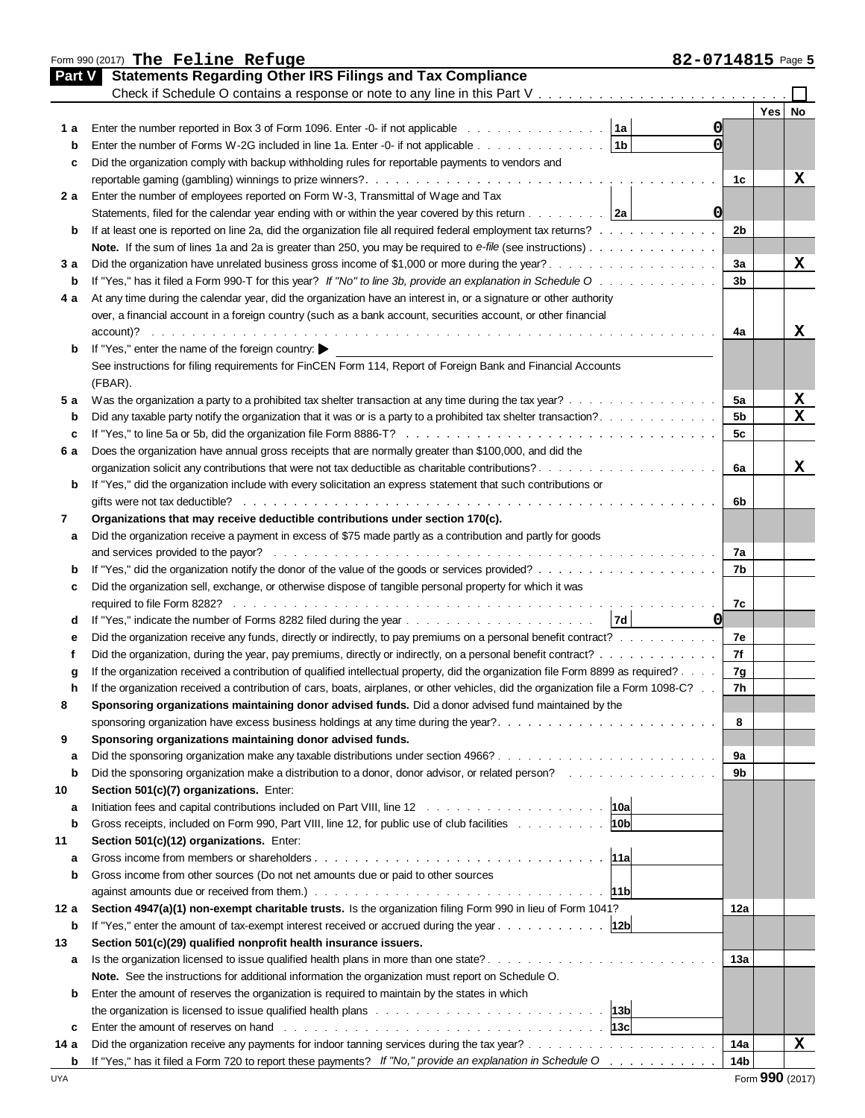|               | Form 990 (2017) The Feline Refuge<br>82-0714815 Page 5                                                                                                                                                                              |                |                  |
|---------------|-------------------------------------------------------------------------------------------------------------------------------------------------------------------------------------------------------------------------------------|----------------|------------------|
| <b>Part V</b> | <b>Statements Regarding Other IRS Filings and Tax Compliance</b>                                                                                                                                                                    |                |                  |
|               |                                                                                                                                                                                                                                     |                |                  |
|               |                                                                                                                                                                                                                                     |                | Yes<br><b>No</b> |
| 1а            | 0<br>Enter the number reported in Box 3 of Form 1096. Enter -0- if not applicable 1 a                                                                                                                                               |                |                  |
| b             | 0<br>Enter the number of Forms W-2G included in line 1a. Enter -0- if not applicable 1b                                                                                                                                             |                |                  |
| c             | Did the organization comply with backup withholding rules for reportable payments to vendors and                                                                                                                                    |                |                  |
|               |                                                                                                                                                                                                                                     | 1c             | X                |
| 2a            | Enter the number of employees reported on Form W-3, Transmittal of Wage and Tax                                                                                                                                                     |                |                  |
|               | 0<br>Statements, filed for the calendar year ending with or within the year covered by this return $\ldots \ldots \ldots$                                                                                                           |                |                  |
| b             | If at least one is reported on line 2a, did the organization file all required federal employment tax returns?                                                                                                                      | 2 <sub>b</sub> |                  |
|               |                                                                                                                                                                                                                                     |                |                  |
| За            |                                                                                                                                                                                                                                     | 3a             | X                |
| b             | If "Yes," has it filed a Form 990-T for this year? If "No" to line 3b, provide an explanation in Schedule O                                                                                                                         | 3b             |                  |
| 4а            | At any time during the calendar year, did the organization have an interest in, or a signature or other authority                                                                                                                   |                |                  |
|               | over, a financial account in a foreign country (such as a bank account, securities account, or other financial                                                                                                                      |                |                  |
|               |                                                                                                                                                                                                                                     | 4a             | X                |
| b             | If "Yes," enter the name of the foreign country:                                                                                                                                                                                    |                |                  |
|               | See instructions for filing requirements for FinCEN Form 114, Report of Foreign Bank and Financial Accounts                                                                                                                         |                |                  |
|               | (FBAR).                                                                                                                                                                                                                             |                |                  |
| 5 a           | Was the organization a party to a prohibited tax shelter transaction at any time during the tax year?                                                                                                                               | 5a             | $\frac{X}{X}$    |
| b             |                                                                                                                                                                                                                                     | 5b             |                  |
| c             |                                                                                                                                                                                                                                     | 5c             |                  |
| 6а            | Does the organization have annual gross receipts that are normally greater than \$100,000, and did the                                                                                                                              |                |                  |
|               |                                                                                                                                                                                                                                     | 6a             | X                |
| b             | If "Yes," did the organization include with every solicitation an express statement that such contributions or                                                                                                                      |                |                  |
|               |                                                                                                                                                                                                                                     | 6b             |                  |
| 7             | Organizations that may receive deductible contributions under section 170(c).                                                                                                                                                       |                |                  |
| a             | Did the organization receive a payment in excess of \$75 made partly as a contribution and partly for goods                                                                                                                         |                |                  |
|               |                                                                                                                                                                                                                                     | 7a             |                  |
| b             |                                                                                                                                                                                                                                     | 7b             |                  |
| c             | Did the organization sell, exchange, or otherwise dispose of tangible personal property for which it was                                                                                                                            |                |                  |
|               |                                                                                                                                                                                                                                     | 7c             |                  |
| d             | 7d <br>O                                                                                                                                                                                                                            |                |                  |
| е             | Did the organization receive any funds, directly or indirectly, to pay premiums on a personal benefit contract?                                                                                                                     | 7e             |                  |
| f             | Did the organization, during the year, pay premiums, directly or indirectly, on a personal benefit contract?                                                                                                                        | 7f             |                  |
| g             | If the organization received a contribution of qualified intellectual property, did the organization file Form 8899 as required?                                                                                                    | 7g             |                  |
| h             | If the organization received a contribution of cars, boats, airplanes, or other vehicles, did the organization file a Form 1098-C?                                                                                                  | 7h             |                  |
| 8             | Sponsoring organizations maintaining donor advised funds. Did a donor advised fund maintained by the                                                                                                                                |                |                  |
|               |                                                                                                                                                                                                                                     | 8              |                  |
| 9             | Sponsoring organizations maintaining donor advised funds.                                                                                                                                                                           |                |                  |
| а             |                                                                                                                                                                                                                                     | 9а             |                  |
| b             |                                                                                                                                                                                                                                     | 9b             |                  |
| 10            | Section 501(c)(7) organizations. Enter:                                                                                                                                                                                             |                |                  |
| a             | 10al                                                                                                                                                                                                                                |                |                  |
| b             | Gross receipts, included on Form 990, Part VIII, line 12, for public use of club facilities 10b                                                                                                                                     |                |                  |
| 11            | Section 501(c)(12) organizations. Enter:                                                                                                                                                                                            |                |                  |
| a             | 11a                                                                                                                                                                                                                                 |                |                  |
| b             | Gross income from other sources (Do not net amounts due or paid to other sources                                                                                                                                                    |                |                  |
|               |                                                                                                                                                                                                                                     |                |                  |
| 12 a          | Section 4947(a)(1) non-exempt charitable trusts. Is the organization filing Form 990 in lieu of Form 1041?                                                                                                                          | 12a            |                  |
| b             | If "Yes," enter the amount of tax-exempt interest received or accrued during the year 12b                                                                                                                                           |                |                  |
| 13            | Section 501(c)(29) qualified nonprofit health insurance issuers.                                                                                                                                                                    |                |                  |
| a             | Is the organization licensed to issue qualified health plans in more than one state?                                                                                                                                                | 13a            |                  |
|               | Note. See the instructions for additional information the organization must report on Schedule O.                                                                                                                                   |                |                  |
| b             | Enter the amount of reserves the organization is required to maintain by the states in which                                                                                                                                        |                |                  |
|               | the organization is licensed to issue qualified health plans with the organization is licensed to issue qualified health plans with the context of the original to $ 13b $                                                          |                |                  |
| c             | <b>Enter the amount of reserves on hand</b> because the contract of the contract of the contract of the contract of the contract of the contract of the contract of the contract of the contract of the contract of the contract of |                |                  |
| 14 a          |                                                                                                                                                                                                                                     | 14a            | X                |
| b             | If "Yes," has it filed a Form 720 to report these payments? If "No," provide an explanation in Schedule O                                                                                                                           | 14b            |                  |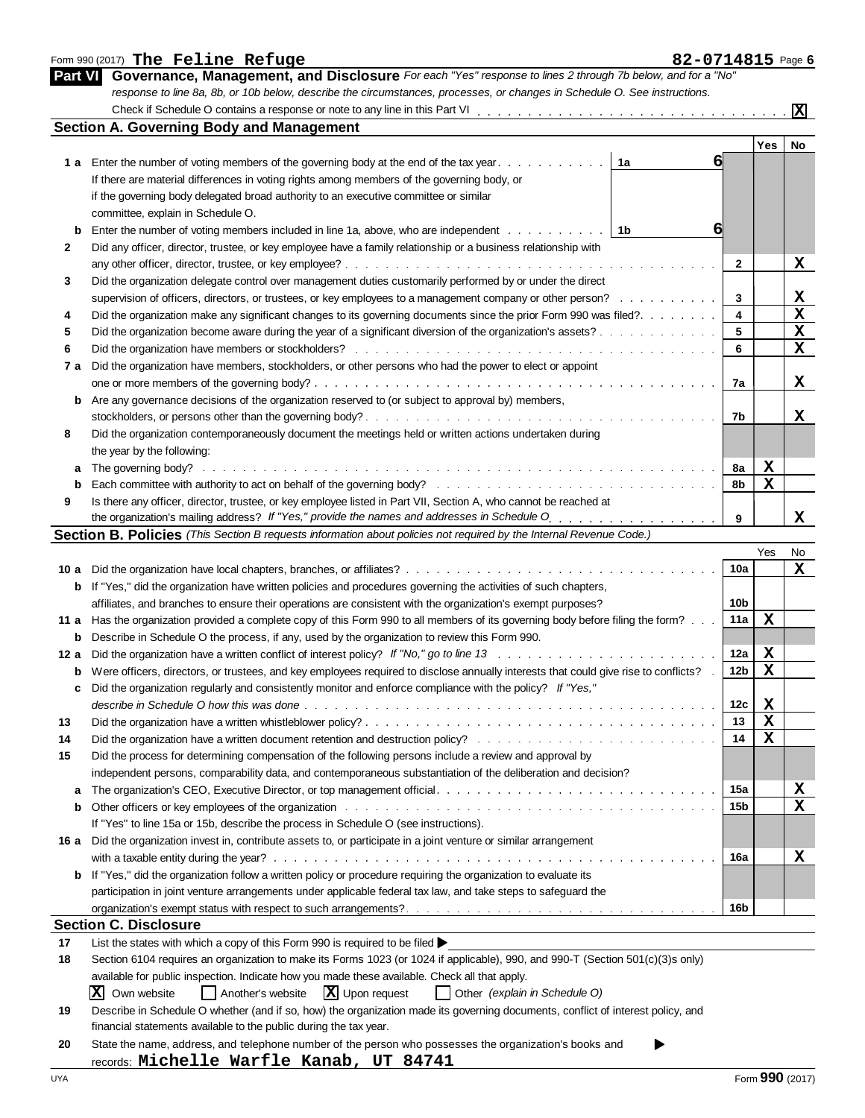**Part VI** Governance, Management, and Disclosure *For each "Yes" response to lines 2 through 7b below, and for a "No" response to line 8a, 8b, or 10b below, describe the circumstances, processes, or changes in Schedule O. See instructions.*

Check if Schedule O contains a response or note to any line in this Part VI **Four Administration in the container** 

|      |                                                                                                                                                                                                                                |                 | Yes | No          |
|------|--------------------------------------------------------------------------------------------------------------------------------------------------------------------------------------------------------------------------------|-----------------|-----|-------------|
|      | <b>1 a</b> Enter the number of voting members of the governing body at the end of the tax year<br>1a                                                                                                                           | 61              |     |             |
|      | If there are material differences in voting rights among members of the governing body, or                                                                                                                                     |                 |     |             |
|      | if the governing body delegated broad authority to an executive committee or similar                                                                                                                                           |                 |     |             |
|      | committee, explain in Schedule O.                                                                                                                                                                                              |                 |     |             |
| b    | 1b<br>Enter the number of voting members included in line 1a, above, who are independent with a state of voting $\sim$                                                                                                         | 61              |     |             |
| 2    | Did any officer, director, trustee, or key employee have a family relationship or a business relationship with                                                                                                                 |                 |     |             |
|      | and a series of the series of the                                                                                                                                                                                              | 2               |     | X           |
| 3    | Did the organization delegate control over management duties customarily performed by or under the direct                                                                                                                      |                 |     |             |
|      | supervision of officers, directors, or trustees, or key employees to a management company or other person?                                                                                                                     | 3               |     | X           |
| 4    | Did the organization make any significant changes to its governing documents since the prior Form 990 was filed?                                                                                                               | 4               |     | $\mathbf x$ |
| 5    | Did the organization become aware during the year of a significant diversion of the organization's assets?                                                                                                                     | 5               |     | $\mathbf X$ |
| 6    |                                                                                                                                                                                                                                | 6               |     | X           |
| 7 а  | Did the organization have members, stockholders, or other persons who had the power to elect or appoint                                                                                                                        |                 |     |             |
|      |                                                                                                                                                                                                                                | 7a              |     | X           |
| b    | Are any governance decisions of the organization reserved to (or subject to approval by) members,                                                                                                                              |                 |     |             |
|      |                                                                                                                                                                                                                                | 7b              |     | х           |
| 8    | Did the organization contemporaneously document the meetings held or written actions undertaken during                                                                                                                         |                 |     |             |
|      | the year by the following:                                                                                                                                                                                                     |                 |     |             |
| а    | The governing body?                                                                                                                                                                                                            | 8а              | X   |             |
| b    |                                                                                                                                                                                                                                | 8b              | x   |             |
|      | Is there any officer, director, trustee, or key employee listed in Part VII, Section A, who cannot be reached at                                                                                                               |                 |     |             |
| 9    |                                                                                                                                                                                                                                | 9               |     | x           |
|      | Section B. Policies (This Section B requests information about policies not required by the Internal Revenue Code.)                                                                                                            |                 |     |             |
|      |                                                                                                                                                                                                                                |                 | Yes | No          |
| 10 a |                                                                                                                                                                                                                                | 10a             |     | X           |
|      |                                                                                                                                                                                                                                |                 |     |             |
|      | <b>b</b> If "Yes," did the organization have written policies and procedures governing the activities of such chapters,                                                                                                        | 10 <sub>b</sub> |     |             |
|      | affiliates, and branches to ensure their operations are consistent with the organization's exempt purposes?                                                                                                                    | 11a             | X   |             |
| 11 a | Has the organization provided a complete copy of this Form 990 to all members of its governing body before filing the form?                                                                                                    |                 |     |             |
| b    | Describe in Schedule O the process, if any, used by the organization to review this Form 990.                                                                                                                                  |                 |     |             |
| 12 a |                                                                                                                                                                                                                                | 12a             | х   |             |
| b    | Were officers, directors, or trustees, and key employees required to disclose annually interests that could give rise to conflicts? .                                                                                          | 12 <sub>b</sub> | X   |             |
| c    | Did the organization regularly and consistently monitor and enforce compliance with the policy? If "Yes,"                                                                                                                      |                 |     |             |
|      |                                                                                                                                                                                                                                | 12c             | х   |             |
| 13   |                                                                                                                                                                                                                                | 13              | X   |             |
|      |                                                                                                                                                                                                                                | 14              | X   |             |
|      | Did the process for determining compensation of the following persons include a review and approval by                                                                                                                         |                 |     |             |
|      | independent persons, comparability data, and contemporaneous substantiation of the deliberation and decision?                                                                                                                  |                 |     |             |
| а    |                                                                                                                                                                                                                                | 15a             |     | X           |
| b    | Other officers or key employees of the organization with the state of the organization with the state of the organization with the state of the state of the organization with the state of the state of the state of the stat | 15 <sub>b</sub> |     | $\mathbf x$ |
|      | If "Yes" to line 15a or 15b, describe the process in Schedule O (see instructions).                                                                                                                                            |                 |     |             |
|      | 16 a Did the organization invest in, contribute assets to, or participate in a joint venture or similar arrangement                                                                                                            |                 |     |             |
|      |                                                                                                                                                                                                                                | 16a             |     | х           |
|      | <b>b</b> If "Yes," did the organization follow a written policy or procedure requiring the organization to evaluate its                                                                                                        |                 |     |             |
|      | participation in joint venture arrangements under applicable federal tax law, and take steps to safeguard the                                                                                                                  |                 |     |             |
|      |                                                                                                                                                                                                                                | 16b             |     |             |
|      | <b>Section C. Disclosure</b>                                                                                                                                                                                                   |                 |     |             |
|      | List the states with which a copy of this Form 990 is required to be filed >                                                                                                                                                   |                 |     |             |
|      | Section 6104 requires an organization to make its Forms 1023 (or 1024 if applicable), 990, and 990-T (Section 501(c)(3)s only)                                                                                                 |                 |     |             |
|      | available for public inspection. Indicate how you made these available. Check all that apply.                                                                                                                                  |                 |     |             |
|      | $ \mathbf{X} $ Upon request<br>$ \mathbf{X} $ Own website<br>Another's website<br>Other (explain in Schedule O)                                                                                                                |                 |     |             |
| 19   | Describe in Schedule O whether (and if so, how) the organization made its governing documents, conflict of interest policy, and                                                                                                |                 |     |             |
|      | financial statements available to the public during the tax year.                                                                                                                                                              |                 |     |             |
| 20   | State the name, address, and telephone number of the person who possesses the organization's books and                                                                                                                         |                 |     |             |
|      |                                                                                                                                                                                                                                |                 |     |             |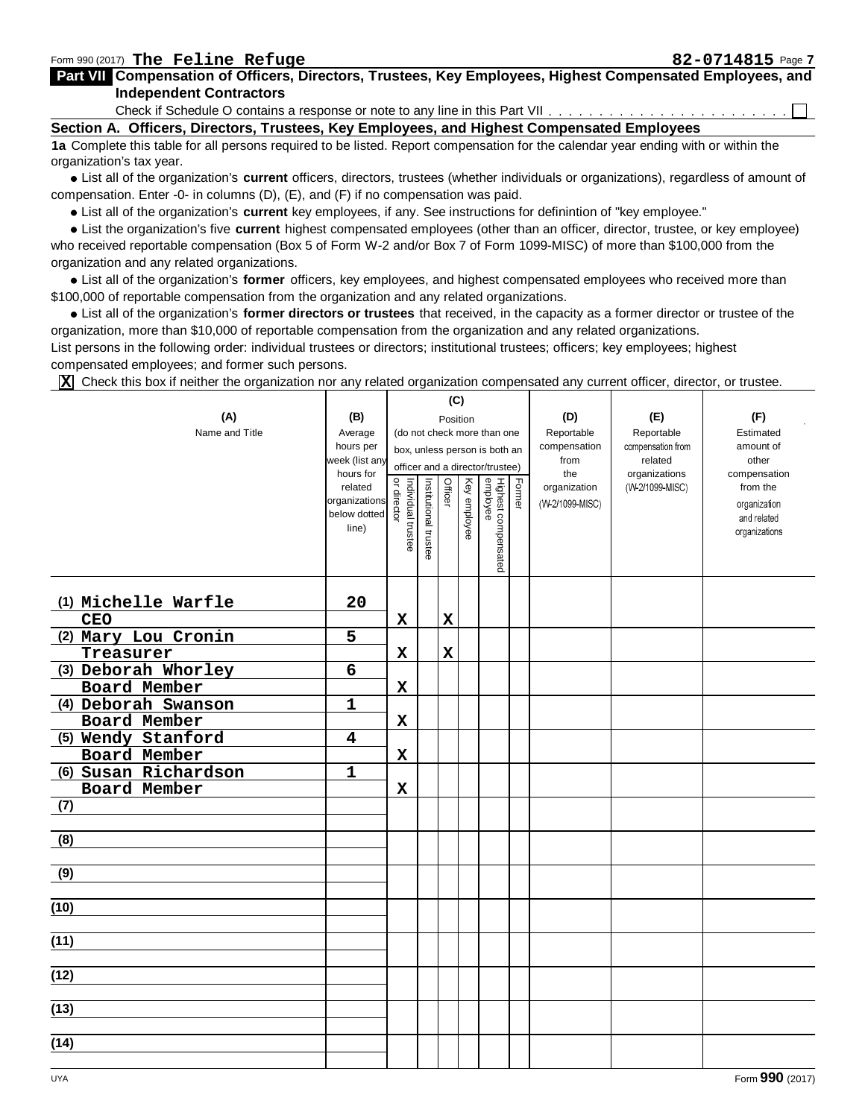Part VII Compensation of Officers, Directors, Trustees, Key Employees, Highest Compensated Employees, and **Independent Contractors**

Check if Schedule O contains a response or note to any line in this Part VII. . . . . . . .

**Section A. Officers, Directors, Trustees, Key Employees, and Highest Compensated Employees**

**1a** Complete this table for all persons required to be listed. Report compensation for the calendar year ending with or within the organization's tax year.

List all of the organization's **current** officers, directors, trustees (whether individuals or organizations), regardless of amount of compensation. Enter -0- in columns (D), (E), and (F) if no compensation was paid.

List all of the organization's **current** key employees, if any. See instructions for definintion of "key employee."

List the organization's five **current** highest compensated employees (other than an officer, director, trustee, or key employee) who received reportable compensation (Box 5 of Form W-2 and/or Box 7 of Form 1099-MISC) of more than \$100,000 from the organization and any related organizations.

List all of the organization's **former** officers, key employees, and highest compensated employees who received more than \$100,000 of reportable compensation from the organization and any related organizations.

List all of the organization's **former directors or trustees** that received, in the capacity as a former director or trustee of the organization, more than \$10,000 of reportable compensation from the organization and any related organizations.

List persons in the following order: individual trustees or directors; institutional trustees; officers; key employees; highest compensated employees; and former such persons.

Check this box if neither the organization nor any related organization compensated any current officer, director, or trustee. **X**

|                                  |                             |                                   |                       | (C)         |              |                                 |        |                 |                          |                       |
|----------------------------------|-----------------------------|-----------------------------------|-----------------------|-------------|--------------|---------------------------------|--------|-----------------|--------------------------|-----------------------|
| (A)                              | (B)                         |                                   |                       | Position    |              |                                 |        | (D)             | (E)                      | (F)                   |
| Name and Title                   | Average                     |                                   |                       |             |              | (do not check more than one     |        | Reportable      | Reportable               | Estimated             |
|                                  | hours per                   |                                   |                       |             |              | box, unless person is both an   |        | compensation    | compensation from        | amount of             |
|                                  | week (list any<br>hours for |                                   |                       |             |              | officer and a director/trustee) |        | from<br>the     | related<br>organizations | other<br>compensation |
|                                  | related                     |                                   |                       |             |              |                                 | Former | organization    | (W-2/1099-MISC)          | from the              |
|                                  | organizations               | or director<br>Individual trustee |                       | Officer     | Key employee |                                 |        | (W-2/1099-MISC) |                          | organization          |
|                                  | below dotted                |                                   |                       |             |              |                                 |        |                 |                          | and related           |
|                                  | line)                       |                                   |                       |             |              |                                 |        |                 |                          | organizations         |
|                                  |                             |                                   | Institutional trustee |             |              | Highest compensated<br>employee |        |                 |                          |                       |
|                                  |                             |                                   |                       |             |              |                                 |        |                 |                          |                       |
| (1) Michelle Warfle              | 20                          |                                   |                       |             |              |                                 |        |                 |                          |                       |
| <b>CEO</b>                       |                             | $\mathbf x$                       |                       | $\mathbf x$ |              |                                 |        |                 |                          |                       |
|                                  | 5                           |                                   |                       |             |              |                                 |        |                 |                          |                       |
| (2) Mary Lou Cronin              |                             |                                   |                       |             |              |                                 |        |                 |                          |                       |
| Treasurer<br>(3) Deborah Whorley | 6                           | $\mathbf x$                       |                       | X           |              |                                 |        |                 |                          |                       |
|                                  |                             |                                   |                       |             |              |                                 |        |                 |                          |                       |
| Board Member                     |                             | $\mathbf x$                       |                       |             |              |                                 |        |                 |                          |                       |
| (4) Deborah Swanson              | 1                           |                                   |                       |             |              |                                 |        |                 |                          |                       |
| Board Member                     |                             | $\mathbf x$                       |                       |             |              |                                 |        |                 |                          |                       |
| (5) Wendy Stanford               | 4                           |                                   |                       |             |              |                                 |        |                 |                          |                       |
| Board Member                     |                             | $\mathbf x$                       |                       |             |              |                                 |        |                 |                          |                       |
| (6) Susan Richardson             | 1                           |                                   |                       |             |              |                                 |        |                 |                          |                       |
| Board Member                     |                             | $\mathbf x$                       |                       |             |              |                                 |        |                 |                          |                       |
| (7)                              |                             |                                   |                       |             |              |                                 |        |                 |                          |                       |
| (8)                              |                             |                                   |                       |             |              |                                 |        |                 |                          |                       |
|                                  |                             |                                   |                       |             |              |                                 |        |                 |                          |                       |
| (9)                              |                             |                                   |                       |             |              |                                 |        |                 |                          |                       |
|                                  |                             |                                   |                       |             |              |                                 |        |                 |                          |                       |
| (10)                             |                             |                                   |                       |             |              |                                 |        |                 |                          |                       |
| (11)                             |                             |                                   |                       |             |              |                                 |        |                 |                          |                       |
|                                  |                             |                                   |                       |             |              |                                 |        |                 |                          |                       |
| (12)                             |                             |                                   |                       |             |              |                                 |        |                 |                          |                       |
| (13)                             |                             |                                   |                       |             |              |                                 |        |                 |                          |                       |
|                                  |                             |                                   |                       |             |              |                                 |        |                 |                          |                       |
| (14)                             |                             |                                   |                       |             |              |                                 |        |                 |                          |                       |
|                                  |                             |                                   |                       |             |              |                                 |        |                 |                          |                       |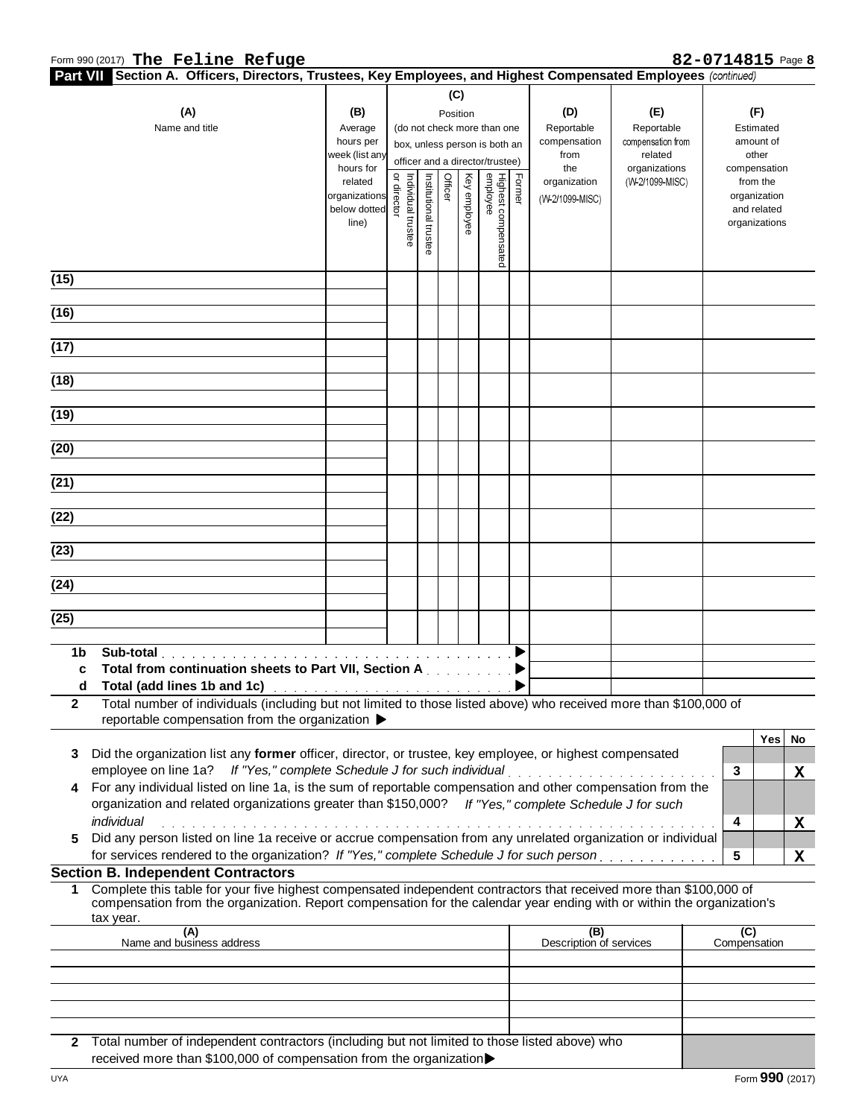| 82-0714815 Page 8 |
|-------------------|
|-------------------|

|                                                                                                                                                                                                                                                    |                          |                    |                      | (C)      |              |                                 |        |                                   |                                 |                          |    |
|----------------------------------------------------------------------------------------------------------------------------------------------------------------------------------------------------------------------------------------------------|--------------------------|--------------------|----------------------|----------|--------------|---------------------------------|--------|-----------------------------------|---------------------------------|--------------------------|----|
| (A)                                                                                                                                                                                                                                                | (B)                      |                    |                      | Position |              |                                 |        | (D)                               | (E)                             | (F)                      |    |
| Name and title                                                                                                                                                                                                                                     | Average<br>hours per     |                    |                      |          |              | (do not check more than one     |        | Reportable<br>compensation        | Reportable<br>compensation from | Estimated<br>amount of   |    |
|                                                                                                                                                                                                                                                    | week (list any           |                    |                      |          |              | box, unless person is both an   |        | from                              | related                         | other                    |    |
|                                                                                                                                                                                                                                                    | hours for                |                    |                      |          |              | officer and a director/trustee) |        | the                               | organizations                   | compensation             |    |
|                                                                                                                                                                                                                                                    | related<br>organizations |                    |                      | Officer  |              |                                 | Former | organization                      | (W 2/1099-MISC)                 | from the<br>organization |    |
|                                                                                                                                                                                                                                                    | below dotted             | director           |                      |          |              |                                 |        | (W-2/1099-MISC)                   |                                 | and related              |    |
|                                                                                                                                                                                                                                                    | line)                    | Individual trustee |                      |          | Key employee |                                 |        |                                   |                                 | organizations            |    |
|                                                                                                                                                                                                                                                    |                          |                    | nstitutional trustee |          |              | Highest compensated<br>employee |        |                                   |                                 |                          |    |
|                                                                                                                                                                                                                                                    |                          |                    |                      |          |              |                                 |        |                                   |                                 |                          |    |
| (15)                                                                                                                                                                                                                                               |                          |                    |                      |          |              |                                 |        |                                   |                                 |                          |    |
| (16)                                                                                                                                                                                                                                               |                          |                    |                      |          |              |                                 |        |                                   |                                 |                          |    |
|                                                                                                                                                                                                                                                    |                          |                    |                      |          |              |                                 |        |                                   |                                 |                          |    |
| (17)                                                                                                                                                                                                                                               |                          |                    |                      |          |              |                                 |        |                                   |                                 |                          |    |
| (18)                                                                                                                                                                                                                                               |                          |                    |                      |          |              |                                 |        |                                   |                                 |                          |    |
| (19)                                                                                                                                                                                                                                               |                          |                    |                      |          |              |                                 |        |                                   |                                 |                          |    |
| (20)                                                                                                                                                                                                                                               |                          |                    |                      |          |              |                                 |        |                                   |                                 |                          |    |
|                                                                                                                                                                                                                                                    |                          |                    |                      |          |              |                                 |        |                                   |                                 |                          |    |
| (21)                                                                                                                                                                                                                                               |                          |                    |                      |          |              |                                 |        |                                   |                                 |                          |    |
| (22)                                                                                                                                                                                                                                               |                          |                    |                      |          |              |                                 |        |                                   |                                 |                          |    |
| (23)                                                                                                                                                                                                                                               |                          |                    |                      |          |              |                                 |        |                                   |                                 |                          |    |
|                                                                                                                                                                                                                                                    |                          |                    |                      |          |              |                                 |        |                                   |                                 |                          |    |
| (24)                                                                                                                                                                                                                                               |                          |                    |                      |          |              |                                 |        |                                   |                                 |                          |    |
| (25)                                                                                                                                                                                                                                               |                          |                    |                      |          |              |                                 |        |                                   |                                 |                          |    |
| Sub-total<br>1b                                                                                                                                                                                                                                    |                          |                    |                      |          |              |                                 |        |                                   |                                 |                          |    |
| Total from continuation sheets to Part VII, Section A<br>C                                                                                                                                                                                         |                          |                    |                      |          |              |                                 |        |                                   |                                 |                          |    |
| Total (add lines 1b and 1c) All Alberta and Alberta and Alberta and Alberta and Alberta and Alberta and Albert<br>d                                                                                                                                |                          |                    |                      |          |              |                                 |        |                                   |                                 |                          |    |
| Total number of individuals (including but not limited to those listed above) who received more than \$100,000 of<br>2<br>reportable compensation from the organization ▶                                                                          |                          |                    |                      |          |              |                                 |        |                                   |                                 |                          |    |
|                                                                                                                                                                                                                                                    |                          |                    |                      |          |              |                                 |        |                                   |                                 | Yes                      | No |
| Did the organization list any former officer, director, or trustee, key employee, or highest compensated<br>3.<br>employee on line 1a? If "Yes," complete Schedule J for such individual                                                           |                          |                    |                      |          |              |                                 |        |                                   |                                 | 3                        |    |
| For any individual listed on line 1a, is the sum of reportable compensation and other compensation from the<br>4                                                                                                                                   |                          |                    |                      |          |              |                                 |        | and the state of the state of the |                                 |                          | X  |
| organization and related organizations greater than \$150,000? If "Yes," complete Schedule J for such                                                                                                                                              |                          |                    |                      |          |              |                                 |        |                                   |                                 |                          |    |
| individual                                                                                                                                                                                                                                         |                          |                    |                      |          |              |                                 |        |                                   |                                 | 4                        | X  |
| Did any person listed on line 1a receive or accrue compensation from any unrelated organization or individual<br>5                                                                                                                                 |                          |                    |                      |          |              |                                 |        |                                   |                                 |                          |    |
| for services rendered to the organization? If "Yes," complete Schedule J for such person                                                                                                                                                           |                          |                    |                      |          |              |                                 |        |                                   |                                 | 5                        | X  |
| <b>Section B. Independent Contractors</b>                                                                                                                                                                                                          |                          |                    |                      |          |              |                                 |        |                                   |                                 |                          |    |
| Complete this table for your five highest compensated independent contractors that received more than \$100,000 of<br>1.<br>compensation from the organization. Report compensation for the calendar year ending with or within the organization's |                          |                    |                      |          |              |                                 |        |                                   |                                 |                          |    |
| tax year.<br>(A)                                                                                                                                                                                                                                   |                          |                    |                      |          |              |                                 |        | (B)                               |                                 | $\overline{C}$           |    |
| Name and business address                                                                                                                                                                                                                          |                          |                    |                      |          |              |                                 |        | Description of services           |                                 | Compensation             |    |
|                                                                                                                                                                                                                                                    |                          |                    |                      |          |              |                                 |        |                                   |                                 |                          |    |
|                                                                                                                                                                                                                                                    |                          |                    |                      |          |              |                                 |        |                                   |                                 |                          |    |
|                                                                                                                                                                                                                                                    |                          |                    |                      |          |              |                                 |        |                                   |                                 |                          |    |
|                                                                                                                                                                                                                                                    |                          |                    |                      |          |              |                                 |        |                                   |                                 |                          |    |
| 2 Total number of independent contractors (including but not limited to those listed above) who                                                                                                                                                    |                          |                    |                      |          |              |                                 |        |                                   |                                 |                          |    |

received more than \$100,000 of compensation from the organization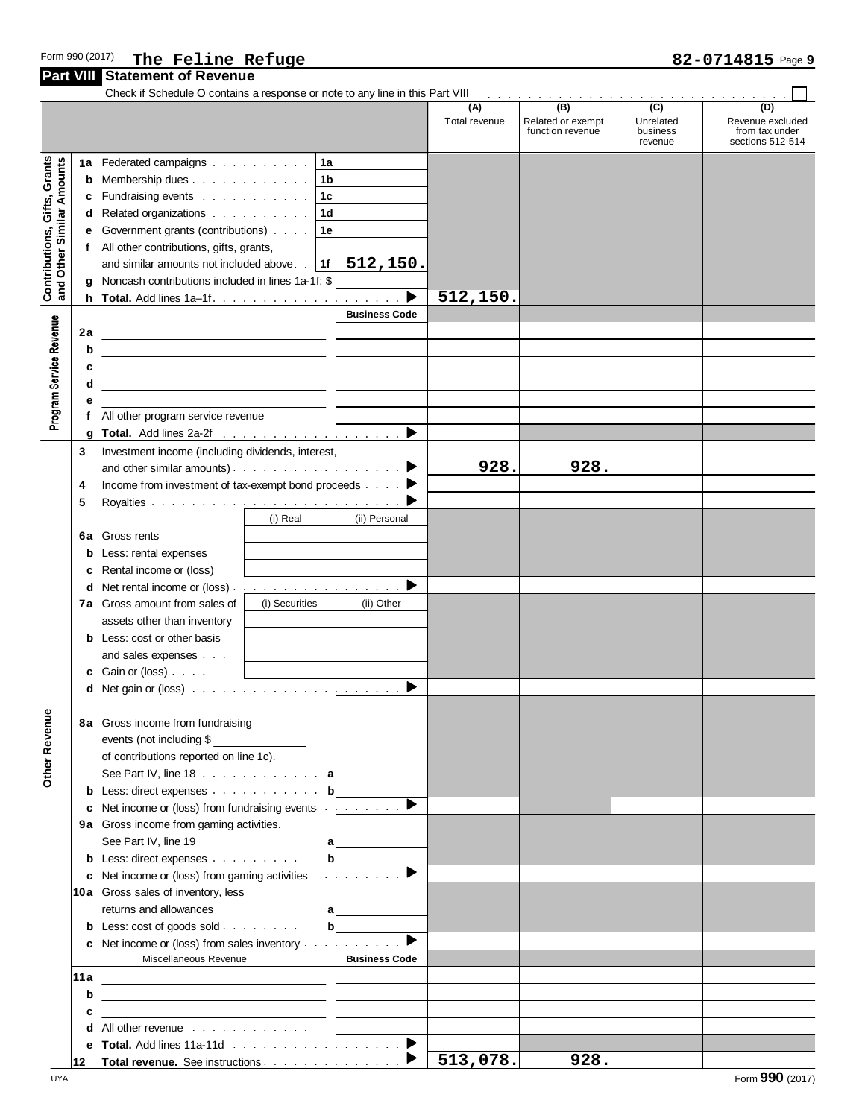Check if Schedule O contains a response or note to any line in this Part VIII

|                                                           |      | Check if Schedule O contains a response or note to any line in this Part VIII                                                                                                                                                           |                |                                                                                        |                      | المتعارف والمنافر والمنافر والمنافر والمنافر والمنافر والمنافر والمنافر والمنافر والمنافر |                                                    |                                                               |
|-----------------------------------------------------------|------|-----------------------------------------------------------------------------------------------------------------------------------------------------------------------------------------------------------------------------------------|----------------|----------------------------------------------------------------------------------------|----------------------|-------------------------------------------------------------------------------------------|----------------------------------------------------|---------------------------------------------------------------|
|                                                           |      |                                                                                                                                                                                                                                         |                |                                                                                        | (A)<br>Total revenue | (B)<br>Related or exempt<br>function revenue                                              | $\overline{C}$<br>Unrelated<br>business<br>revenue | (D)<br>Revenue excluded<br>from tax under<br>sections 512-514 |
|                                                           |      | 1a Federated campaigns                                                                                                                                                                                                                  | 1a             |                                                                                        |                      |                                                                                           |                                                    |                                                               |
|                                                           |      | <b>b</b> Membership dues                                                                                                                                                                                                                | 1b             |                                                                                        |                      |                                                                                           |                                                    |                                                               |
|                                                           | c    | Fundraising events                                                                                                                                                                                                                      | 1c             |                                                                                        |                      |                                                                                           |                                                    |                                                               |
|                                                           | a    | Related organizations external and a set of the set of the set of the set of the set of the set of the set of the set of the set of the set of the set of the set of the set of the set of the set of the set of the set of th          | 1d             |                                                                                        |                      |                                                                                           |                                                    |                                                               |
| Contributions, Gifts, Grants<br>and Other Similar Amounts | е    | Government grants (contributions)                                                                                                                                                                                                       | 1e             |                                                                                        |                      |                                                                                           |                                                    |                                                               |
|                                                           | Ť.   | All other contributions, gifts, grants,                                                                                                                                                                                                 |                |                                                                                        |                      |                                                                                           |                                                    |                                                               |
|                                                           |      | and similar amounts not included above. 11                                                                                                                                                                                              |                | <u>512,150.</u>                                                                        |                      |                                                                                           |                                                    |                                                               |
|                                                           | g    | Noncash contributions included in lines 1a-1f: \$                                                                                                                                                                                       |                |                                                                                        |                      |                                                                                           |                                                    |                                                               |
|                                                           |      | h Total. Add lines 1a-1f.                                                                                                                                                                                                               |                | ▶                                                                                      | 512,150.             |                                                                                           |                                                    |                                                               |
|                                                           |      |                                                                                                                                                                                                                                         |                | <b>Business Code</b>                                                                   |                      |                                                                                           |                                                    |                                                               |
| Program Service Revenue                                   | 2a   | <u> 2008 - Andrea Andrew Maria (h. 1878).</u>                                                                                                                                                                                           |                |                                                                                        |                      |                                                                                           |                                                    |                                                               |
|                                                           | b    | <u> 1989 - Johann Barn, mars ann an t-Amhair ann an t-Amhair ann an t-Amhair ann an t-Amhair ann an t-Amhair ann a</u>                                                                                                                  |                |                                                                                        |                      |                                                                                           |                                                    |                                                               |
|                                                           | c    | <u> 1989 - Johann Barn, amerikansk politiker (</u>                                                                                                                                                                                      |                |                                                                                        |                      |                                                                                           |                                                    |                                                               |
|                                                           | d    | <u> 1989 - Johann Barbara, markazi bashkar mashrida (</u>                                                                                                                                                                               |                |                                                                                        |                      |                                                                                           |                                                    |                                                               |
|                                                           | е    |                                                                                                                                                                                                                                         |                |                                                                                        |                      |                                                                                           |                                                    |                                                               |
|                                                           |      | All other program service revenue                                                                                                                                                                                                       |                |                                                                                        |                      |                                                                                           |                                                    |                                                               |
|                                                           |      |                                                                                                                                                                                                                                         |                |                                                                                        |                      |                                                                                           |                                                    |                                                               |
|                                                           | 3    | Investment income (including dividends, interest,                                                                                                                                                                                       |                |                                                                                        |                      |                                                                                           |                                                    |                                                               |
|                                                           |      | and other similar amounts) $\cdots$ $\cdots$ $\cdots$ $\cdots$ $\cdots$ $\cdots$                                                                                                                                                        |                |                                                                                        | 928.                 | 928.                                                                                      |                                                    |                                                               |
|                                                           | 4    | Income from investment of tax-exempt bond proceeds                                                                                                                                                                                      |                |                                                                                        |                      |                                                                                           |                                                    |                                                               |
|                                                           | 5    |                                                                                                                                                                                                                                         |                |                                                                                        |                      |                                                                                           |                                                    |                                                               |
|                                                           |      |                                                                                                                                                                                                                                         | (i) Real       | (ii) Personal                                                                          |                      |                                                                                           |                                                    |                                                               |
|                                                           |      | 6a Gross rents                                                                                                                                                                                                                          |                |                                                                                        |                      |                                                                                           |                                                    |                                                               |
|                                                           |      | <b>b</b> Less: rental expenses                                                                                                                                                                                                          |                |                                                                                        |                      |                                                                                           |                                                    |                                                               |
|                                                           |      | Rental income or (loss)                                                                                                                                                                                                                 |                |                                                                                        |                      |                                                                                           |                                                    |                                                               |
|                                                           |      | <b>d</b> Net rental income or $(\text{loss})$ .                                                                                                                                                                                         |                | ▶                                                                                      |                      |                                                                                           |                                                    |                                                               |
|                                                           |      | <b>7a</b> Gross amount from sales of                                                                                                                                                                                                    | (i) Securities | (ii) Other                                                                             |                      |                                                                                           |                                                    |                                                               |
|                                                           |      | assets other than inventory                                                                                                                                                                                                             |                |                                                                                        |                      |                                                                                           |                                                    |                                                               |
|                                                           |      | <b>b</b> Less: cost or other basis                                                                                                                                                                                                      |                |                                                                                        |                      |                                                                                           |                                                    |                                                               |
|                                                           |      | and sales expenses                                                                                                                                                                                                                      |                |                                                                                        |                      |                                                                                           |                                                    |                                                               |
|                                                           |      | Gain or (loss)                                                                                                                                                                                                                          |                |                                                                                        |                      |                                                                                           |                                                    |                                                               |
|                                                           |      |                                                                                                                                                                                                                                         |                | ▶                                                                                      |                      |                                                                                           |                                                    |                                                               |
| ิ                                                         |      |                                                                                                                                                                                                                                         |                |                                                                                        |                      |                                                                                           |                                                    |                                                               |
| <b>Other Revenu</b>                                       |      | 8a Gross income from fundraising                                                                                                                                                                                                        |                |                                                                                        |                      |                                                                                           |                                                    |                                                               |
|                                                           |      | events (not including \$                                                                                                                                                                                                                |                |                                                                                        |                      |                                                                                           |                                                    |                                                               |
|                                                           |      | of contributions reported on line 1c).                                                                                                                                                                                                  |                |                                                                                        |                      |                                                                                           |                                                    |                                                               |
|                                                           |      | See Part IV, line 18 $\ldots$ $\ldots$ $\ldots$ $\ldots$ a<br><b>b</b> Less: direct expenses <b>b</b>                                                                                                                                   |                |                                                                                        |                      |                                                                                           |                                                    |                                                               |
|                                                           | c    | Net income or (loss) from fundraising events with a state of the loss                                                                                                                                                                   |                | ▶                                                                                      |                      |                                                                                           |                                                    |                                                               |
|                                                           |      | 9a Gross income from gaming activities.                                                                                                                                                                                                 |                |                                                                                        |                      |                                                                                           |                                                    |                                                               |
|                                                           |      | See Part IV, line 19                                                                                                                                                                                                                    | al             |                                                                                        |                      |                                                                                           |                                                    |                                                               |
|                                                           |      | <b>b</b> Less: direct expenses                                                                                                                                                                                                          | bl             |                                                                                        |                      |                                                                                           |                                                    |                                                               |
|                                                           |      | Net income or (loss) from gaming activities                                                                                                                                                                                             |                | ▶<br>$\begin{array}{cccccccccccccc} . & . & . & . & . & . & . & . & . & . \end{array}$ |                      |                                                                                           |                                                    |                                                               |
|                                                           |      | 10a Gross sales of inventory, less                                                                                                                                                                                                      |                |                                                                                        |                      |                                                                                           |                                                    |                                                               |
|                                                           |      | returns and allowances and all allowances                                                                                                                                                                                               | al             |                                                                                        |                      |                                                                                           |                                                    |                                                               |
|                                                           |      | <b>b</b> Less: cost of goods sold                                                                                                                                                                                                       | bl             |                                                                                        |                      |                                                                                           |                                                    |                                                               |
|                                                           |      | <b>c</b> Net income or (loss) from sales inventory <i>mature in the sales</i> in the sales inventory and the sales in the sales in the sales of the sales of the sales in the sales of the sales of the sales of the sales of the sales |                | ▶                                                                                      |                      |                                                                                           |                                                    |                                                               |
|                                                           |      | Miscellaneous Revenue                                                                                                                                                                                                                   |                | <b>Business Code</b>                                                                   |                      |                                                                                           |                                                    |                                                               |
|                                                           | 11 a | <u> 1990 - Johann Barbara, martin amerikan ba</u>                                                                                                                                                                                       |                |                                                                                        |                      |                                                                                           |                                                    |                                                               |
|                                                           | b    | the control of the control of the control of the control of the control of                                                                                                                                                              |                |                                                                                        |                      |                                                                                           |                                                    |                                                               |
|                                                           | c    | the control of the control of the control of the control of the control of                                                                                                                                                              |                |                                                                                        |                      |                                                                                           |                                                    |                                                               |
|                                                           |      | All other revenue $\cdots$ $\cdots$ $\cdots$                                                                                                                                                                                            |                |                                                                                        |                      |                                                                                           |                                                    |                                                               |
|                                                           |      | <b>Total.</b> Add lines 11a-11d $\ldots$ $\ldots$ $\ldots$ $\ldots$ $\ldots$ $\ldots$                                                                                                                                                   |                |                                                                                        |                      |                                                                                           |                                                    |                                                               |
|                                                           | 12   |                                                                                                                                                                                                                                         |                |                                                                                        | 513,078.             | 928.                                                                                      |                                                    |                                                               |
| IIVA                                                      |      |                                                                                                                                                                                                                                         |                |                                                                                        |                      |                                                                                           |                                                    | $F_{\text{orm}}$ QQN $(2017)$                                 |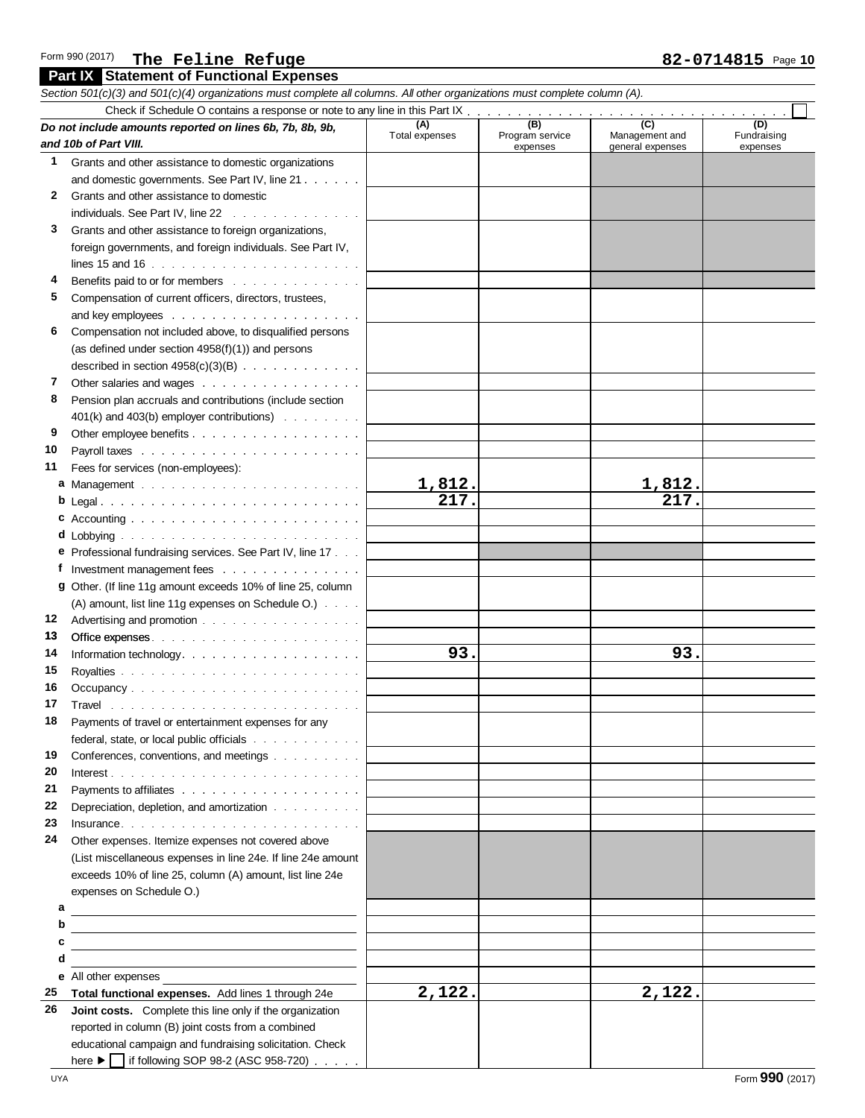**Part IX Statement of Functional Expenses**

*Section 501(c)(3) and 501(c)(4) organizations must complete all columns. All other organizations must complete column (A).*

#### Check if Schedule O contains a response or note to any line in this Part IX *Do not include amounts reported on lines 6b, 7b, 8b, 9b, and 10b of Part VIII.* **(A)** Total expenses **(B)** Program service<br>expenses general expenses Management and **(C) (D)** Fundraising expenses **1** Grants and other assistance to domestic organizations and domestic governments. See Part IV, line 21 . . . . . . **2** Grants and other assistance to domestic individuals. See Part IV, line 22 . . . . . . . . . . **3** Grants and other assistance to foreign organizations, foreign governments, and foreign individuals. See Part IV, lines 15 and 16 **4** Benefits paid to or for members **5** Compensation of current officers, directors, trustees, and key employees with a substitution of the state of the state of the state of the state of the state of the state of the state of the state of the state of the state of the state of the state of the state of the state of **6** Compensation not included above, to disqualified persons (as defined under section 4958(f)(1)) and persons described in section  $4958(c)(3)(B)$ . . . . . . . . . . . . **7** Other salaries and wages **contained 7** Other salaries and wages **8** Pension plan accruals and contributions (include section 401(k) and 403(b) employer contributions) **9** Other employee benefits . . . . . . . . . . . . . . . . . . 10 Payroll taxes *immediation*  $\frac{1}{2}$  Payroll taxes *immediation immediation immediation* **<b>***immediation immediation* **11** Fees for services (non-employees): **a** Management **b** Legal **c** Accounting **d** Lobbying **e** Professional fundraising services. See Part IV, line 17 **f** Investment management fees **g** Other. (If line 11g amount exceeds 10% of line 25, column (A) amount, list line 11g expenses on Schedule O.) 12 Advertising and promotion **contained 12** Advertising and promotion **contained 12 13** Office expenses **14** Information technology **15** Royalties 16 Occupancy........................ **17** Travel **18** Payments of travel or entertainment expenses for any federal, state, or local public officials . . . . . . . . . . . . **19** Conferences, conventions, and meetings . . . . . . . . . **20** Interest **21** Payments to affiliates 22 Depreciation, depletion, and amortization . . . . . . . . . **23** Insurance **24** Other expenses. Itemize expenses not covered above (List miscellaneous expenses in line 24e. If line 24e amount exceeds 10% of line 25, column (A) amount, list line 24e expenses on Schedule O.) a<br>b **cd e** All other expenses **25 Total functional expenses.** Add lines 1 through 24e **26 Joint costs.** Complete this line only if the organization reported in column (B) joint costs from a combined educational campaign and fundraising solicitation. Check here  $\blacktriangleright \Box$  if following SOP 98-2 (ASC 958-720) **1,812. 1,812. 217. 217. 93. 93. 2,122. 2,122.**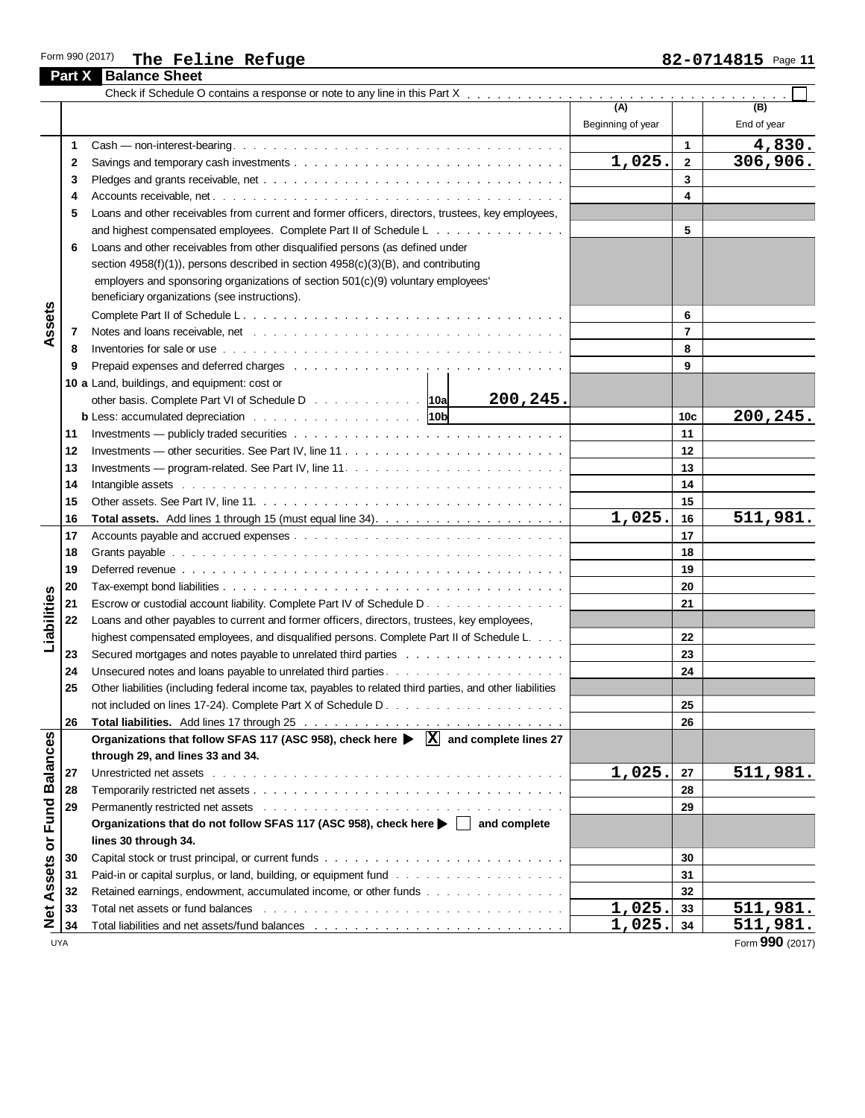|              | <b>Part X</b> Balance Sheet                                                                                                                                                                                                          |                   |                |                 |
|--------------|--------------------------------------------------------------------------------------------------------------------------------------------------------------------------------------------------------------------------------------|-------------------|----------------|-----------------|
|              |                                                                                                                                                                                                                                      | (A)               |                | (B)             |
|              |                                                                                                                                                                                                                                      | Beginning of year |                | End of year     |
|              |                                                                                                                                                                                                                                      |                   |                | 4,830.          |
| 1            | $Cash \rightarrow non-interest\text{-}bearing.$                                                                                                                                                                                      | 1,025.            | $\mathbf{1}$   | 306,906.        |
| $\mathbf{2}$ |                                                                                                                                                                                                                                      |                   | $\mathbf 2$    |                 |
| 3            |                                                                                                                                                                                                                                      |                   | 3<br>4         |                 |
| 4            | Loans and other receivables from current and former officers, directors, trustees, key employees,                                                                                                                                    |                   |                |                 |
| 5            |                                                                                                                                                                                                                                      |                   |                |                 |
|              | and highest compensated employees. Complete Part II of Schedule L                                                                                                                                                                    |                   | 5              |                 |
| 6            | Loans and other receivables from other disqualified persons (as defined under                                                                                                                                                        |                   |                |                 |
|              | section 4958(f)(1)), persons described in section 4958(c)(3)(B), and contributing                                                                                                                                                    |                   |                |                 |
|              | employers and sponsoring organizations of section 501(c)(9) voluntary employees'<br>beneficiary organizations (see instructions).                                                                                                    |                   |                |                 |
|              |                                                                                                                                                                                                                                      |                   | 6              |                 |
|              | Notes and loans receivable, net end and account of the contract of the contract of the contract of the contract of the contract of the contract of the contract of the contract of the contract of the contract of the contrac       |                   | $\overline{7}$ |                 |
| 7            |                                                                                                                                                                                                                                      |                   | 8              |                 |
| 8<br>9       | Inventories for sale or use by contact the contract of the contact of the contact of the contact of the contact of the contact of the contact of the contact of the contact of the contact of the contact of the contact of th       |                   | 9              |                 |
|              | 10 a Land, buildings, and equipment: cost or                                                                                                                                                                                         |                   |                |                 |
|              | 200,245.<br>other basis. Complete Part VI of Schedule D 10a                                                                                                                                                                          |                   |                |                 |
|              | <b>b</b> Less: accumulated depreciation $\cdots$ $\cdots$ $\cdots$ $\cdots$ $\cdots$ $\cdots$ $\cdots$ $\cdots$ $\vert$ 10b                                                                                                          |                   | 10c            | 200, 245.       |
| 11           |                                                                                                                                                                                                                                      |                   | 11             |                 |
| 12           |                                                                                                                                                                                                                                      |                   | 12             |                 |
| 13           |                                                                                                                                                                                                                                      |                   | 13             |                 |
| 14           | Intangible assets but the contract of the contract of the contract of the contract of the contract of the contract of the contract of the contract of the contract of the contract of the contract of the contract of the cont       |                   | 14             |                 |
| 15           |                                                                                                                                                                                                                                      |                   | 15             |                 |
| 16           |                                                                                                                                                                                                                                      | 1,025.            | 16             | 511,981.        |
| 17           |                                                                                                                                                                                                                                      |                   | 17             |                 |
| 18           |                                                                                                                                                                                                                                      |                   | 18             |                 |
| 19           | Deferred revenue business and the contract of the contract of the contract of the contract of the contract of the contract of the contract of the contract of the contract of the contract of the contract of the contract of        |                   | 19             |                 |
| 20           |                                                                                                                                                                                                                                      |                   | 20             |                 |
| 21           | Escrow or custodial account liability. Complete Part IV of Schedule D.                                                                                                                                                               |                   | 21             |                 |
| 22           | Loans and other payables to current and former officers, directors, trustees, key employees,                                                                                                                                         |                   |                |                 |
|              | highest compensated employees, and disqualified persons. Complete Part II of Schedule L.                                                                                                                                             |                   | 22             |                 |
| 23           | Secured mortgages and notes payable to unrelated third parties with the state of the state of the Secured mortgages and notes payable to unrelated third parties with the state of the Secured Muslim state of the Secured Mus       |                   | 23             |                 |
| 24           |                                                                                                                                                                                                                                      |                   | 24             |                 |
| 25           | Other liabilities (including federal income tax, payables to related third parties, and other liabilities                                                                                                                            |                   |                |                 |
|              |                                                                                                                                                                                                                                      |                   | 25             |                 |
| 26           | Total liabilities. Add lines 17 through 25 p.m. and a series of the series of the series of the series of the series of the series of the series of the series of the series of the series of the series of the series of the        |                   | 26             |                 |
|              | Organizations that follow SFAS 117 (ASC 958), check here $\blacktriangleright \overline{X}$ and complete lines 27                                                                                                                    |                   |                |                 |
|              | through 29, and lines 33 and 34.                                                                                                                                                                                                     |                   |                |                 |
| 27           | Unrestricted net assets <b>by a strategie of the strategie of the strategie of the strategie of the strategie of the strategie of the strategie of the strategie of the strategie of the strategie of the strategie of the strat</b> | 1,025.            | 27             | <u>511,981.</u> |
| 28           |                                                                                                                                                                                                                                      |                   | 28             |                 |
| 29           | Permanently restricted net assets enter and the context of the context of the context of the context of the context of the context of the context of the context of the context of the context of the context of the context o       |                   | 29             |                 |
|              | Organizations that do not follow SFAS 117 (ASC 958), check here $\blacktriangleright \Box$<br>and complete                                                                                                                           |                   |                |                 |
|              | lines 30 through 34.                                                                                                                                                                                                                 |                   |                |                 |
| 30           |                                                                                                                                                                                                                                      |                   | 30             |                 |
| 31           |                                                                                                                                                                                                                                      |                   | 31             |                 |
| 32           | Retained earnings, endowment, accumulated income, or other funds                                                                                                                                                                     |                   | 32             |                 |
|              | Total net assets or fund balances enterprised by the contract of the contract of the contract of the contract of the contract of the contract of the contract of the contract of the contract of the contract of the contract        | 1,025.            | 33             | <u>511,981.</u> |
| 33           |                                                                                                                                                                                                                                      | 1,025.            |                | 511,981.        |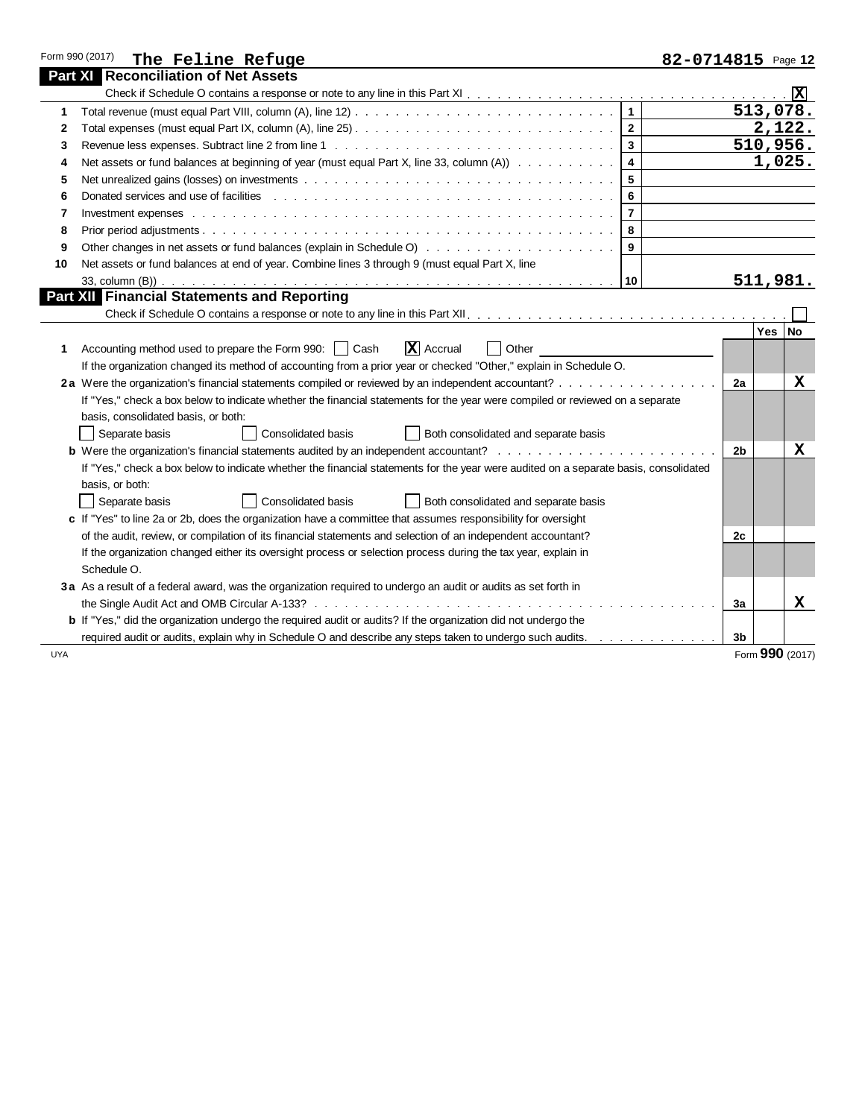|            | Form 990 (2017)<br>The Feline Refuge                                                                                                                                                                                                                                                                                             | 82-0714815 Page 12 |                 |                 |
|------------|----------------------------------------------------------------------------------------------------------------------------------------------------------------------------------------------------------------------------------------------------------------------------------------------------------------------------------|--------------------|-----------------|-----------------|
|            | <b>Part XI Reconciliation of Net Assets</b>                                                                                                                                                                                                                                                                                      |                    |                 |                 |
|            |                                                                                                                                                                                                                                                                                                                                  |                    |                 |                 |
| 1          |                                                                                                                                                                                                                                                                                                                                  |                    |                 | 513,078.        |
| 2          | $\overline{2}$                                                                                                                                                                                                                                                                                                                   |                    |                 | 2,122.          |
| 3          | $\mathbf{3}$                                                                                                                                                                                                                                                                                                                     |                    |                 | 510,956.        |
| 4          | Net assets or fund balances at beginning of year (must equal Part X, line 33, column (A))<br>$\overline{4}$                                                                                                                                                                                                                      |                    |                 | 1,025.          |
| 5          | 5                                                                                                                                                                                                                                                                                                                                |                    |                 |                 |
| 6          | 6<br>Donated services and use of facilities entering to contact the control of the control of the control of the control of the control of the control of the control of the control of the control of the control of the control o                                                                                              |                    |                 |                 |
| 7          | $\overline{7}$<br>Investment expenses because the contract of the contract of the contract of the contract of the contract of the contract of the contract of the contract of the contract of the contract of the contract of the contract of th                                                                                 |                    |                 |                 |
| 8          | 8                                                                                                                                                                                                                                                                                                                                |                    |                 |                 |
| 9          | 9                                                                                                                                                                                                                                                                                                                                |                    |                 |                 |
| 10         | Net assets or fund balances at end of year. Combine lines 3 through 9 (must equal Part X, line                                                                                                                                                                                                                                   |                    |                 |                 |
|            |                                                                                                                                                                                                                                                                                                                                  |                    |                 | <u>511,981.</u> |
| 1          | $ \mathbf{X} $ Accrual<br>$\vert$   Other<br>Accounting method used to prepare the Form 990:     Cash<br>If the organization changed its method of accounting from a prior year or checked "Other," explain in Schedule O.<br>2a Were the organization's financial statements compiled or reviewed by an independent accountant? |                    | 2a              | X               |
|            | If "Yes," check a box below to indicate whether the financial statements for the year were compiled or reviewed on a separate<br>basis, consolidated basis, or both:                                                                                                                                                             |                    |                 |                 |
|            | Consolidated basis<br>Separate basis<br>  Both consolidated and separate basis                                                                                                                                                                                                                                                   |                    |                 |                 |
|            |                                                                                                                                                                                                                                                                                                                                  |                    | 2 <sub>b</sub>  | X               |
|            | If "Yes," check a box below to indicate whether the financial statements for the year were audited on a separate basis, consolidated<br>basis, or both:                                                                                                                                                                          |                    |                 |                 |
|            | Consolidated basis<br>Separate basis<br>Both consolidated and separate basis                                                                                                                                                                                                                                                     |                    |                 |                 |
|            | c If "Yes" to line 2a or 2b, does the organization have a committee that assumes responsibility for oversight                                                                                                                                                                                                                    |                    |                 |                 |
|            | of the audit, review, or compilation of its financial statements and selection of an independent accountant?                                                                                                                                                                                                                     |                    | 2c              |                 |
|            | If the organization changed either its oversight process or selection process during the tax year, explain in<br>Schedule O.                                                                                                                                                                                                     |                    |                 |                 |
|            | 3a As a result of a federal award, was the organization required to undergo an audit or audits as set forth in                                                                                                                                                                                                                   |                    |                 |                 |
|            |                                                                                                                                                                                                                                                                                                                                  |                    | За              | x               |
|            | <b>b</b> If "Yes," did the organization undergo the required audit or audits? If the organization did not undergo the                                                                                                                                                                                                            |                    |                 |                 |
|            | required audit or audits, explain why in Schedule O and describe any steps taken to undergo such audits.                                                                                                                                                                                                                         |                    | 3 <sub>b</sub>  |                 |
| <b>UYA</b> |                                                                                                                                                                                                                                                                                                                                  |                    | Form 990 (2017) |                 |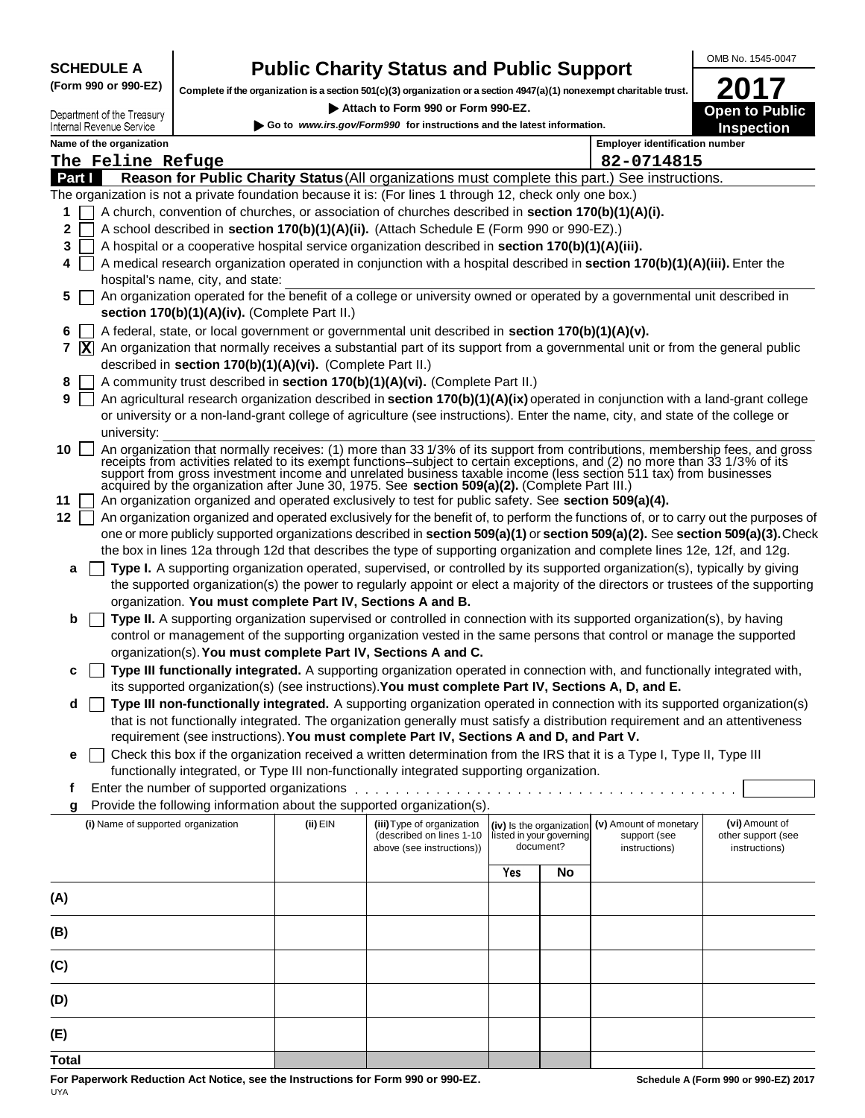**SCHEDULE A (Form 990 or 990-EZ)**

# **Public Charity Status and Public Support**

**Complete if the organization is a section 501(c)(3) organization or a section 4947(a)(1) nonexempt charitable trust.**

 **Attach to Form 990 or Form 990-EZ.** 

**Open to Public Inspection 2017**

OMB No. 1545-0047

|                       | Department of the Treasury         |                                                            |            | Attach to Form 990 or Form 990-EZ.                                                                                                                                                                                                                                                                                                                                                                                                                                                                                                                           |     |                                       |                                                                                  | <b>Open to Public</b>                                 |
|-----------------------|------------------------------------|------------------------------------------------------------|------------|--------------------------------------------------------------------------------------------------------------------------------------------------------------------------------------------------------------------------------------------------------------------------------------------------------------------------------------------------------------------------------------------------------------------------------------------------------------------------------------------------------------------------------------------------------------|-----|---------------------------------------|----------------------------------------------------------------------------------|-------------------------------------------------------|
|                       | Internal Revenue Service           |                                                            |            | Go to www.irs.gov/Form990 for instructions and the latest information.                                                                                                                                                                                                                                                                                                                                                                                                                                                                                       |     |                                       |                                                                                  | <b>Inspection</b>                                     |
|                       | Name of the organization           |                                                            |            |                                                                                                                                                                                                                                                                                                                                                                                                                                                                                                                                                              |     |                                       | <b>Employer identification number</b>                                            |                                                       |
| <b>Part I</b>         | The Feline Refuge                  |                                                            |            | Reason for Public Charity Status (All organizations must complete this part.) See instructions.                                                                                                                                                                                                                                                                                                                                                                                                                                                              |     |                                       | 82-0714815                                                                       |                                                       |
|                       |                                    |                                                            |            | The organization is not a private foundation because it is: (For lines 1 through 12, check only one box.)                                                                                                                                                                                                                                                                                                                                                                                                                                                    |     |                                       |                                                                                  |                                                       |
| 1                     |                                    |                                                            |            | A church, convention of churches, or association of churches described in <b>section 170(b)(1)(A)(i).</b>                                                                                                                                                                                                                                                                                                                                                                                                                                                    |     |                                       |                                                                                  |                                                       |
| 2                     |                                    |                                                            |            | A school described in section 170(b)(1)(A)(ii). (Attach Schedule E (Form 990 or 990-EZ).)                                                                                                                                                                                                                                                                                                                                                                                                                                                                    |     |                                       |                                                                                  |                                                       |
| 3                     |                                    |                                                            |            | A hospital or a cooperative hospital service organization described in section 170(b)(1)(A)(iii).                                                                                                                                                                                                                                                                                                                                                                                                                                                            |     |                                       |                                                                                  |                                                       |
| 4                     |                                    |                                                            |            | A medical research organization operated in conjunction with a hospital described in section 170(b)(1)(A)(iii). Enter the                                                                                                                                                                                                                                                                                                                                                                                                                                    |     |                                       |                                                                                  |                                                       |
|                       |                                    | hospital's name, city, and state:                          |            |                                                                                                                                                                                                                                                                                                                                                                                                                                                                                                                                                              |     |                                       |                                                                                  |                                                       |
| 5                     |                                    | section 170(b)(1)(A)(iv). (Complete Part II.)              |            | An organization operated for the benefit of a college or university owned or operated by a governmental unit described in                                                                                                                                                                                                                                                                                                                                                                                                                                    |     |                                       |                                                                                  |                                                       |
| 6                     |                                    |                                                            |            | A federal, state, or local government or governmental unit described in section 170(b)(1)(A)(v).                                                                                                                                                                                                                                                                                                                                                                                                                                                             |     |                                       |                                                                                  |                                                       |
| 7                     | $ {\bf x} $                        | described in section 170(b)(1)(A)(vi). (Complete Part II.) |            | An organization that normally receives a substantial part of its support from a governmental unit or from the general public                                                                                                                                                                                                                                                                                                                                                                                                                                 |     |                                       |                                                                                  |                                                       |
| 8                     |                                    |                                                            |            | A community trust described in section 170(b)(1)(A)(vi). (Complete Part II.)                                                                                                                                                                                                                                                                                                                                                                                                                                                                                 |     |                                       |                                                                                  |                                                       |
| 9                     |                                    |                                                            |            | An agricultural research organization described in section 170(b)(1)(A)(ix) operated in conjunction with a land-grant college                                                                                                                                                                                                                                                                                                                                                                                                                                |     |                                       |                                                                                  |                                                       |
|                       |                                    |                                                            |            | or university or a non-land-grant college of agriculture (see instructions). Enter the name, city, and state of the college or                                                                                                                                                                                                                                                                                                                                                                                                                               |     |                                       |                                                                                  |                                                       |
|                       | university:                        |                                                            |            |                                                                                                                                                                                                                                                                                                                                                                                                                                                                                                                                                              |     |                                       |                                                                                  |                                                       |
| 10 <sub>l</sub><br>11 |                                    |                                                            |            | An organization that normally receives: (1) more than 33 1/3% of its support from contributions, membership fees, and gross receipts from activities related to its exempt functions-subject to certain exceptions, and (2) no<br>support from gross investment income and unrelated business taxable income (less section 511 tax) from businesses<br>acquired by the organization after June 30, 1975. See section 509(a)(2). (Complete Part III.)<br>An organization organized and operated exclusively to test for public safety. See section 509(a)(4). |     |                                       |                                                                                  |                                                       |
| 12                    |                                    |                                                            |            | An organization organized and operated exclusively for the benefit of, to perform the functions of, or to carry out the purposes of                                                                                                                                                                                                                                                                                                                                                                                                                          |     |                                       |                                                                                  |                                                       |
|                       |                                    |                                                            |            | one or more publicly supported organizations described in section 509(a)(1) or section 509(a)(2). See section 509(a)(3). Check                                                                                                                                                                                                                                                                                                                                                                                                                               |     |                                       |                                                                                  |                                                       |
|                       |                                    |                                                            |            | the box in lines 12a through 12d that describes the type of supporting organization and complete lines 12e, 12f, and 12g.                                                                                                                                                                                                                                                                                                                                                                                                                                    |     |                                       |                                                                                  |                                                       |
| a                     |                                    |                                                            |            | Type I. A supporting organization operated, supervised, or controlled by its supported organization(s), typically by giving                                                                                                                                                                                                                                                                                                                                                                                                                                  |     |                                       |                                                                                  |                                                       |
|                       |                                    |                                                            |            | the supported organization(s) the power to regularly appoint or elect a majority of the directors or trustees of the supporting                                                                                                                                                                                                                                                                                                                                                                                                                              |     |                                       |                                                                                  |                                                       |
|                       |                                    |                                                            |            | organization. You must complete Part IV, Sections A and B.                                                                                                                                                                                                                                                                                                                                                                                                                                                                                                   |     |                                       |                                                                                  |                                                       |
| b                     |                                    |                                                            |            | Type II. A supporting organization supervised or controlled in connection with its supported organization(s), by having<br>control or management of the supporting organization vested in the same persons that control or manage the supported                                                                                                                                                                                                                                                                                                              |     |                                       |                                                                                  |                                                       |
|                       |                                    |                                                            |            | organization(s). You must complete Part IV, Sections A and C.                                                                                                                                                                                                                                                                                                                                                                                                                                                                                                |     |                                       |                                                                                  |                                                       |
| c                     |                                    |                                                            |            | Type III functionally integrated. A supporting organization operated in connection with, and functionally integrated with,                                                                                                                                                                                                                                                                                                                                                                                                                                   |     |                                       |                                                                                  |                                                       |
| d                     |                                    |                                                            |            | its supported organization(s) (see instructions). You must complete Part IV, Sections A, D, and E.<br>Type III non-functionally integrated. A supporting organization operated in connection with its supported organization(s)                                                                                                                                                                                                                                                                                                                              |     |                                       |                                                                                  |                                                       |
|                       |                                    |                                                            |            | that is not functionally integrated. The organization generally must satisfy a distribution requirement and an attentiveness<br>requirement (see instructions). You must complete Part IV, Sections A and D, and Part V.                                                                                                                                                                                                                                                                                                                                     |     |                                       |                                                                                  |                                                       |
| е                     |                                    |                                                            |            | Check this box if the organization received a written determination from the IRS that it is a Type I, Type II, Type III                                                                                                                                                                                                                                                                                                                                                                                                                                      |     |                                       |                                                                                  |                                                       |
|                       |                                    |                                                            |            | functionally integrated, or Type III non-functionally integrated supporting organization.                                                                                                                                                                                                                                                                                                                                                                                                                                                                    |     |                                       |                                                                                  |                                                       |
| f                     |                                    |                                                            |            | Enter the number of supported organizations with a substitution of the substitution of supported organizations                                                                                                                                                                                                                                                                                                                                                                                                                                               |     |                                       |                                                                                  |                                                       |
| g                     |                                    |                                                            |            | Provide the following information about the supported organization(s).                                                                                                                                                                                                                                                                                                                                                                                                                                                                                       |     |                                       |                                                                                  |                                                       |
|                       | (i) Name of supported organization |                                                            | $(ii)$ EIN | (iii) Type of organization<br>(described on lines 1-10<br>above (see instructions))                                                                                                                                                                                                                                                                                                                                                                                                                                                                          |     | listed in your governing<br>document? | (iv) Is the organization (v) Amount of monetary<br>support (see<br>instructions) | (vi) Amount of<br>other support (see<br>instructions) |
|                       |                                    |                                                            |            |                                                                                                                                                                                                                                                                                                                                                                                                                                                                                                                                                              | Yes | No                                    |                                                                                  |                                                       |
| (A)                   |                                    |                                                            |            |                                                                                                                                                                                                                                                                                                                                                                                                                                                                                                                                                              |     |                                       |                                                                                  |                                                       |
| (B)                   |                                    |                                                            |            |                                                                                                                                                                                                                                                                                                                                                                                                                                                                                                                                                              |     |                                       |                                                                                  |                                                       |
| (C)                   |                                    |                                                            |            |                                                                                                                                                                                                                                                                                                                                                                                                                                                                                                                                                              |     |                                       |                                                                                  |                                                       |
| (D)                   |                                    |                                                            |            |                                                                                                                                                                                                                                                                                                                                                                                                                                                                                                                                                              |     |                                       |                                                                                  |                                                       |
| (E)                   |                                    |                                                            |            |                                                                                                                                                                                                                                                                                                                                                                                                                                                                                                                                                              |     |                                       |                                                                                  |                                                       |
|                       |                                    |                                                            |            |                                                                                                                                                                                                                                                                                                                                                                                                                                                                                                                                                              |     |                                       |                                                                                  |                                                       |

**For Paperwork Reduction Act Notice, see the Instructions for Form 990 or 990-EZ.** UYA

**Total**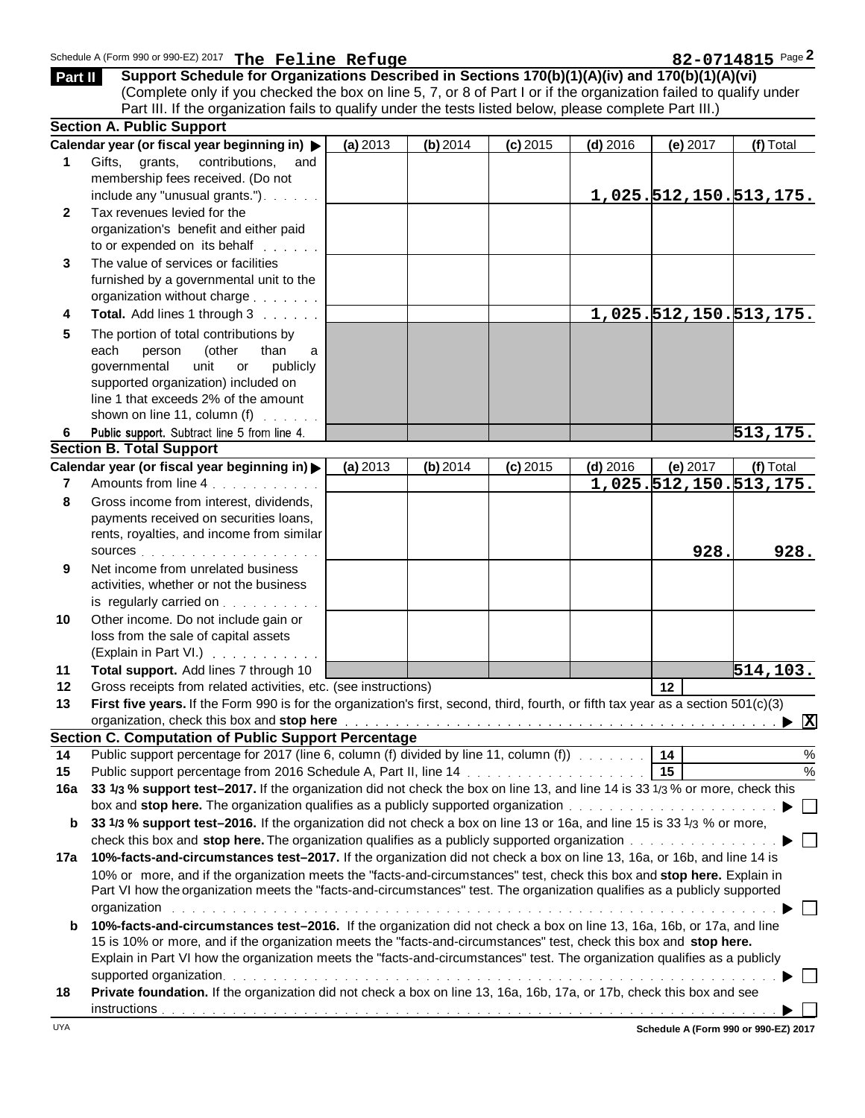|              | Schedule A (Form 990 or 990-EZ) 2017 The Feline Refuge                                                                                                                                                                         |          |          |            |            |                 | 82-0714815 Page 2             |
|--------------|--------------------------------------------------------------------------------------------------------------------------------------------------------------------------------------------------------------------------------|----------|----------|------------|------------|-----------------|-------------------------------|
| Part II      | Support Schedule for Organizations Described in Sections 170(b)(1)(A)(iv) and 170(b)(1)(A)(vi)                                                                                                                                 |          |          |            |            |                 |                               |
|              | (Complete only if you checked the box on line 5, 7, or 8 of Part I or if the organization failed to qualify under                                                                                                              |          |          |            |            |                 |                               |
|              | Part III. If the organization fails to qualify under the tests listed below, please complete Part III.)                                                                                                                        |          |          |            |            |                 |                               |
|              | <b>Section A. Public Support</b>                                                                                                                                                                                               |          |          |            |            |                 |                               |
|              | Calendar year (or fiscal year beginning in)                                                                                                                                                                                    | (a) 2013 | (b) 2014 | $(c)$ 2015 | $(d)$ 2016 | (e) 2017        | (f) Total                     |
| 1            | Gifts, grants,<br>contributions,<br>and                                                                                                                                                                                        |          |          |            |            |                 |                               |
|              | membership fees received. (Do not                                                                                                                                                                                              |          |          |            |            |                 |                               |
|              | include any "unusual grants.").                                                                                                                                                                                                |          |          |            |            |                 | <u>1,025.512,150.513,175.</u> |
| $\mathbf{2}$ | Tax revenues levied for the                                                                                                                                                                                                    |          |          |            |            |                 |                               |
|              | organization's benefit and either paid<br>to or expended on its behalf                                                                                                                                                         |          |          |            |            |                 |                               |
| 3            | The value of services or facilities                                                                                                                                                                                            |          |          |            |            |                 |                               |
|              | furnished by a governmental unit to the                                                                                                                                                                                        |          |          |            |            |                 |                               |
|              | organization without charge                                                                                                                                                                                                    |          |          |            |            |                 |                               |
| 4            | Total. Add lines 1 through 3                                                                                                                                                                                                   |          |          |            |            |                 | 1,025.512,150.513,175.        |
| 5            | The portion of total contributions by                                                                                                                                                                                          |          |          |            |            |                 |                               |
|              | each<br>(other<br>person<br>than<br>a                                                                                                                                                                                          |          |          |            |            |                 |                               |
|              | governmental<br>unit<br>publicly<br>or                                                                                                                                                                                         |          |          |            |            |                 |                               |
|              | supported organization) included on                                                                                                                                                                                            |          |          |            |            |                 |                               |
|              | line 1 that exceeds 2% of the amount                                                                                                                                                                                           |          |          |            |            |                 |                               |
|              | shown on line 11, column $(f)$                                                                                                                                                                                                 |          |          |            |            |                 |                               |
| 6.           | Public support. Subtract line 5 from line 4.                                                                                                                                                                                   |          |          |            |            |                 | 513, 175.                     |
|              | <b>Section B. Total Support</b>                                                                                                                                                                                                |          |          |            |            |                 |                               |
|              | Calendar year (or fiscal year beginning in) >                                                                                                                                                                                  | (a) 2013 | (b) 2014 | $(c)$ 2015 | $(d)$ 2016 | <b>(e)</b> 2017 | (f) Total                     |
| $\mathbf{7}$ | Amounts from line 4.                                                                                                                                                                                                           |          |          |            |            |                 | 1,025.512,150.513,175.        |
| 8            | Gross income from interest, dividends,                                                                                                                                                                                         |          |          |            |            |                 |                               |
|              | payments received on securities loans,                                                                                                                                                                                         |          |          |            |            |                 |                               |
|              | rents, royalties, and income from similar                                                                                                                                                                                      |          |          |            |            |                 |                               |
|              | SOUICES                                                                                                                                                                                                                        |          |          |            |            | 928.            | 928.                          |
| 9            | Net income from unrelated business                                                                                                                                                                                             |          |          |            |            |                 |                               |
|              | activities, whether or not the business                                                                                                                                                                                        |          |          |            |            |                 |                               |
|              | is regularly carried on                                                                                                                                                                                                        |          |          |            |            |                 |                               |
| 10           | Other income. Do not include gain or                                                                                                                                                                                           |          |          |            |            |                 |                               |
|              | loss from the sale of capital assets<br>(Explain in Part VI.)                                                                                                                                                                  |          |          |            |            |                 |                               |
| 11           | Total support. Add lines 7 through 10                                                                                                                                                                                          |          |          |            |            |                 | 514, 103.                     |
| 12           | Gross receipts from related activities, etc. (see instructions)                                                                                                                                                                |          |          |            |            | 12              |                               |
| 13           | First five years. If the Form 990 is for the organization's first, second, third, fourth, or fifth tax year as a section 501(c)(3)                                                                                             |          |          |            |            |                 |                               |
|              |                                                                                                                                                                                                                                |          |          |            |            |                 |                               |
|              | <b>Section C. Computation of Public Support Percentage</b>                                                                                                                                                                     |          |          |            |            |                 |                               |
| 14           | Public support percentage for 2017 (line 6, column (f) divided by line 11, column (f)) [14] 14                                                                                                                                 |          |          |            |            |                 | $\%$                          |
| 15           | Public support percentage from 2016 Schedule A, Part II, line 14 manufacture and contact the control of the 14                                                                                                                 |          |          |            |            | $\boxed{15}$    | $\overline{\%}$               |
| 16a          | 33 1/3 % support test-2017. If the organization did not check the box on line 13, and line 14 is 33 $\frac{1}{3}$ % or more, check this                                                                                        |          |          |            |            |                 |                               |
|              |                                                                                                                                                                                                                                |          |          |            |            |                 |                               |
| b            | 33 1/3 % support test-2016. If the organization did not check a box on line 13 or 16a, and line 15 is 33 1/3 % or more,                                                                                                        |          |          |            |            |                 |                               |
|              | check this box and stop here. The organization qualifies as a publicly supported organization with the state of the state of the state of the state of the state of the state of the state of the state of the state of the st |          |          |            |            |                 |                               |
| 17a          | 10%-facts-and-circumstances test-2017. If the organization did not check a box on line 13, 16a, or 16b, and line 14 is                                                                                                         |          |          |            |            |                 |                               |
|              | 10% or more, and if the organization meets the "facts-and-circumstances" test, check this box and stop here. Explain in                                                                                                        |          |          |            |            |                 |                               |
|              | Part VI how the organization meets the "facts-and-circumstances" test. The organization qualifies as a publicly supported                                                                                                      |          |          |            |            |                 |                               |
|              |                                                                                                                                                                                                                                |          |          |            |            |                 |                               |
| b            | 10%-facts-and-circumstances test-2016. If the organization did not check a box on line 13, 16a, 16b, or 17a, and line                                                                                                          |          |          |            |            |                 |                               |
|              | 15 is 10% or more, and if the organization meets the "facts-and-circumstances" test, check this box and stop here.                                                                                                             |          |          |            |            |                 |                               |
|              | Explain in Part VI how the organization meets the "facts-and-circumstances" test. The organization qualifies as a publicly                                                                                                     |          |          |            |            |                 |                               |
|              |                                                                                                                                                                                                                                |          |          |            |            |                 |                               |
| 18           | Private foundation. If the organization did not check a box on line 13, 16a, 16b, 17a, or 17b, check this box and see                                                                                                          |          |          |            |            |                 |                               |
|              |                                                                                                                                                                                                                                |          |          |            |            |                 |                               |

**Schedule A (Form 990 or 990-EZ) 2017**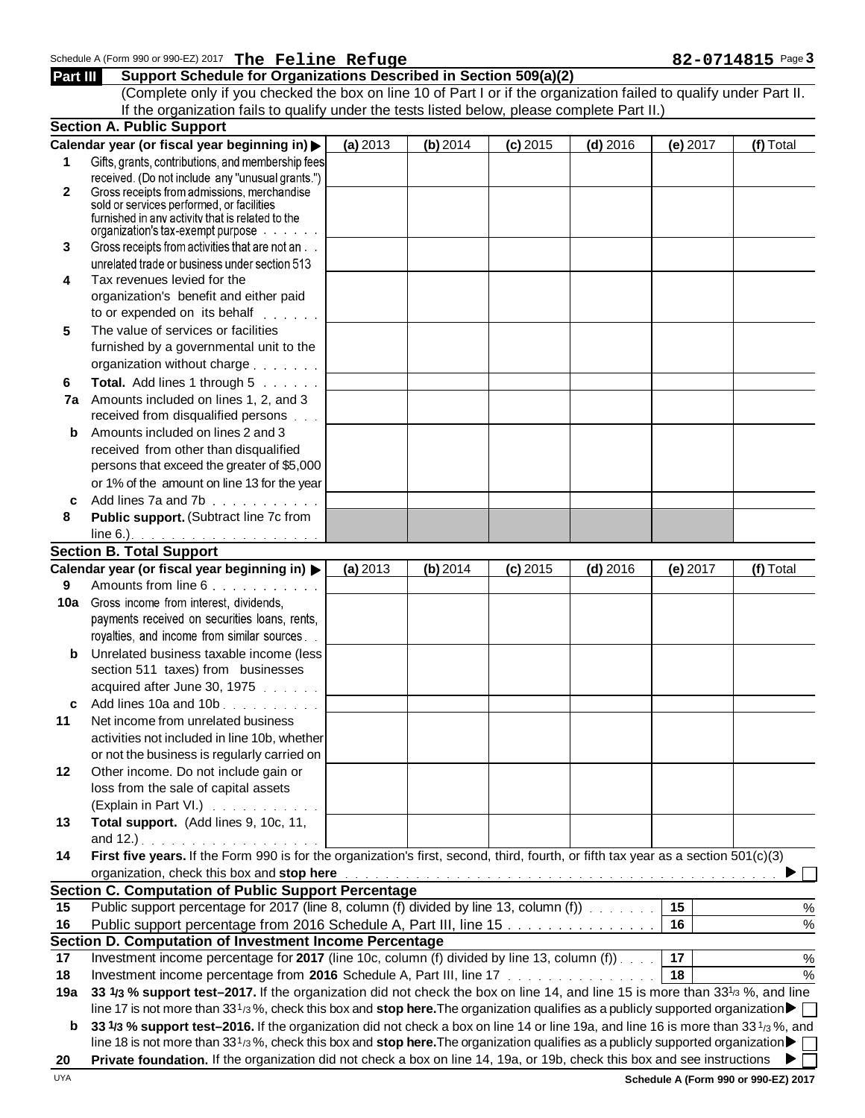#### Schedule A (Form 990 or 990-EZ) 2017 The Feline Refuge **82-0714815** Page 3

**Part III** Support Schedule for Organizations Described in Section 509(a)(2) (Complete only if you checked the box on line 10 of Part I or if the organization failed to qualify under Part II. If the organization fails to qualify under the tests listed below, please complete Part II.)

|              | <b>Section A. Public Support</b>                                                                                                                     |          |          |            |            |          |               |
|--------------|------------------------------------------------------------------------------------------------------------------------------------------------------|----------|----------|------------|------------|----------|---------------|
|              | Calendar year (or fiscal year beginning in) >                                                                                                        | (a) 2013 | (b) 2014 | $(c)$ 2015 | $(d)$ 2016 | (e) 2017 | (f) Total     |
| 1            | Gifts, grants, contributions, and membership fees                                                                                                    |          |          |            |            |          |               |
|              | received. (Do not include any "unusual grants.")                                                                                                     |          |          |            |            |          |               |
| $\mathbf{2}$ | Gross receipts from admissions, merchandise                                                                                                          |          |          |            |            |          |               |
|              | sold or services performed, or facilities<br>furnished in any activity that is related to the                                                        |          |          |            |            |          |               |
|              | organization's tax-exempt purpose with a state                                                                                                       |          |          |            |            |          |               |
| 3            | Gross receipts from activities that are not an                                                                                                       |          |          |            |            |          |               |
|              | unrelated trade or business under section 513                                                                                                        |          |          |            |            |          |               |
| 4            | Tax revenues levied for the                                                                                                                          |          |          |            |            |          |               |
|              | organization's benefit and either paid                                                                                                               |          |          |            |            |          |               |
|              | to or expended on its behalf                                                                                                                         |          |          |            |            |          |               |
| 5            | The value of services or facilities                                                                                                                  |          |          |            |            |          |               |
|              | furnished by a governmental unit to the                                                                                                              |          |          |            |            |          |               |
|              | organization without charge                                                                                                                          |          |          |            |            |          |               |
| 6            | <b>Total.</b> Add lines 1 through 5                                                                                                                  |          |          |            |            |          |               |
|              | 7a Amounts included on lines 1, 2, and 3                                                                                                             |          |          |            |            |          |               |
|              | received from disqualified persons                                                                                                                   |          |          |            |            |          |               |
| b            | Amounts included on lines 2 and 3                                                                                                                    |          |          |            |            |          |               |
|              | received from other than disqualified                                                                                                                |          |          |            |            |          |               |
|              | persons that exceed the greater of \$5,000                                                                                                           |          |          |            |            |          |               |
|              | or 1% of the amount on line 13 for the year                                                                                                          |          |          |            |            |          |               |
| c            |                                                                                                                                                      |          |          |            |            |          |               |
| 8            | Public support. (Subtract line 7c from                                                                                                               |          |          |            |            |          |               |
|              |                                                                                                                                                      |          |          |            |            |          |               |
|              | <b>Section B. Total Support</b>                                                                                                                      |          |          |            |            |          |               |
|              | Calendar year (or fiscal year beginning in) ▶                                                                                                        | (a) 2013 | (b) 2014 | $(c)$ 2015 | $(d)$ 2016 | (e) 2017 | (f) Total     |
| 9            | Amounts from line 6                                                                                                                                  |          |          |            |            |          |               |
|              | 10a Gross income from interest, dividends,                                                                                                           |          |          |            |            |          |               |
|              | payments received on securities loans, rents,                                                                                                        |          |          |            |            |          |               |
|              | royalties, and income from similar sources                                                                                                           |          |          |            |            |          |               |
| b            | Unrelated business taxable income (less                                                                                                              |          |          |            |            |          |               |
|              | section 511 taxes) from businesses                                                                                                                   |          |          |            |            |          |               |
|              | acquired after June 30, 1975                                                                                                                         |          |          |            |            |          |               |
| C            | Add lines 10a and 10b.                                                                                                                               |          |          |            |            |          |               |
| 11           | Net income from unrelated business                                                                                                                   |          |          |            |            |          |               |
|              | activities not included in line 10b, whether                                                                                                         |          |          |            |            |          |               |
|              | or not the business is regularly carried on                                                                                                          |          |          |            |            |          |               |
| 12           | Other income. Do not include gain or                                                                                                                 |          |          |            |            |          |               |
|              | loss from the sale of capital assets                                                                                                                 |          |          |            |            |          |               |
|              | (Explain in Part VI.)                                                                                                                                |          |          |            |            |          |               |
| 13           | Total support. (Add lines 9, 10c, 11,                                                                                                                |          |          |            |            |          |               |
|              | and $12.$ ).                                                                                                                                         |          |          |            |            |          |               |
| 14           | First five years. If the Form 990 is for the organization's first, second, third, fourth, or fifth tax year as a section 501(c)(3)                   |          |          |            |            |          |               |
|              | organization, check this box and stop here entertainment is a series of the series of the series of the series is a series of D                      |          |          |            |            |          |               |
|              | <b>Section C. Computation of Public Support Percentage</b>                                                                                           |          |          |            |            |          |               |
| 15           | Public support percentage for 2017 (line 8, column (f) divided by line 13, column (f))                                                               |          |          |            |            | 15       | $\%$          |
| 16           | Public support percentage from 2016 Schedule A, Part III, line 15                                                                                    |          |          |            |            | 16       | $\%$          |
|              | Section D. Computation of Investment Income Percentage                                                                                               |          |          |            |            |          |               |
| 17           | Investment income percentage for 2017 (line 10c, column (f) divided by line 13, column (f)).                                                         |          |          |            |            | 17       | $\%$          |
| 18           | Investment income percentage from 2016 Schedule A, Part III, line 17                                                                                 |          |          |            |            | 18       | $\frac{0}{0}$ |
| 19a          | 33 1/3 % support test-2017. If the organization did not check the box on line 14, and line 15 is more than 33 <sup>1/3</sup> %, and line             |          |          |            |            |          |               |
|              | line 17 is not more than 331/3%, check this box and stop here. The organization qualifies as a publicly supported organization $\blacktriangleright$ |          |          |            |            |          |               |
| b            | 33 1/3 % support test-2016. If the organization did not check a box on line 14 or line 19a, and line 16 is more than 33 1/3 %, and                   |          |          |            |            |          |               |
|              | line 18 is not more than 331/3%, check this box and stop here. The organization qualifies as a publicly supported organization                       |          |          |            |            |          |               |
| 20           | Private foundation. If the organization did not check a box on line 14, 19a, or 19b, check this box and see instructions                             |          |          |            |            |          |               |
|              |                                                                                                                                                      |          |          |            |            |          |               |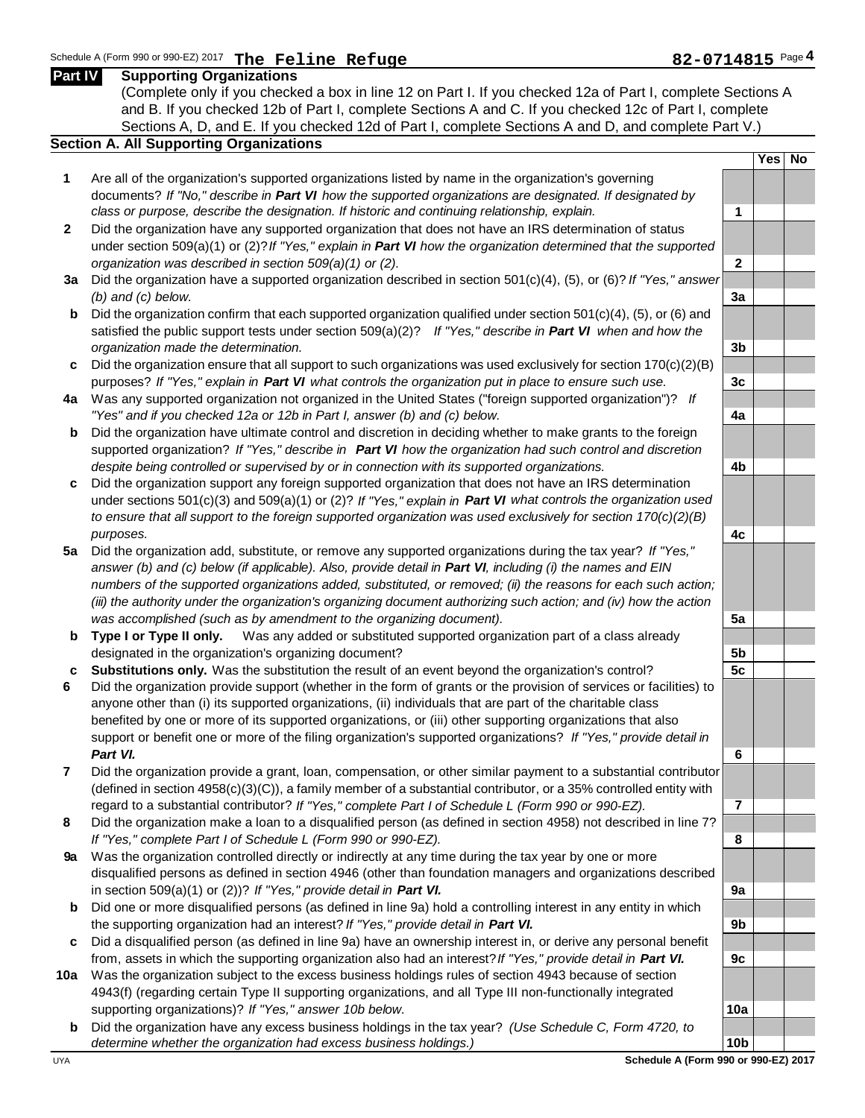| Part IV | <b>Supporting Organizations</b>                                                                                      |                 |        |  |
|---------|----------------------------------------------------------------------------------------------------------------------|-----------------|--------|--|
|         | (Complete only if you checked a box in line 12 on Part I. If you checked 12a of Part I, complete Sections A          |                 |        |  |
|         | and B. If you checked 12b of Part I, complete Sections A and C. If you checked 12c of Part I, complete               |                 |        |  |
|         | Sections A, D, and E. If you checked 12d of Part I, complete Sections A and D, and complete Part V.)                 |                 |        |  |
|         | <b>Section A. All Supporting Organizations</b>                                                                       |                 |        |  |
|         |                                                                                                                      |                 | Yes No |  |
| 1       | Are all of the organization's supported organizations listed by name in the organization's governing                 |                 |        |  |
|         | documents? If "No," describe in Part VI how the supported organizations are designated. If designated by             |                 |        |  |
|         | class or purpose, describe the designation. If historic and continuing relationship, explain.                        | 1               |        |  |
| 2       | Did the organization have any supported organization that does not have an IRS determination of status               |                 |        |  |
|         | under section 509(a)(1) or (2)? If "Yes," explain in Part VI how the organization determined that the supported      |                 |        |  |
|         |                                                                                                                      | $\mathbf{2}$    |        |  |
|         | organization was described in section 509(a)(1) or (2).                                                              |                 |        |  |
| За      | Did the organization have a supported organization described in section $501(c)(4)$ , (5), or (6)? If "Yes," answer  |                 |        |  |
|         | $(b)$ and $(c)$ below.                                                                                               | 3a              |        |  |
| b       | Did the organization confirm that each supported organization qualified under section 501(c)(4), (5), or (6) and     |                 |        |  |
|         | satisfied the public support tests under section $509(a)(2)$ ? If "Yes," describe in <b>Part VI</b> when and how the |                 |        |  |
|         | organization made the determination.                                                                                 | 3 <sub>b</sub>  |        |  |
| c       | Did the organization ensure that all support to such organizations was used exclusively for section $170(c)(2)(B)$   |                 |        |  |
|         | purposes? If "Yes," explain in Part VI what controls the organization put in place to ensure such use.               | 3 <sub>c</sub>  |        |  |
| 4a      | Was any supported organization not organized in the United States ("foreign supported organization")? If             |                 |        |  |
|         | "Yes" and if you checked 12a or 12b in Part I, answer (b) and (c) below.                                             | 4a              |        |  |
| b       | Did the organization have ultimate control and discretion in deciding whether to make grants to the foreign          |                 |        |  |
|         | supported organization? If "Yes," describe in Part VI how the organization had such control and discretion           |                 |        |  |
|         | despite being controlled or supervised by or in connection with its supported organizations.                         | 4b              |        |  |
|         | Did the organization support any foreign supported organization that does not have an IRS determination              |                 |        |  |
|         | under sections 501(c)(3) and 509(a)(1) or (2)? If "Yes," explain in Part VI what controls the organization used      |                 |        |  |
|         | to ensure that all support to the foreign supported organization was used exclusively for section $170(c)(2)(B)$     |                 |        |  |
|         |                                                                                                                      |                 |        |  |
|         | purposes.                                                                                                            | 4c              |        |  |
| 5a      | Did the organization add, substitute, or remove any supported organizations during the tax year? If "Yes,"           |                 |        |  |
|         | answer (b) and (c) below (if applicable). Also, provide detail in Part VI, including (i) the names and EIN           |                 |        |  |
|         | numbers of the supported organizations added, substituted, or removed; (ii) the reasons for each such action;        |                 |        |  |
|         | (iii) the authority under the organization's organizing document authorizing such action; and (iv) how the action    |                 |        |  |
|         | was accomplished (such as by amendment to the organizing document).                                                  | 5a              |        |  |
| b       | Type I or Type II only. Was any added or substituted supported organization part of a class already                  |                 |        |  |
|         | designated in the organization's organizing document?                                                                | 5b              |        |  |
| c       | Substitutions only. Was the substitution the result of an event beyond the organization's control?                   | 5 <sub>c</sub>  |        |  |
| 6       | Did the organization provide support (whether in the form of grants or the provision of services or facilities) to   |                 |        |  |
|         | anyone other than (i) its supported organizations, (ii) individuals that are part of the charitable class            |                 |        |  |
|         | benefited by one or more of its supported organizations, or (iii) other supporting organizations that also           |                 |        |  |
|         | support or benefit one or more of the filing organization's supported organizations? If "Yes," provide detail in     |                 |        |  |
|         | Part VI.                                                                                                             | 6               |        |  |
| 7       | Did the organization provide a grant, loan, compensation, or other similar payment to a substantial contributor      |                 |        |  |
|         | (defined in section 4958(c)(3)(C)), a family member of a substantial contributor, or a 35% controlled entity with    |                 |        |  |
|         | regard to a substantial contributor? If "Yes," complete Part I of Schedule L (Form 990 or 990-EZ).                   | 7               |        |  |
| 8       | Did the organization make a loan to a disqualified person (as defined in section 4958) not described in line 7?      |                 |        |  |
|         | If "Yes," complete Part I of Schedule L (Form 990 or 990-EZ).                                                        | 8               |        |  |
| 9a      | Was the organization controlled directly or indirectly at any time during the tax year by one or more                |                 |        |  |
|         | disqualified persons as defined in section 4946 (other than foundation managers and organizations described          |                 |        |  |
|         |                                                                                                                      |                 |        |  |
|         | in section $509(a)(1)$ or (2))? If "Yes," provide detail in Part VI.                                                 | 9a              |        |  |
| b       | Did one or more disqualified persons (as defined in line 9a) hold a controlling interest in any entity in which      |                 |        |  |
|         | the supporting organization had an interest? If "Yes," provide detail in Part VI.                                    | 9b              |        |  |
| c       | Did a disqualified person (as defined in line 9a) have an ownership interest in, or derive any personal benefit      |                 |        |  |
|         | from, assets in which the supporting organization also had an interest? If "Yes," provide detail in Part VI.         | 9c              |        |  |
| 10a     | Was the organization subject to the excess business holdings rules of section 4943 because of section                |                 |        |  |
|         | 4943(f) (regarding certain Type II supporting organizations, and all Type III non-functionally integrated            |                 |        |  |
|         | supporting organizations)? If "Yes," answer 10b below.                                                               | 10a             |        |  |
| b       | Did the organization have any excess business holdings in the tax year? (Use Schedule C, Form 4720, to               |                 |        |  |
|         | determine whether the organization had excess business holdings.)                                                    | 10 <sub>b</sub> |        |  |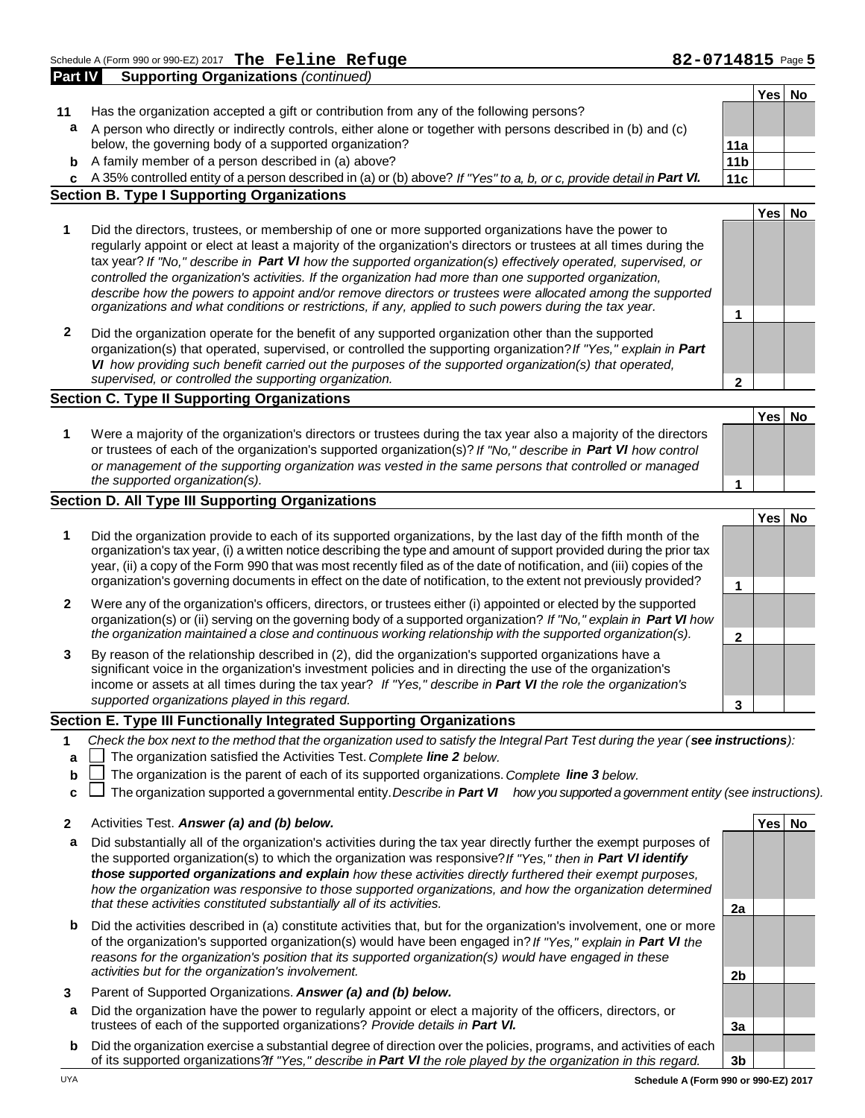**Schedule A (Form 990 or 990-EZ) 2017** The Feline Refuge **1988 1999 82-0714815** Page 5

| Part IV     | <b>Supporting Organizations (continued)</b>                                                                                                                                                                                                                                                                                                                                                                                                                                                                                                                                                                                                                                  |                      |          |  |
|-------------|------------------------------------------------------------------------------------------------------------------------------------------------------------------------------------------------------------------------------------------------------------------------------------------------------------------------------------------------------------------------------------------------------------------------------------------------------------------------------------------------------------------------------------------------------------------------------------------------------------------------------------------------------------------------------|----------------------|----------|--|
|             |                                                                                                                                                                                                                                                                                                                                                                                                                                                                                                                                                                                                                                                                              |                      | Yes   No |  |
| 11          | Has the organization accepted a gift or contribution from any of the following persons?                                                                                                                                                                                                                                                                                                                                                                                                                                                                                                                                                                                      |                      |          |  |
| a           | A person who directly or indirectly controls, either alone or together with persons described in (b) and (c)                                                                                                                                                                                                                                                                                                                                                                                                                                                                                                                                                                 |                      |          |  |
|             | below, the governing body of a supported organization?                                                                                                                                                                                                                                                                                                                                                                                                                                                                                                                                                                                                                       | 11a                  |          |  |
| $\mathbf b$ | A family member of a person described in (a) above?                                                                                                                                                                                                                                                                                                                                                                                                                                                                                                                                                                                                                          | 11 <sub>b</sub>      |          |  |
|             | c A 35% controlled entity of a person described in (a) or (b) above? If "Yes" to a, b, or c, provide detail in Part VI.                                                                                                                                                                                                                                                                                                                                                                                                                                                                                                                                                      | 11c                  |          |  |
|             | <b>Section B. Type I Supporting Organizations</b>                                                                                                                                                                                                                                                                                                                                                                                                                                                                                                                                                                                                                            |                      |          |  |
|             |                                                                                                                                                                                                                                                                                                                                                                                                                                                                                                                                                                                                                                                                              |                      | Yes   No |  |
| 1           | Did the directors, trustees, or membership of one or more supported organizations have the power to<br>regularly appoint or elect at least a majority of the organization's directors or trustees at all times during the<br>tax year? If "No," describe in Part VI how the supported organization(s) effectively operated, supervised, or<br>controlled the organization's activities. If the organization had more than one supported organization,<br>describe how the powers to appoint and/or remove directors or trustees were allocated among the supported<br>organizations and what conditions or restrictions, if any, applied to such powers during the tax year. | 1                    |          |  |
| 2           | Did the organization operate for the benefit of any supported organization other than the supported<br>organization(s) that operated, supervised, or controlled the supporting organization? If "Yes," explain in Part<br>VI how providing such benefit carried out the purposes of the supported organization(s) that operated,<br>supervised, or controlled the supporting organization.                                                                                                                                                                                                                                                                                   | $\mathbf{2}$         |          |  |
|             | <b>Section C. Type II Supporting Organizations</b>                                                                                                                                                                                                                                                                                                                                                                                                                                                                                                                                                                                                                           |                      |          |  |
|             |                                                                                                                                                                                                                                                                                                                                                                                                                                                                                                                                                                                                                                                                              |                      | Yes   No |  |
| 1           | Were a majority of the organization's directors or trustees during the tax year also a majority of the directors<br>or trustees of each of the organization's supported organization(s)? If "No," describe in Part VI how control<br>or management of the supporting organization was vested in the same persons that controlled or managed<br>the supported organization(s).                                                                                                                                                                                                                                                                                                | $\mathbf 1$          |          |  |
|             | <b>Section D. All Type III Supporting Organizations</b>                                                                                                                                                                                                                                                                                                                                                                                                                                                                                                                                                                                                                      |                      |          |  |
|             |                                                                                                                                                                                                                                                                                                                                                                                                                                                                                                                                                                                                                                                                              |                      | Yes   No |  |
| 1           | Did the organization provide to each of its supported organizations, by the last day of the fifth month of the<br>organization's tax year, (i) a written notice describing the type and amount of support provided during the prior tax<br>year, (ii) a copy of the Form 990 that was most recently filed as of the date of notification, and (iii) copies of the<br>organization's governing documents in effect on the date of notification, to the extent not previously provided?                                                                                                                                                                                        | $\blacktriangleleft$ |          |  |
|             | Were any of the organization's officers, directors, or trustees either (i) appointed or elected by the supported                                                                                                                                                                                                                                                                                                                                                                                                                                                                                                                                                             |                      |          |  |

- **2** Were any of the organization's officers, directors, or trustees either (i) appointed or elected by the supported organization(s) or (ii) serving on the governing body of a supported organization? *If "No," explain in Part VI how the organization maintained a close and continuous working relationship with the supported organization(s).* **2**
- **3** By reason of the relationship described in (2), did the organization's supported organizations have a significant voice in the organization's investment policies and in directing the use of the organization's income or assets at all times during the tax year? *If "Yes," describe in Part VI the role the organization's supported organizations played in this regard.* **3**

#### **Section E. Type III Functionally Integrated Supporting Organizations**

- **1** *Check the box next to the method that the organization used to satisfy the Integral Part Test during the year ( see instructions):*
- **a** The organization satisfied the Activities Test. *Complete line 2 below.*
- **b** The organization is the parent of each of its supported organizations. *Complete line 3 below.*
- **c** └┘ The organization supported a governmental entity. *Describe in Part Ⅶ how you supported a government entity (see instructions).*
- **2** Activities Test. *Answer (a) and (b) below.* **Yes No**
- **a** Did substantially all of the organization's activities during the tax year directly further the exempt purposes of the supported organization(s) to which the organization was responsive? *If "Yes," then in Part VI identify those supported organizations and explain how these activities directly furthered their exempt purposes, how the organization was responsive to those supported organizations, and how the organization determined that these activities constituted substantially all of its activities.* **2a**
- **b** Did the activities described in (a) constitute activities that, but for the organization's involvement, one or more of the organization's supported organization(s) would have been engaged in? *If "Yes," explain in Part VI the reasons for the organization's position that its supported organization(s) would have engaged in these activities but for the organization's involvement.* **2b**
- **3** Parent of Supported Organizations. *Answer (a) and (b) below.*
- **a** Did the organization have the power to regularly appoint or elect a majority of the officers, directors, or trustees of each of the supported organizations? *Provide details in Part VI.* **3a**
- **b** Did the organization exercise a substantial degree of direction over the policies, programs, and activities of each of its supported organizations? *If "Yes," describe in Part VI the role played by the organization in this regard.* **3b**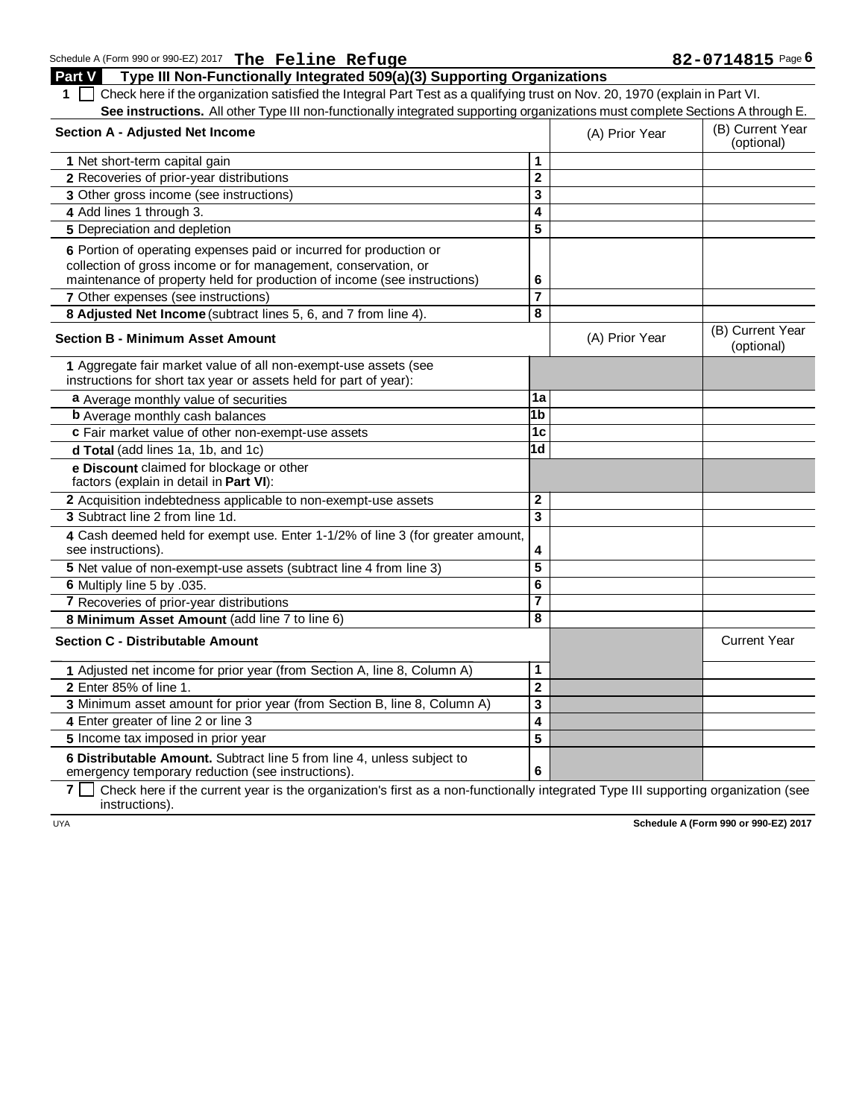#### Schedule A (Form 990 or 990-EZ) 2017 The Feline Refuge **1998 1998 82-0714815** Page **6**

**Part V Type III Non-Functionally Integrated 509(a)(3) Supporting Organizations**  1 <sup>1</sup> Check here if the organization satisfied the Integral Part Test as a qualifying trust on Nov. 20, 1970 (explain in Part VI. **See instructions.**  All other Type III non-functionally integrated supporting organizations must complete Sections A through E.

| 1   Check here if the organization satisfied the Integral Part Test as a qualifying trust on Nov. 20, 1970 (explain in Part VI.<br>See instructions. All other Type III non-functionally integrated supporting organizations must complete Sections A through E. |                |                |                                |
|------------------------------------------------------------------------------------------------------------------------------------------------------------------------------------------------------------------------------------------------------------------|----------------|----------------|--------------------------------|
| <b>Section A - Adjusted Net Income</b>                                                                                                                                                                                                                           |                | (A) Prior Year | (B) Current Year<br>(optional) |
| 1 Net short-term capital gain                                                                                                                                                                                                                                    | 1              |                |                                |
| 2 Recoveries of prior-year distributions                                                                                                                                                                                                                         | $\overline{2}$ |                |                                |
| 3 Other gross income (see instructions)                                                                                                                                                                                                                          | 3              |                |                                |
| 4 Add lines 1 through 3.                                                                                                                                                                                                                                         | 4              |                |                                |
| 5 Depreciation and depletion                                                                                                                                                                                                                                     | 5              |                |                                |
| 6 Portion of operating expenses paid or incurred for production or<br>collection of gross income or for management, conservation, or<br>maintenance of property held for production of income (see instructions)                                                 | 6              |                |                                |
| 7 Other expenses (see instructions)                                                                                                                                                                                                                              | 7              |                |                                |
| 8 Adjusted Net Income (subtract lines 5, 6, and 7 from line 4).                                                                                                                                                                                                  | 8              |                |                                |
| <b>Section B - Minimum Asset Amount</b>                                                                                                                                                                                                                          |                | (A) Prior Year | (B) Current Year<br>(optional) |
| 1 Aggregate fair market value of all non-exempt-use assets (see<br>instructions for short tax year or assets held for part of year):                                                                                                                             |                |                |                                |
| a Average monthly value of securities                                                                                                                                                                                                                            | 1a             |                |                                |
| <b>b</b> Average monthly cash balances                                                                                                                                                                                                                           | 1 <sub>b</sub> |                |                                |
| c Fair market value of other non-exempt-use assets                                                                                                                                                                                                               | 1 <sub>c</sub> |                |                                |
| d Total (add lines 1a, 1b, and 1c)                                                                                                                                                                                                                               | 1d             |                |                                |
| e Discount claimed for blockage or other<br>factors (explain in detail in Part VI):                                                                                                                                                                              |                |                |                                |
| 2 Acquisition indebtedness applicable to non-exempt-use assets                                                                                                                                                                                                   | 2              |                |                                |
| 3 Subtract line 2 from line 1d.                                                                                                                                                                                                                                  | $\overline{3}$ |                |                                |
| 4 Cash deemed held for exempt use. Enter 1-1/2% of line 3 (for greater amount,<br>see instructions).                                                                                                                                                             | 4              |                |                                |
| 5 Net value of non-exempt-use assets (subtract line 4 from line 3)                                                                                                                                                                                               | 5              |                |                                |
| 6 Multiply line 5 by .035.                                                                                                                                                                                                                                       | 6              |                |                                |
| 7 Recoveries of prior-year distributions                                                                                                                                                                                                                         | 7              |                |                                |
| 8 Minimum Asset Amount (add line 7 to line 6)                                                                                                                                                                                                                    | 8              |                |                                |
| <b>Section C - Distributable Amount</b>                                                                                                                                                                                                                          |                |                | <b>Current Year</b>            |
| 1 Adjusted net income for prior year (from Section A, line 8, Column A)                                                                                                                                                                                          | 1              |                |                                |
| 2 Enter 85% of line 1.                                                                                                                                                                                                                                           | $\overline{2}$ |                |                                |
| 3 Minimum asset amount for prior year (from Section B, line 8, Column A)                                                                                                                                                                                         | 3              |                |                                |
| 4 Enter greater of line 2 or line 3                                                                                                                                                                                                                              | 4              |                |                                |
| 5 Income tax imposed in prior year                                                                                                                                                                                                                               | 5              |                |                                |
| 6 Distributable Amount. Subtract line 5 from line 4, unless subject to<br>emergency temporary reduction (see instructions).                                                                                                                                      | 6              |                |                                |

**7**  $\Box$  Check here if the current year is the organization's first as a non-functionally integrated Type III supporting organization (see instructions).

UYA **Schedule A (Form 990 or 990-EZ) 2017**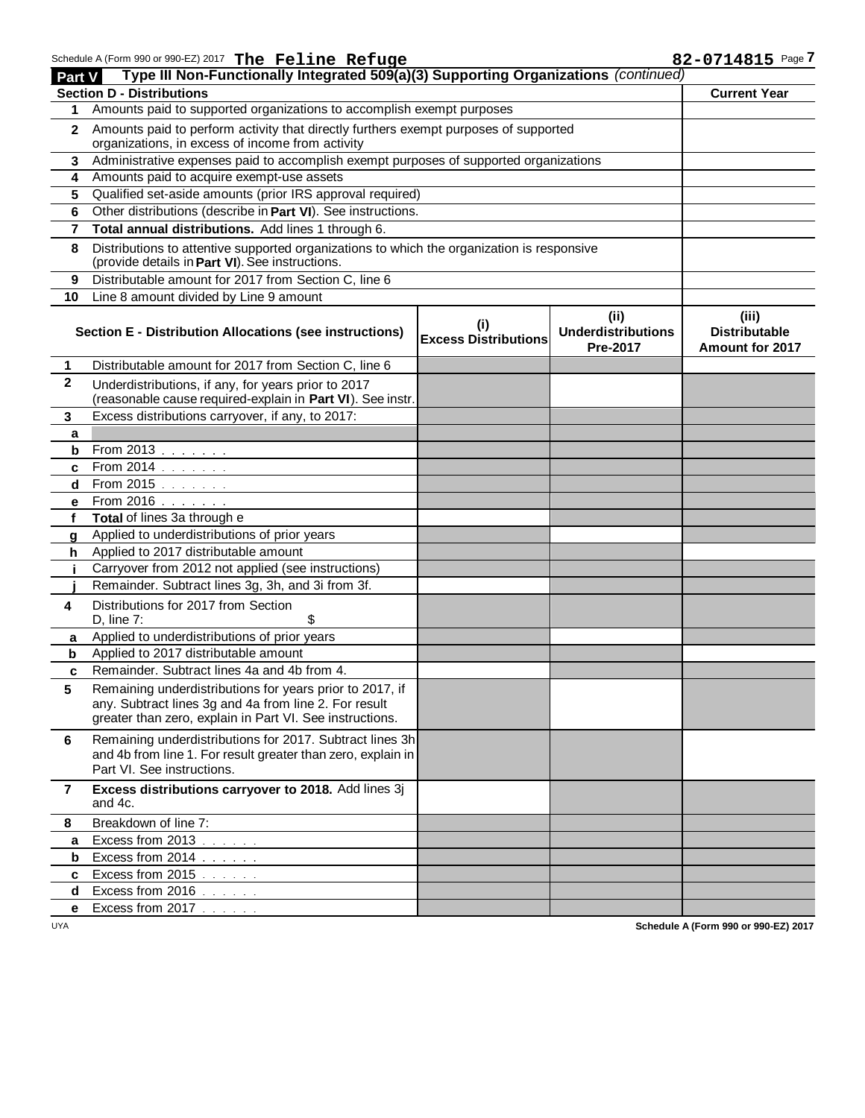Schedule A (Form 990 or 990-EZ) 2017 The Feline Refuge **1998 12 and 2018** 2-0714815 Page 7

| Part V       | Type III Non-Functionally Integrated 509(a)(3) Supporting Organizations (continued)                                                                                           |                             |                                               |                                                  |
|--------------|-------------------------------------------------------------------------------------------------------------------------------------------------------------------------------|-----------------------------|-----------------------------------------------|--------------------------------------------------|
|              | <b>Section D - Distributions</b>                                                                                                                                              |                             |                                               | <b>Current Year</b>                              |
| 1            | Amounts paid to supported organizations to accomplish exempt purposes                                                                                                         |                             |                                               |                                                  |
| $\mathbf{2}$ | Amounts paid to perform activity that directly furthers exempt purposes of supported                                                                                          |                             |                                               |                                                  |
|              | organizations, in excess of income from activity                                                                                                                              |                             |                                               |                                                  |
| 3            | Administrative expenses paid to accomplish exempt purposes of supported organizations                                                                                         |                             |                                               |                                                  |
| 4            | Amounts paid to acquire exempt-use assets                                                                                                                                     |                             |                                               |                                                  |
| 5            | Qualified set-aside amounts (prior IRS approval required)                                                                                                                     |                             |                                               |                                                  |
| 6            | Other distributions (describe in Part VI). See instructions.                                                                                                                  |                             |                                               |                                                  |
| 7            | Total annual distributions. Add lines 1 through 6.                                                                                                                            |                             |                                               |                                                  |
| 8            | Distributions to attentive supported organizations to which the organization is responsive<br>(provide details in Part VI). See instructions.                                 |                             |                                               |                                                  |
| 9            | Distributable amount for 2017 from Section C, line 6                                                                                                                          |                             |                                               |                                                  |
| 10           | Line 8 amount divided by Line 9 amount                                                                                                                                        |                             |                                               |                                                  |
|              | Section E - Distribution Allocations (see instructions)                                                                                                                       | <b>Excess Distributions</b> | (ii)<br><b>Underdistributions</b><br>Pre-2017 | (iii)<br><b>Distributable</b><br>Amount for 2017 |
| 1            | Distributable amount for 2017 from Section C, line 6                                                                                                                          |                             |                                               |                                                  |
| $\mathbf{2}$ | Underdistributions, if any, for years prior to 2017<br>(reasonable cause required-explain in Part VI). See instr.                                                             |                             |                                               |                                                  |
| 3            | Excess distributions carryover, if any, to 2017:                                                                                                                              |                             |                                               |                                                  |
| a            |                                                                                                                                                                               |                             |                                               |                                                  |
| b            | From 2013                                                                                                                                                                     |                             |                                               |                                                  |
| c            | From 2014                                                                                                                                                                     |                             |                                               |                                                  |
| d            | From 2015                                                                                                                                                                     |                             |                                               |                                                  |
| е            | From 2016                                                                                                                                                                     |                             |                                               |                                                  |
| f            | Total of lines 3a through e                                                                                                                                                   |                             |                                               |                                                  |
| g            | Applied to underdistributions of prior years                                                                                                                                  |                             |                                               |                                                  |
| h            | Applied to 2017 distributable amount                                                                                                                                          |                             |                                               |                                                  |
| j.           | Carryover from 2012 not applied (see instructions)                                                                                                                            |                             |                                               |                                                  |
|              | Remainder. Subtract lines 3g, 3h, and 3i from 3f.                                                                                                                             |                             |                                               |                                                  |
| 4            | Distributions for 2017 from Section<br>D, line 7:                                                                                                                             |                             |                                               |                                                  |
| a            | Applied to underdistributions of prior years                                                                                                                                  |                             |                                               |                                                  |
| b            | Applied to 2017 distributable amount                                                                                                                                          |                             |                                               |                                                  |
| C            | Remainder. Subtract lines 4a and 4b from 4.                                                                                                                                   |                             |                                               |                                                  |
| 5            | Remaining underdistributions for years prior to 2017, if<br>any. Subtract lines 3g and 4a from line 2. For result<br>greater than zero, explain in Part VI. See instructions. |                             |                                               |                                                  |
| 6            | Remaining underdistributions for 2017. Subtract lines 3h<br>and 4b from line 1. For result greater than zero, explain in<br>Part VI. See instructions.                        |                             |                                               |                                                  |
| 7            | Excess distributions carryover to 2018. Add lines 3j<br>and 4c.                                                                                                               |                             |                                               |                                                  |
| 8            | Breakdown of line 7:                                                                                                                                                          |                             |                                               |                                                  |
| a            | Excess from 2013                                                                                                                                                              |                             |                                               |                                                  |
| b            | Excess from 2014                                                                                                                                                              |                             |                                               |                                                  |
| c            | Excess from 2015                                                                                                                                                              |                             |                                               |                                                  |
| d            | Excess from 2016                                                                                                                                                              |                             |                                               |                                                  |
| е            | Excess from 2017                                                                                                                                                              |                             |                                               |                                                  |

UYA **Schedule A (Form 990 or 990-EZ) 2017**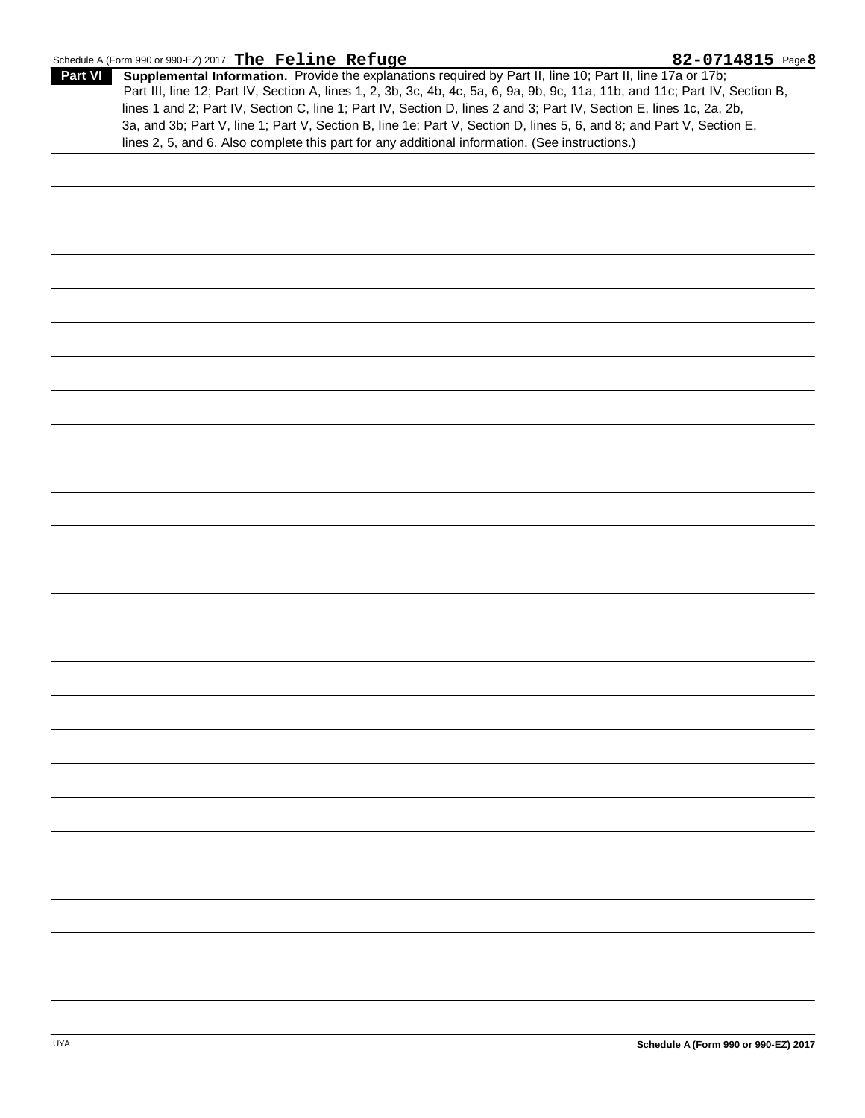#### Schedule A (Form 990 or 990-EZ) 2017 Page **8**

**Supplemental Information.** Provide the explanations required by Part II, line 10; Part II, line 17a or 17b; **Part VI Part VI The Feline Refuge 82-0714815**Part III, line 12; Part IV, Section A, lines 1, 2, 3b, 3c, 4b, 4c, 5a, 6, 9a, 9b, 9c, 11a, 11b, and 11c; Part IV, Section B, lines 1 and 2; Part IV, Section C, line 1; Part IV, Section D, lines 2 and 3; Part IV, Section E, lines 1c, 2a, 2b, 3a, and 3b; Part V, line 1; Part V, Section B, line 1e; Part V, Section D, lines 5, 6, and 8; and Part V, Section E, lines 2, 5, and 6. Also complete this part for any additional information. (See instructions.)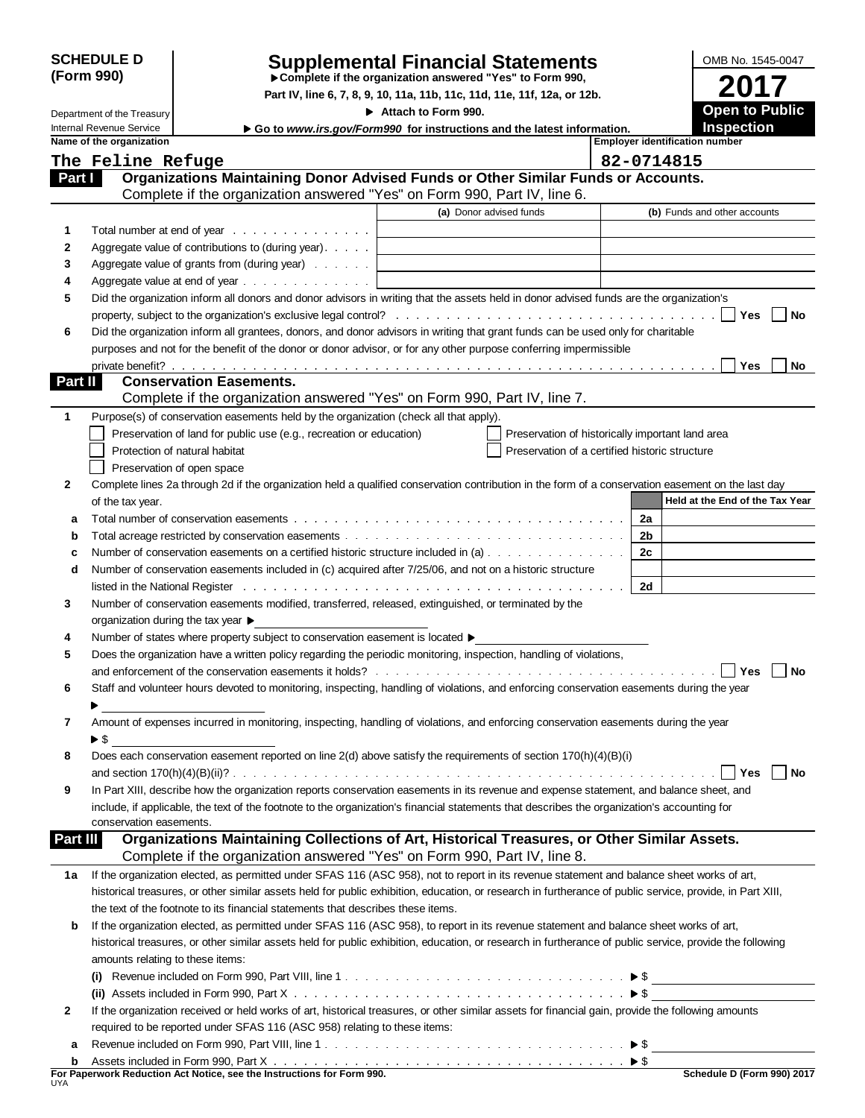**SCHEDULE D (Form 990)**

Department of the Treasury

# **Supplemental Financial Statements Complete if the organization answered "Yes" to Form 990,**

**Part IV, line 6, 7, 8, 9, 10, 11a, 11b, 11c, 11d, 11e, 11f, 12a, or 12b.**

**Attach to Form 990.**

OMB No. 1545-0047 **2017 Open to Public Inspection**

|          | Internal Revenue Service          |                                                                                       | Go to www.irs.gov/Form990 for instructions and the latest information.                                                                                    | <b>Inspection</b>                                |
|----------|-----------------------------------|---------------------------------------------------------------------------------------|-----------------------------------------------------------------------------------------------------------------------------------------------------------|--------------------------------------------------|
|          | Name of the organization          |                                                                                       |                                                                                                                                                           | <b>Employer identification number</b>            |
|          | The Feline Refuge                 |                                                                                       |                                                                                                                                                           | 82-0714815                                       |
| Part I   |                                   |                                                                                       | Organizations Maintaining Donor Advised Funds or Other Similar Funds or Accounts.                                                                         |                                                  |
|          |                                   |                                                                                       | Complete if the organization answered "Yes" on Form 990, Part IV, line 6.                                                                                 |                                                  |
|          |                                   |                                                                                       | (a) Donor advised funds                                                                                                                                   | (b) Funds and other accounts                     |
| 1        |                                   |                                                                                       |                                                                                                                                                           |                                                  |
| 2        |                                   | Aggregate value of contributions to (during year).                                    |                                                                                                                                                           |                                                  |
| 3        |                                   | Aggregate value of grants from (during year) [                                        |                                                                                                                                                           |                                                  |
| 4        |                                   |                                                                                       |                                                                                                                                                           |                                                  |
| 5        |                                   |                                                                                       | Did the organization inform all donors and donor advisors in writing that the assets held in donor advised funds are the organization's                   |                                                  |
|          |                                   |                                                                                       |                                                                                                                                                           | Yes<br>No                                        |
| 6        |                                   |                                                                                       | Did the organization inform all grantees, donors, and donor advisors in writing that grant funds can be used only for charitable                          |                                                  |
|          |                                   |                                                                                       | purposes and not for the benefit of the donor or donor advisor, or for any other purpose conferring impermissible                                         |                                                  |
|          |                                   |                                                                                       |                                                                                                                                                           | No                                               |
| Part II  |                                   | <b>Conservation Easements.</b>                                                        |                                                                                                                                                           |                                                  |
|          |                                   |                                                                                       | Complete if the organization answered "Yes" on Form 990, Part IV, line 7.                                                                                 |                                                  |
| 1        |                                   | Purpose(s) of conservation easements held by the organization (check all that apply). |                                                                                                                                                           |                                                  |
|          |                                   | Preservation of land for public use (e.g., recreation or education)                   |                                                                                                                                                           | Preservation of historically important land area |
|          |                                   | Protection of natural habitat                                                         |                                                                                                                                                           | Preservation of a certified historic structure   |
|          |                                   | Preservation of open space                                                            |                                                                                                                                                           |                                                  |
| 2        |                                   |                                                                                       | Complete lines 2a through 2d if the organization held a qualified conservation contribution in the form of a conservation easement on the last day        |                                                  |
|          | of the tax year.                  |                                                                                       |                                                                                                                                                           | Held at the End of the Tax Year                  |
| а        |                                   |                                                                                       |                                                                                                                                                           | 2a                                               |
| b        |                                   |                                                                                       |                                                                                                                                                           | 2 <sub>b</sub>                                   |
| c        |                                   |                                                                                       | Number of conservation easements on a certified historic structure included in (a)                                                                        | 2c                                               |
| d        |                                   |                                                                                       | Number of conservation easements included in (c) acquired after 7/25/06, and not on a historic structure                                                  |                                                  |
|          |                                   |                                                                                       |                                                                                                                                                           | 2d                                               |
| 3        |                                   |                                                                                       | Number of conservation easements modified, transferred, released, extinguished, or terminated by the                                                      |                                                  |
|          |                                   | organization during the tax year ▶                                                    |                                                                                                                                                           |                                                  |
| 4        |                                   | Number of states where property subject to conservation easement is located ▶         |                                                                                                                                                           |                                                  |
| 5        |                                   |                                                                                       | Does the organization have a written policy regarding the periodic monitoring, inspection, handling of violations,                                        |                                                  |
|          |                                   |                                                                                       |                                                                                                                                                           | <b>Yes</b><br>No                                 |
| 6        |                                   |                                                                                       | Staff and volunteer hours devoted to monitoring, inspecting, handling of violations, and enforcing conservation easements during the year                 |                                                  |
|          |                                   |                                                                                       |                                                                                                                                                           |                                                  |
| 7        |                                   |                                                                                       | Amount of expenses incurred in monitoring, inspecting, handling of violations, and enforcing conservation easements during the year                       |                                                  |
|          | ▶ \$                              |                                                                                       |                                                                                                                                                           |                                                  |
| 8        |                                   |                                                                                       | Does each conservation easement reported on line 2(d) above satisfy the requirements of section 170(h)(4)(B)(i)                                           |                                                  |
|          | and section $170(h)(4)(B)(ii)?$ . |                                                                                       | a constitution de la constitution de la constitution de la constitution de la constitution de la constitution                                             | Yes<br>No                                        |
| 9        |                                   |                                                                                       | In Part XIII, describe how the organization reports conservation easements in its revenue and expense statement, and balance sheet, and                   |                                                  |
|          |                                   |                                                                                       | include, if applicable, the text of the footnote to the organization's financial statements that describes the organization's accounting for              |                                                  |
|          | conservation easements.           |                                                                                       |                                                                                                                                                           |                                                  |
| Part III |                                   |                                                                                       | Organizations Maintaining Collections of Art, Historical Treasures, or Other Similar Assets.                                                              |                                                  |
|          |                                   |                                                                                       | Complete if the organization answered "Yes" on Form 990, Part IV, line 8.                                                                                 |                                                  |
| 1a       |                                   |                                                                                       | If the organization elected, as permitted under SFAS 116 (ASC 958), not to report in its revenue statement and balance sheet works of art,                |                                                  |
|          |                                   |                                                                                       | historical treasures, or other similar assets held for public exhibition, education, or research in furtherance of public service, provide, in Part XIII, |                                                  |
|          |                                   | the text of the footnote to its financial statements that describes these items.      |                                                                                                                                                           |                                                  |
| b        |                                   |                                                                                       | If the organization elected, as permitted under SFAS 116 (ASC 958), to report in its revenue statement and balance sheet works of art,                    |                                                  |
|          |                                   |                                                                                       | historical treasures, or other similar assets held for public exhibition, education, or research in furtherance of public service, provide the following  |                                                  |
|          | amounts relating to these items:  |                                                                                       |                                                                                                                                                           |                                                  |
|          |                                   |                                                                                       |                                                                                                                                                           |                                                  |
|          |                                   |                                                                                       |                                                                                                                                                           |                                                  |
| 2        |                                   |                                                                                       | If the organization received or held works of art, historical treasures, or other similar assets for financial gain, provide the following amounts        |                                                  |
|          |                                   | required to be reported under SFAS 116 (ASC 958) relating to these items:             |                                                                                                                                                           |                                                  |
| а        |                                   |                                                                                       |                                                                                                                                                           |                                                  |
| b        |                                   |                                                                                       |                                                                                                                                                           |                                                  |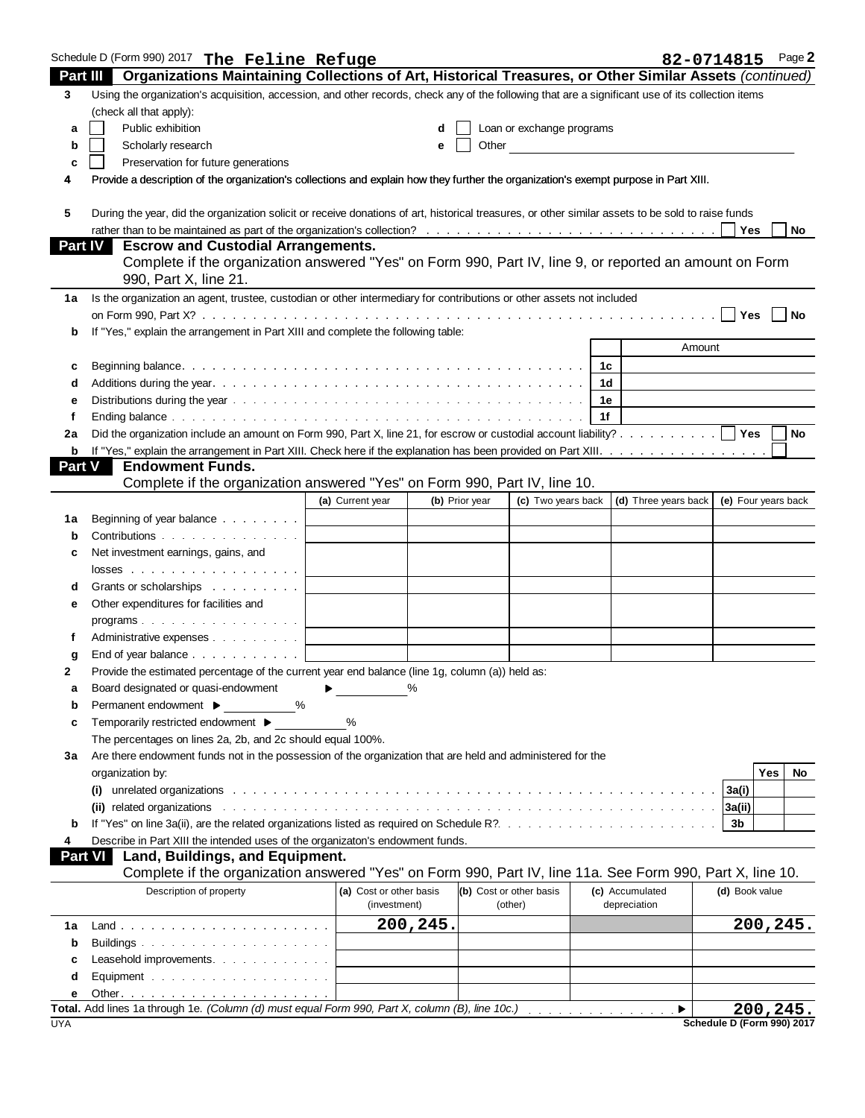|             | Schedule D (Form 990) 2017 The Feline Refuge                                                                                                                                                                                   |                                         |          |                |                                                                                                                                                                                                                               |    |                                 |        | 82-0714815          |          | Page 2 |
|-------------|--------------------------------------------------------------------------------------------------------------------------------------------------------------------------------------------------------------------------------|-----------------------------------------|----------|----------------|-------------------------------------------------------------------------------------------------------------------------------------------------------------------------------------------------------------------------------|----|---------------------------------|--------|---------------------|----------|--------|
|             | Part III Organizations Maintaining Collections of Art, Historical Treasures, or Other Similar Assets (continued)                                                                                                               |                                         |          |                |                                                                                                                                                                                                                               |    |                                 |        |                     |          |        |
| 3           | Using the organization's acquisition, accession, and other records, check any of the following that are a significant use of its collection items                                                                              |                                         |          |                |                                                                                                                                                                                                                               |    |                                 |        |                     |          |        |
|             | (check all that apply):                                                                                                                                                                                                        |                                         |          |                |                                                                                                                                                                                                                               |    |                                 |        |                     |          |        |
| a           | Public exhibition                                                                                                                                                                                                              |                                         |          |                | Loan or exchange programs                                                                                                                                                                                                     |    |                                 |        |                     |          |        |
| b           | Scholarly research                                                                                                                                                                                                             |                                         | е        |                | Other and the contract of the contract of the contract of the contract of the contract of the contract of the contract of the contract of the contract of the contract of the contract of the contract of the contract of the |    |                                 |        |                     |          |        |
| с           | Preservation for future generations                                                                                                                                                                                            |                                         |          |                |                                                                                                                                                                                                                               |    |                                 |        |                     |          |        |
| 4           | Provide a description of the organization's collections and explain how they further the organization's exempt purpose in Part XIII.                                                                                           |                                         |          |                |                                                                                                                                                                                                                               |    |                                 |        |                     |          |        |
| 5           | During the year, did the organization solicit or receive donations of art, historical treasures, or other similar assets to be sold to raise funds                                                                             |                                         |          |                |                                                                                                                                                                                                                               |    |                                 |        |                     |          |        |
|             |                                                                                                                                                                                                                                |                                         |          |                |                                                                                                                                                                                                                               |    |                                 |        | <b>Yes</b>          |          | No     |
|             | Part IV<br><b>Escrow and Custodial Arrangements.</b>                                                                                                                                                                           |                                         |          |                |                                                                                                                                                                                                                               |    |                                 |        |                     |          |        |
|             | Complete if the organization answered "Yes" on Form 990, Part IV, line 9, or reported an amount on Form<br>990, Part X, line 21.                                                                                               |                                         |          |                |                                                                                                                                                                                                                               |    |                                 |        |                     |          |        |
| 1a          | Is the organization an agent, trustee, custodian or other intermediary for contributions or other assets not included                                                                                                          |                                         |          |                |                                                                                                                                                                                                                               |    |                                 |        |                     |          |        |
|             |                                                                                                                                                                                                                                |                                         |          |                |                                                                                                                                                                                                                               |    |                                 |        | Yes                 |          | No     |
| b           | If "Yes," explain the arrangement in Part XIII and complete the following table:                                                                                                                                               |                                         |          |                |                                                                                                                                                                                                                               |    |                                 |        |                     |          |        |
|             |                                                                                                                                                                                                                                |                                         |          |                |                                                                                                                                                                                                                               |    |                                 | Amount |                     |          |        |
| c           |                                                                                                                                                                                                                                |                                         |          |                |                                                                                                                                                                                                                               | 1c |                                 |        |                     |          |        |
| d           |                                                                                                                                                                                                                                |                                         |          |                |                                                                                                                                                                                                                               | 1d |                                 |        |                     |          |        |
| е           |                                                                                                                                                                                                                                |                                         |          |                |                                                                                                                                                                                                                               | 1e |                                 |        |                     |          |        |
| $\mathbf f$ |                                                                                                                                                                                                                                |                                         |          |                |                                                                                                                                                                                                                               | 1f |                                 |        |                     |          |        |
| 2a          | Did the organization include an amount on Form 990, Part X, line 21, for escrow or custodial account liability?                                                                                                                |                                         |          |                |                                                                                                                                                                                                                               |    |                                 |        | ∣ Yes ∣             |          | No     |
| b           |                                                                                                                                                                                                                                |                                         |          |                |                                                                                                                                                                                                                               |    |                                 |        |                     |          |        |
|             | <b>Part V</b><br><b>Endowment Funds.</b>                                                                                                                                                                                       |                                         |          |                |                                                                                                                                                                                                                               |    |                                 |        |                     |          |        |
|             | Complete if the organization answered "Yes" on Form 990, Part IV, line 10.                                                                                                                                                     |                                         |          |                |                                                                                                                                                                                                                               |    |                                 |        |                     |          |        |
|             |                                                                                                                                                                                                                                | (a) Current year                        |          | (b) Prior year | (c) Two years back                                                                                                                                                                                                            |    | (d) Three years back            |        | (e) Four years back |          |        |
| 1а          | Beginning of year balance                                                                                                                                                                                                      |                                         |          |                |                                                                                                                                                                                                                               |    |                                 |        |                     |          |        |
| b           | Contributions                                                                                                                                                                                                                  |                                         |          |                |                                                                                                                                                                                                                               |    |                                 |        |                     |          |        |
| c           | Net investment earnings, gains, and                                                                                                                                                                                            |                                         |          |                |                                                                                                                                                                                                                               |    |                                 |        |                     |          |        |
|             | $losses$                                                                                                                                                                                                                       |                                         |          |                |                                                                                                                                                                                                                               |    |                                 |        |                     |          |        |
| d           | Grants or scholarships                                                                                                                                                                                                         |                                         |          |                |                                                                                                                                                                                                                               |    |                                 |        |                     |          |        |
| е           | Other expenditures for facilities and                                                                                                                                                                                          |                                         |          |                |                                                                                                                                                                                                                               |    |                                 |        |                     |          |        |
|             | programs                                                                                                                                                                                                                       |                                         |          |                |                                                                                                                                                                                                                               |    |                                 |        |                     |          |        |
| f           | Administrative expenses                                                                                                                                                                                                        |                                         |          |                |                                                                                                                                                                                                                               |    |                                 |        |                     |          |        |
|             | End of year balance                                                                                                                                                                                                            |                                         |          |                |                                                                                                                                                                                                                               |    |                                 |        |                     |          |        |
| g<br>2      | Provide the estimated percentage of the current year end balance (line 1g, column (a)) held as:                                                                                                                                |                                         |          |                |                                                                                                                                                                                                                               |    |                                 |        |                     |          |        |
|             | Board designated or quasi-endowment                                                                                                                                                                                            |                                         | %        |                |                                                                                                                                                                                                                               |    |                                 |        |                     |          |        |
| a<br>b      | Permanent endowment ▶<br>℅                                                                                                                                                                                                     |                                         |          |                |                                                                                                                                                                                                                               |    |                                 |        |                     |          |        |
| с           | Temporarily restricted endowment ▶                                                                                                                                                                                             | %                                       |          |                |                                                                                                                                                                                                                               |    |                                 |        |                     |          |        |
|             | The percentages on lines 2a, 2b, and 2c should equal 100%.                                                                                                                                                                     |                                         |          |                |                                                                                                                                                                                                                               |    |                                 |        |                     |          |        |
| За          | Are there endowment funds not in the possession of the organization that are held and administered for the                                                                                                                     |                                         |          |                |                                                                                                                                                                                                                               |    |                                 |        |                     |          |        |
|             | organization by:                                                                                                                                                                                                               |                                         |          |                |                                                                                                                                                                                                                               |    |                                 |        |                     | Yes      | No     |
|             | (i) unrelated organizations by a series of the contract of the contract of the contract of the contract of the contract of the contract of the contract of the contract of the contract of the contract of the contract of the |                                         |          |                |                                                                                                                                                                                                                               |    |                                 |        | 3a(i)               |          |        |
|             | (ii) related organizations (b) by contact the control of the control of the control of the control of the control of the control of the control of the control of the control of the control of the control of the control of  |                                         |          |                |                                                                                                                                                                                                                               |    |                                 |        | 3a(ii)              |          |        |
| b           |                                                                                                                                                                                                                                |                                         |          |                |                                                                                                                                                                                                                               |    |                                 |        | 3b                  |          |        |
|             | Describe in Part XIII the intended uses of the organizaton's endowment funds.                                                                                                                                                  |                                         |          |                |                                                                                                                                                                                                                               |    |                                 |        |                     |          |        |
|             | Land, Buildings, and Equipment.<br><b>Part VI</b>                                                                                                                                                                              |                                         |          |                |                                                                                                                                                                                                                               |    |                                 |        |                     |          |        |
|             | Complete if the organization answered "Yes" on Form 990, Part IV, line 11a. See Form 990, Part X, line 10.                                                                                                                     |                                         |          |                |                                                                                                                                                                                                                               |    |                                 |        |                     |          |        |
|             | Description of property                                                                                                                                                                                                        | (a) Cost or other basis<br>(investment) |          |                | (b) Cost or other basis<br>(other)                                                                                                                                                                                            |    | (c) Accumulated<br>depreciation |        | (d) Book value      |          |        |
|             |                                                                                                                                                                                                                                |                                         |          |                |                                                                                                                                                                                                                               |    |                                 |        |                     |          |        |
| 1a          |                                                                                                                                                                                                                                |                                         | 200,245. |                |                                                                                                                                                                                                                               |    |                                 |        |                     | 200,245. |        |
| b           |                                                                                                                                                                                                                                |                                         |          |                |                                                                                                                                                                                                                               |    |                                 |        |                     |          |        |
| с           | Leasehold improvements.                                                                                                                                                                                                        |                                         |          |                |                                                                                                                                                                                                                               |    |                                 |        |                     |          |        |
| d           | Equipment $\cdots$ $\cdots$ $\cdots$ $\cdots$ $\cdots$ $\cdots$ $\cdots$                                                                                                                                                       |                                         |          |                |                                                                                                                                                                                                                               |    |                                 |        |                     |          |        |
| е           |                                                                                                                                                                                                                                |                                         |          |                |                                                                                                                                                                                                                               |    |                                 |        |                     |          |        |
|             | Total. Add lines 1a through 1e. (Column (d) must equal Form 990, Part X, column (B), line 10c.)                                                                                                                                |                                         |          |                |                                                                                                                                                                                                                               |    |                                 |        |                     | 200,245. |        |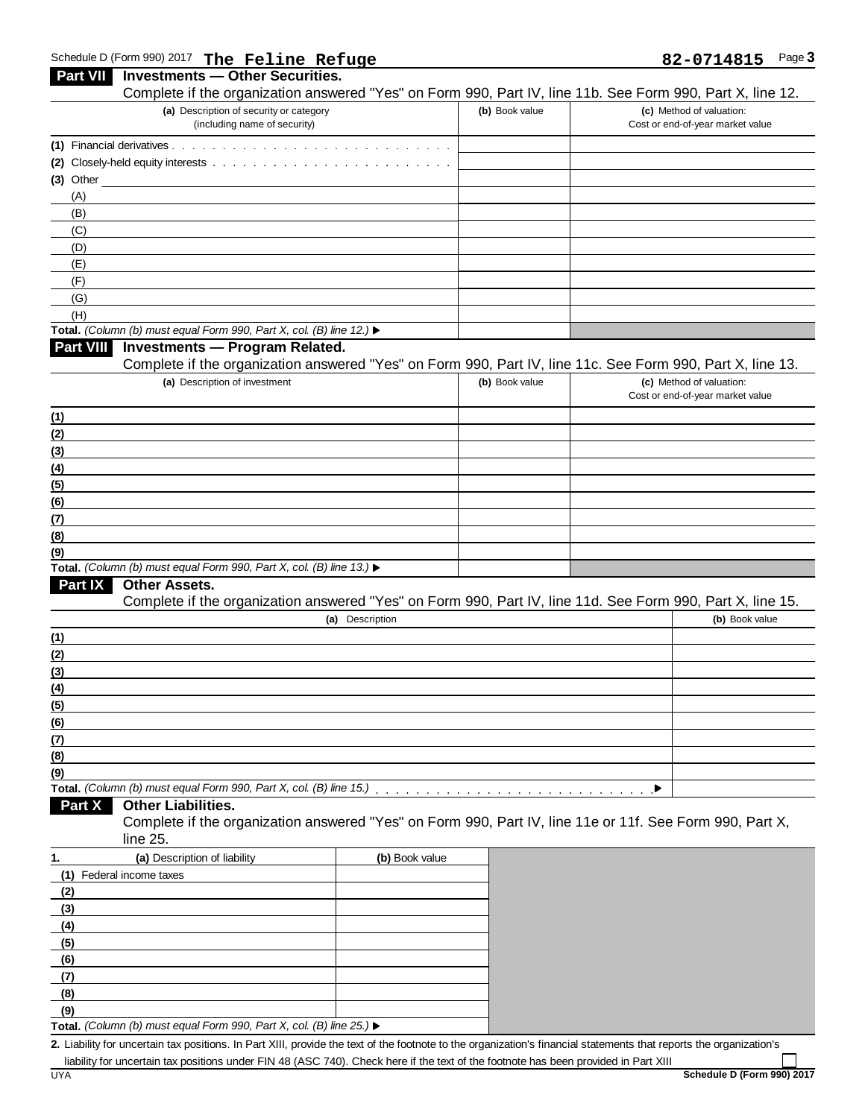#### Schedule D (Form 990) 2017 Page **3 The Feline Refuge 82-0714815**

| <b>Part VII</b>  | <b>Investments - Other Securities.</b><br>Complete if the organization answered "Yes" on Form 990, Part IV, line 11b. See Form 990, Part X, line 12. |                 |                |                                                              |
|------------------|------------------------------------------------------------------------------------------------------------------------------------------------------|-----------------|----------------|--------------------------------------------------------------|
|                  | (a) Description of security or category<br>(including name of security)                                                                              |                 | (b) Book value | (c) Method of valuation:<br>Cost or end-of-year market value |
|                  |                                                                                                                                                      |                 |                |                                                              |
|                  | (2) Closely-held equity interests $\cdots$ $\cdots$ $\cdots$ $\cdots$                                                                                |                 |                |                                                              |
| $(3)$ Other      |                                                                                                                                                      |                 |                |                                                              |
| (A)              |                                                                                                                                                      |                 |                |                                                              |
| (B)              |                                                                                                                                                      |                 |                |                                                              |
| (C)              |                                                                                                                                                      |                 |                |                                                              |
| (D)              |                                                                                                                                                      |                 |                |                                                              |
| (E)              |                                                                                                                                                      |                 |                |                                                              |
| (F)              |                                                                                                                                                      |                 |                |                                                              |
| (G)              |                                                                                                                                                      |                 |                |                                                              |
| (H)              |                                                                                                                                                      |                 |                |                                                              |
|                  | Total. (Column (b) must equal Form 990, Part X, col. (B) line 12.) ▶                                                                                 |                 |                |                                                              |
| <b>Part VIII</b> | <b>Investments - Program Related.</b><br>Complete if the organization answered "Yes" on Form 990, Part IV, line 11c. See Form 990, Part X, line 13.  |                 |                |                                                              |
|                  | (a) Description of investment                                                                                                                        |                 | (b) Book value | (c) Method of valuation:<br>Cost or end-of-year market value |
| (1)              |                                                                                                                                                      |                 |                |                                                              |
| (2)              |                                                                                                                                                      |                 |                |                                                              |
| (3)              |                                                                                                                                                      |                 |                |                                                              |
| (4)              |                                                                                                                                                      |                 |                |                                                              |
| (5)              |                                                                                                                                                      |                 |                |                                                              |
| (6)              |                                                                                                                                                      |                 |                |                                                              |
| (7)              |                                                                                                                                                      |                 |                |                                                              |
| (8)              |                                                                                                                                                      |                 |                |                                                              |
| (9)              |                                                                                                                                                      |                 |                |                                                              |
|                  | Total. (Column (b) must equal Form 990, Part X, col. (B) line 13.) ▶                                                                                 |                 |                |                                                              |
| <b>Part IX</b>   | <b>Other Assets.</b>                                                                                                                                 |                 |                |                                                              |
|                  | Complete if the organization answered "Yes" on Form 990, Part IV, line 11d. See Form 990, Part X, line 15.                                           |                 |                |                                                              |
|                  |                                                                                                                                                      | (a) Description |                | (b) Book value                                               |
| (1)              |                                                                                                                                                      |                 |                |                                                              |
| (2)              |                                                                                                                                                      |                 |                |                                                              |
| (3)              |                                                                                                                                                      |                 |                |                                                              |
| (4)              |                                                                                                                                                      |                 |                |                                                              |
| (5)              |                                                                                                                                                      |                 |                |                                                              |
| (6)              |                                                                                                                                                      |                 |                |                                                              |
| (7)              |                                                                                                                                                      |                 |                |                                                              |
| (8)              |                                                                                                                                                      |                 |                |                                                              |
| (9)              | Total. (Column (b) must equal Form 990, Part X, col. (B) line 15.)                                                                                   |                 |                | ▶                                                            |
| <b>Part X</b>    | <b>Other Liabilities.</b>                                                                                                                            |                 |                |                                                              |
|                  | Complete if the organization answered "Yes" on Form 990, Part IV, line 11e or 11f. See Form 990, Part X,<br>line 25.                                 |                 |                |                                                              |
| 1.               | (a) Description of liability                                                                                                                         | (b) Book value  |                |                                                              |
|                  | (1) Federal income taxes                                                                                                                             |                 |                |                                                              |
| (2)              |                                                                                                                                                      |                 |                |                                                              |
| (3)              |                                                                                                                                                      |                 |                |                                                              |
| (4)              |                                                                                                                                                      |                 |                |                                                              |
| (5)              |                                                                                                                                                      |                 |                |                                                              |
| (6)              |                                                                                                                                                      |                 |                |                                                              |
| (7)              |                                                                                                                                                      |                 |                |                                                              |
| (8)              |                                                                                                                                                      |                 |                |                                                              |

**(9) Total.** *(Column (b) must equal Form 990, Part X, col. (B) line 25.)*

**2.** Liability for uncertain tax positions. In Part XIII, provide the text of the footnote to the organization's financial statements that reports the organization's liability for uncertain tax positions under FIN 48 (ASC 740). Check here if the text of the footnote has been provided in Part XIII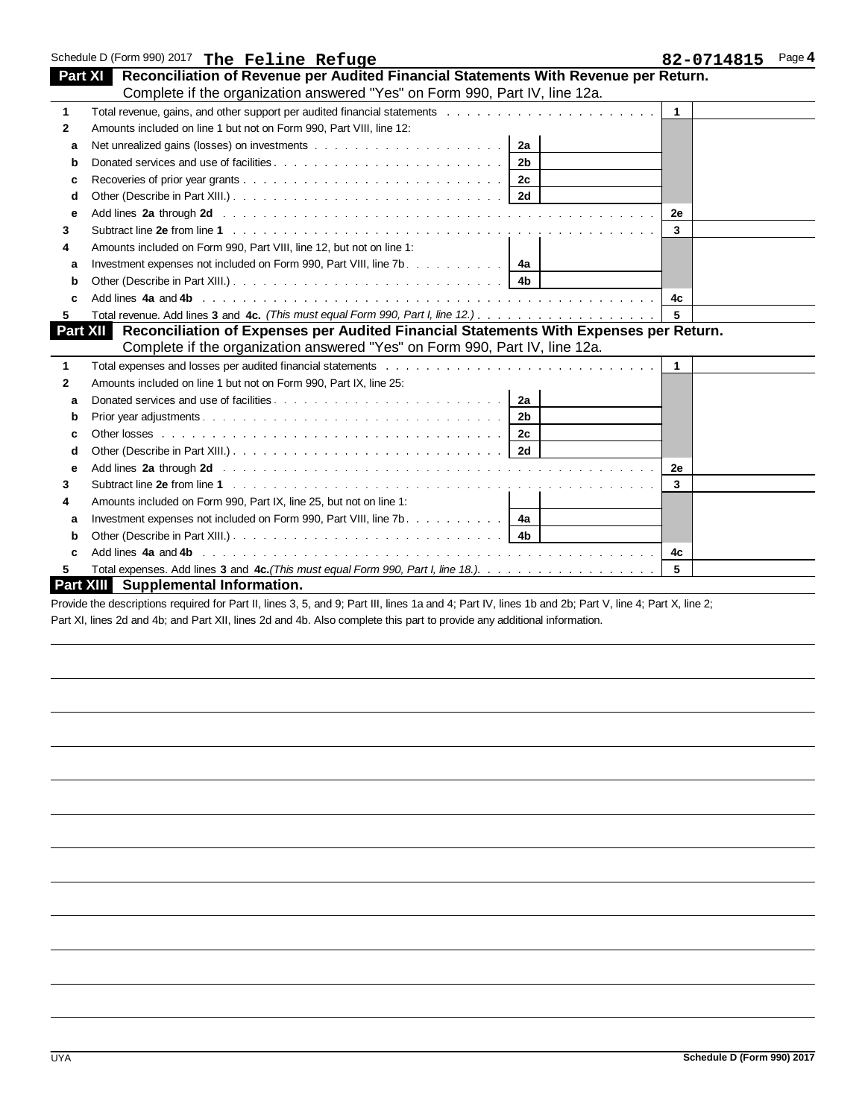|    | Schedule D (Form 990) 2017 The Feline Refuge                                                                                                                                                                                   |                | 82-0714815 Page 4 |
|----|--------------------------------------------------------------------------------------------------------------------------------------------------------------------------------------------------------------------------------|----------------|-------------------|
|    | Reconciliation of Revenue per Audited Financial Statements With Revenue per Return.<br>Part XI                                                                                                                                 |                |                   |
|    | Complete if the organization answered "Yes" on Form 990, Part IV, line 12a.                                                                                                                                                    |                |                   |
| 1  |                                                                                                                                                                                                                                |                | $\mathbf{1}$      |
| 2  | Amounts included on line 1 but not on Form 990, Part VIII, line 12:                                                                                                                                                            |                |                   |
| a  | Net unrealized gains (losses) on investments with the window with the set of the set of the set of the set of the set of the set of the set of the set of the set of the set of the set of the set of the set of the set of th |                |                   |
| b  |                                                                                                                                                                                                                                | 2 <sub>b</sub> |                   |
| с  |                                                                                                                                                                                                                                |                |                   |
| d  |                                                                                                                                                                                                                                |                |                   |
| е  |                                                                                                                                                                                                                                |                | 2е                |
| З  |                                                                                                                                                                                                                                |                | 3                 |
| 4  | Amounts included on Form 990, Part VIII, line 12, but not on line 1:                                                                                                                                                           |                |                   |
| а  | Investment expenses not included on Form 990, Part VIII, line 7b. $\ldots$ , $\ldots$ , $\ldots$                                                                                                                               |                |                   |
| b  |                                                                                                                                                                                                                                |                |                   |
| C  | Add lines 4a and 4b research and the service of the service of the service of the service of the service of the service of the service of the service of the service of the service of the service of the service of the servi |                | 4c                |
| 5. |                                                                                                                                                                                                                                |                | 5                 |
|    | Reconciliation of Expenses per Audited Financial Statements With Expenses per Return.<br>Part XII                                                                                                                              |                |                   |
|    | Complete if the organization answered "Yes" on Form 990, Part IV, line 12a.                                                                                                                                                    |                |                   |
| 1  | Total expenses and losses per audited financial statements with the content of the experimental expenses and losses per audited financial statements with the content of the content of the content of the content of the cont |                | 1                 |
| 2  | Amounts included on line 1 but not on Form 990, Part IX, line 25:                                                                                                                                                              |                |                   |
| a  |                                                                                                                                                                                                                                |                |                   |
| b  |                                                                                                                                                                                                                                | 2 <sub>b</sub> |                   |
| c  |                                                                                                                                                                                                                                |                |                   |
| d  |                                                                                                                                                                                                                                |                |                   |
|    |                                                                                                                                                                                                                                |                |                   |
| е  |                                                                                                                                                                                                                                |                | 2e                |
| 3  |                                                                                                                                                                                                                                |                | 3                 |
| 4  | Amounts included on Form 990, Part IX, line 25, but not on line 1:                                                                                                                                                             |                |                   |
| a  | Investment expenses not included on Form 990, Part VIII, line 7b. $\dots$ 4a                                                                                                                                                   |                |                   |
| b  |                                                                                                                                                                                                                                |                |                   |
|    |                                                                                                                                                                                                                                |                | 4с                |
| 5  |                                                                                                                                                                                                                                |                | 5                 |

Provide the descriptions required for Part II, lines 3, 5, and 9; Part III, lines 1a and 4; Part IV, lines 1b and 2b; Part V, line 4; Part X, line 2; Part XI, lines 2d and 4b; and Part XII, lines 2d and 4b. Also complete this part to provide any additional information.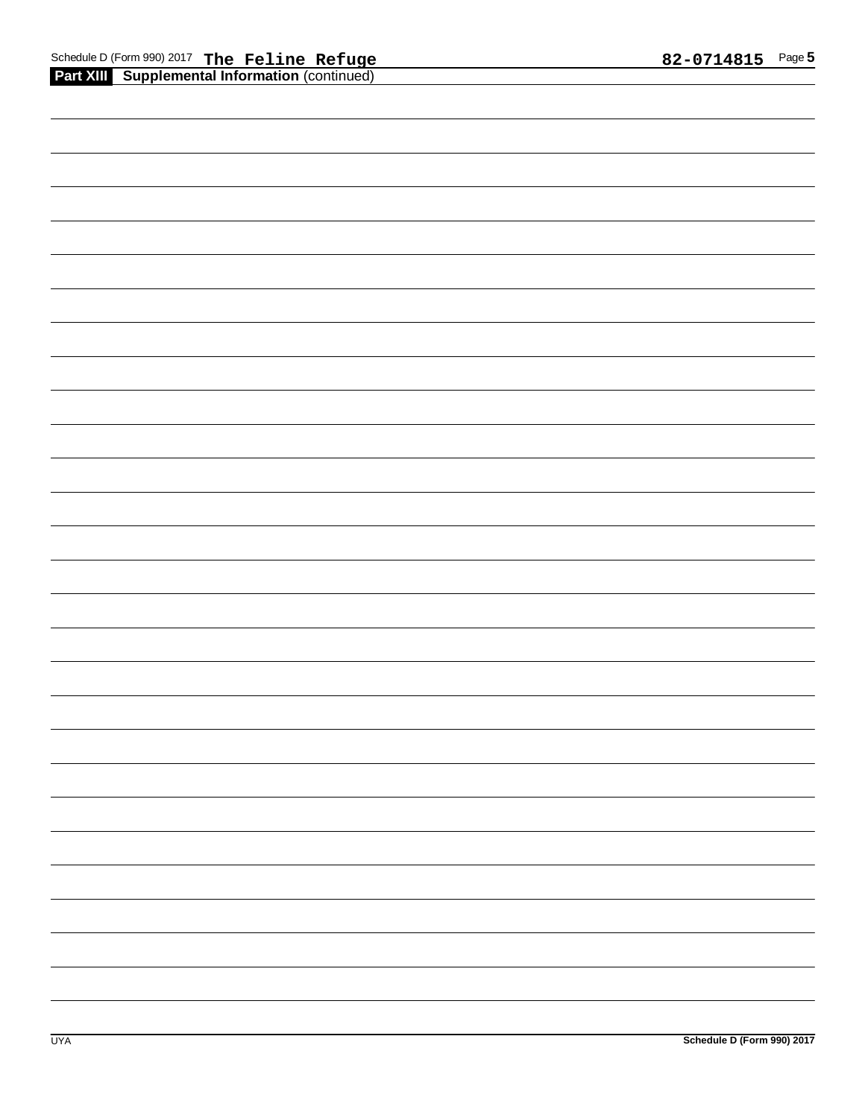| <b>Part XIII Supplemental Information (continued)</b> |
|-------------------------------------------------------|
|                                                       |
|                                                       |
|                                                       |
|                                                       |
|                                                       |
|                                                       |
|                                                       |
|                                                       |
|                                                       |
|                                                       |
|                                                       |
|                                                       |
|                                                       |
|                                                       |
|                                                       |
|                                                       |
|                                                       |
|                                                       |
|                                                       |
|                                                       |
|                                                       |
| $\overline{\phantom{0}}$                              |
| $\overline{\phantom{0}}$                              |
| $\overline{\phantom{0}}$                              |
| $\overline{\phantom{0}}$                              |
|                                                       |
|                                                       |
|                                                       |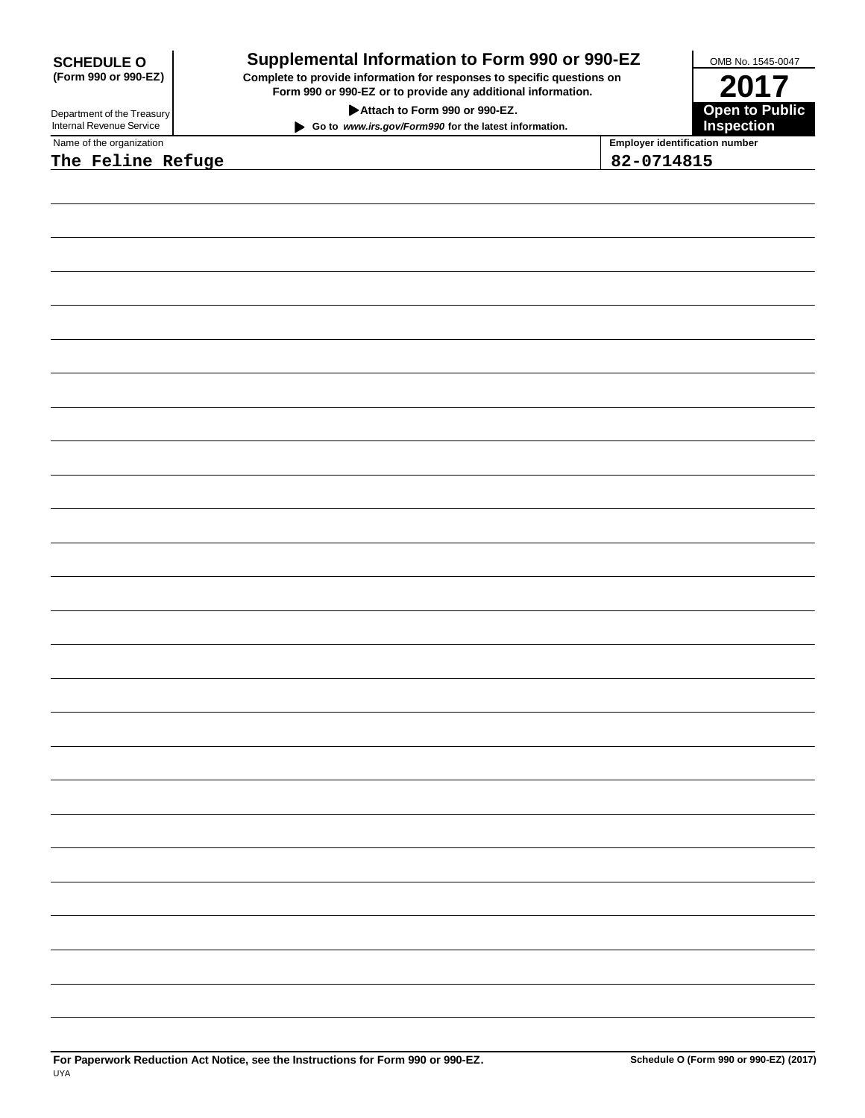| <b>SCHEDULE O</b>    |
|----------------------|
| (Form 990 or 990-EZ) |

### **Supplemental Information to Form 990 or 990-EZ**

**Complete to provide information for responses to specific questions on Form 990 or 990-EZ or to provide any additional information.**

**Attach to Form 990 or 990-EZ.** 

**Go to** *www.irs.gov/Form990* **for the latest information.**



Internal Revenue Service Name of the organization **Employer identification number** 

Department of the Treasury

**The Feline Refuge 82-0714815**